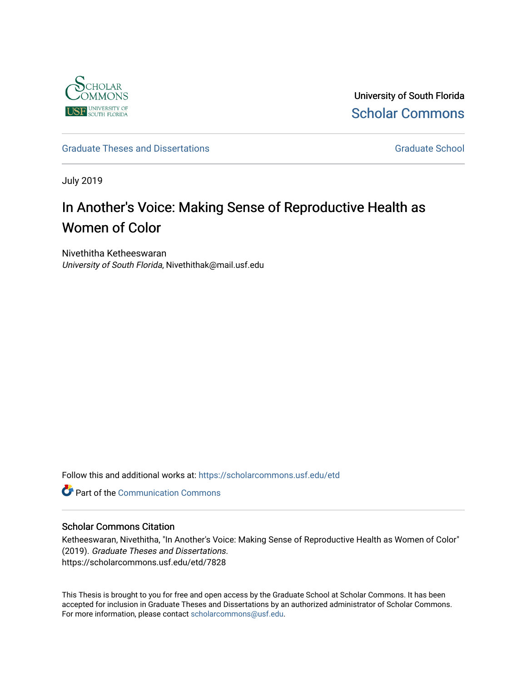

University of South Florida [Scholar Commons](https://scholarcommons.usf.edu/) 

## [Graduate Theses and Dissertations](https://scholarcommons.usf.edu/etd) [Graduate School](https://scholarcommons.usf.edu/grad) Craduate School Craduate School

July 2019

# In Another's Voice: Making Sense of Reproductive Health as Women of Color

Nivethitha Ketheeswaran University of South Florida, Nivethithak@mail.usf.edu

Follow this and additional works at: [https://scholarcommons.usf.edu/etd](https://scholarcommons.usf.edu/etd?utm_source=scholarcommons.usf.edu%2Fetd%2F7828&utm_medium=PDF&utm_campaign=PDFCoverPages) 

**C** Part of the Communication Commons

#### Scholar Commons Citation

Ketheeswaran, Nivethitha, "In Another's Voice: Making Sense of Reproductive Health as Women of Color" (2019). Graduate Theses and Dissertations. https://scholarcommons.usf.edu/etd/7828

This Thesis is brought to you for free and open access by the Graduate School at Scholar Commons. It has been accepted for inclusion in Graduate Theses and Dissertations by an authorized administrator of Scholar Commons. For more information, please contact [scholarcommons@usf.edu.](mailto:scholarcommons@usf.edu)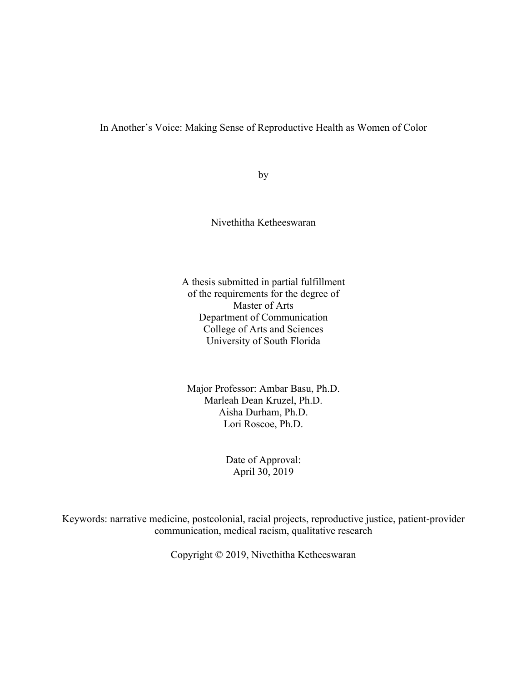In Another's Voice: Making Sense of Reproductive Health as Women of Color

by

Nivethitha Ketheeswaran

A thesis submitted in partial fulfillment of the requirements for the degree of Master of Arts Department of Communication College of Arts and Sciences University of South Florida

Major Professor: Ambar Basu, Ph.D. Marleah Dean Kruzel, Ph.D. Aisha Durham, Ph.D. Lori Roscoe, Ph.D.

> Date of Approval: April 30, 2019

Keywords: narrative medicine, postcolonial, racial projects, reproductive justice, patient-provider communication, medical racism, qualitative research

Copyright © 2019, Nivethitha Ketheeswaran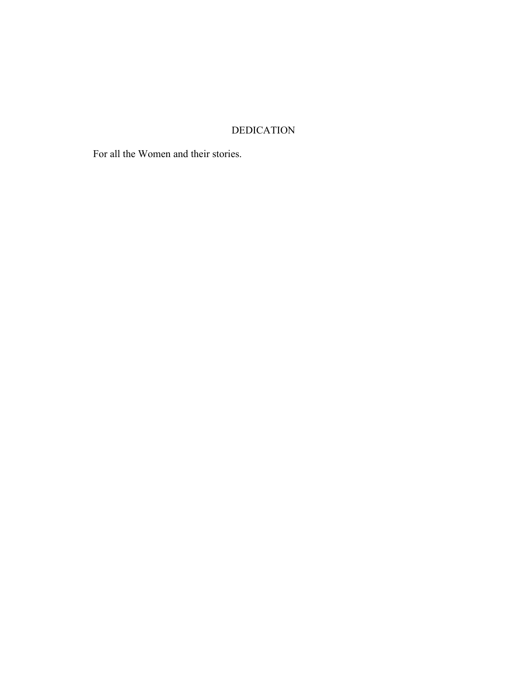# DEDICATION

For all the Women and their stories.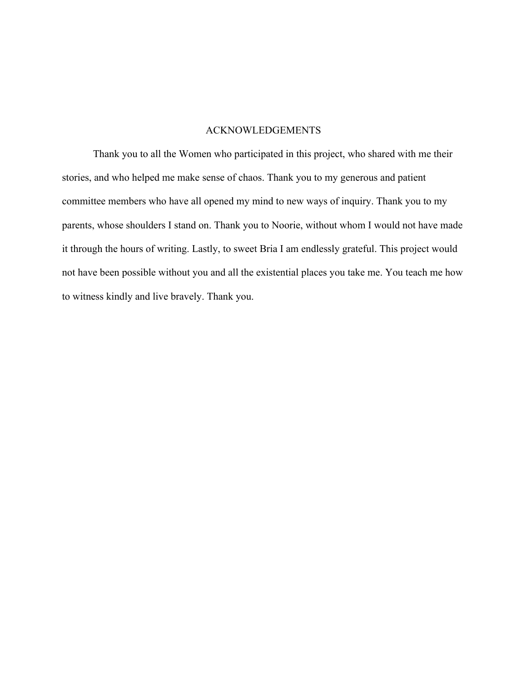## ACKNOWLEDGEMENTS

Thank you to all the Women who participated in this project, who shared with me their stories, and who helped me make sense of chaos. Thank you to my generous and patient committee members who have all opened my mind to new ways of inquiry. Thank you to my parents, whose shoulders I stand on. Thank you to Noorie, without whom I would not have made it through the hours of writing. Lastly, to sweet Bria I am endlessly grateful. This project would not have been possible without you and all the existential places you take me. You teach me how to witness kindly and live bravely. Thank you.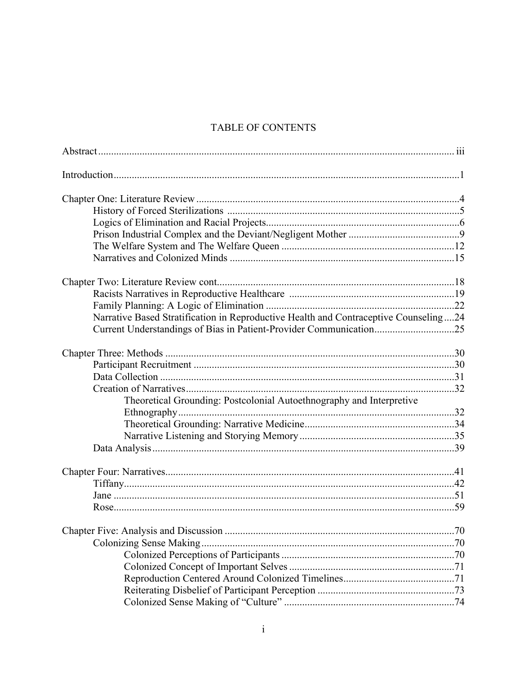# TABLE OF CONTENTS

| Narrative Based Stratification in Reproductive Health and Contraceptive Counseling24 |    |
|--------------------------------------------------------------------------------------|----|
| Current Understandings of Bias in Patient-Provider Communication25                   |    |
|                                                                                      |    |
|                                                                                      |    |
|                                                                                      |    |
|                                                                                      |    |
| Theoretical Grounding: Postcolonial Autoethnography and Interpretive                 |    |
|                                                                                      |    |
|                                                                                      |    |
|                                                                                      |    |
|                                                                                      |    |
|                                                                                      |    |
|                                                                                      |    |
|                                                                                      |    |
|                                                                                      |    |
|                                                                                      | 70 |
|                                                                                      |    |
|                                                                                      |    |
|                                                                                      |    |
|                                                                                      |    |
|                                                                                      |    |
|                                                                                      |    |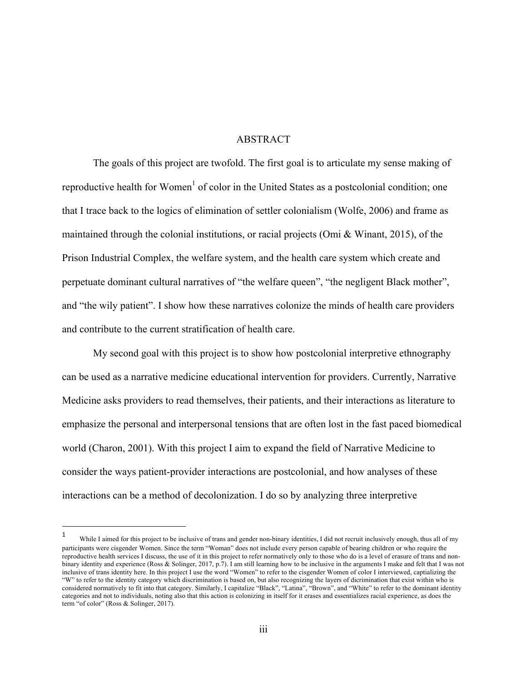### ABSTRACT

The goals of this project are twofold. The first goal is to articulate my sense making of reproductive health for Women<sup>1</sup> of color in the United States as a postcolonial condition; one that I trace back to the logics of elimination of settler colonialism (Wolfe, 2006) and frame as maintained through the colonial institutions, or racial projects (Omi & Winant, 2015), of the Prison Industrial Complex, the welfare system, and the health care system which create and perpetuate dominant cultural narratives of "the welfare queen", "the negligent Black mother", and "the wily patient". I show how these narratives colonize the minds of health care providers and contribute to the current stratification of health care.

My second goal with this project is to show how postcolonial interpretive ethnography can be used as a narrative medicine educational intervention for providers. Currently, Narrative Medicine asks providers to read themselves, their patients, and their interactions as literature to emphasize the personal and interpersonal tensions that are often lost in the fast paced biomedical world (Charon, 2001). With this project I aim to expand the field of Narrative Medicine to consider the ways patient-provider interactions are postcolonial, and how analyses of these interactions can be a method of decolonization. I do so by analyzing three interpretive

 

While I aimed for this project to be inclusive of trans and gender non-binary identities, I did not recruit inclusively enough, thus all of my participants were cisgender Women. Since the term "Woman" does not include every person capable of bearing children or who require the reproductive health services I discuss, the use of it in this project to refer normatively only to those who do is a level of erasure of trans and nonbinary identity and experience (Ross & Solinger, 2017, p.7). I am still learning how to be inclusive in the arguments I make and felt that I was not inclusive of trans identity here. In this project I use the word "Women" to refer to the cisgender Women of color I interviewed, captializing the "W" to refer to the identity category which discrimination is based on, but also recognizing the layers of dicrimination that exist within who is considered normatively to fit into that category. Similarly, I capitalize "Black", "Latina", "Brown", and "White" to refer to the dominant identity categories and not to individuals, noting also that this action is colonizing in itself for it erases and essentializes racial experience, as does the term "of color" (Ross & Solinger, 2017).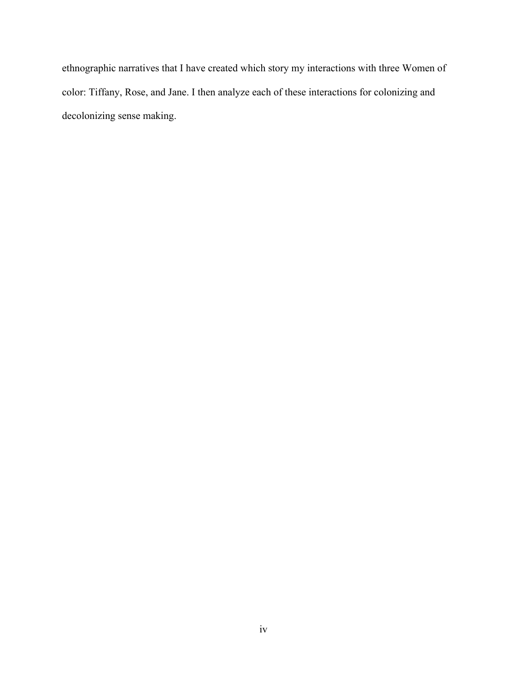ethnographic narratives that I have created which story my interactions with three Women of color: Tiffany, Rose, and Jane. I then analyze each of these interactions for colonizing and decolonizing sense making.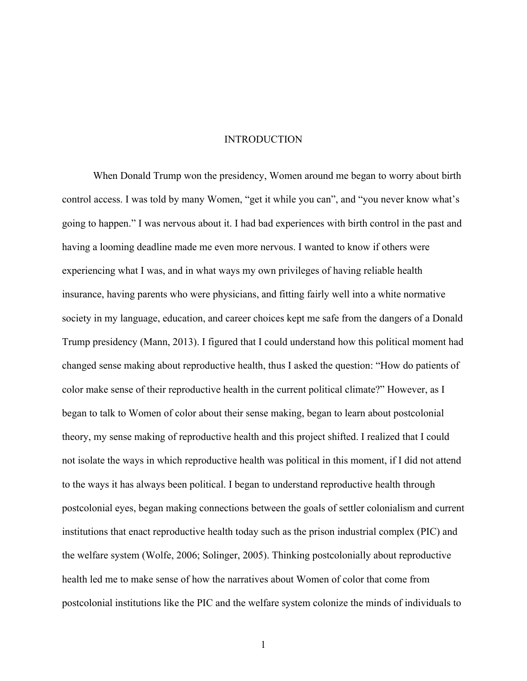#### **INTRODUCTION**

When Donald Trump won the presidency, Women around me began to worry about birth control access. I was told by many Women, "get it while you can", and "you never know what's going to happen." I was nervous about it. I had bad experiences with birth control in the past and having a looming deadline made me even more nervous. I wanted to know if others were experiencing what I was, and in what ways my own privileges of having reliable health insurance, having parents who were physicians, and fitting fairly well into a white normative society in my language, education, and career choices kept me safe from the dangers of a Donald Trump presidency (Mann, 2013). I figured that I could understand how this political moment had changed sense making about reproductive health, thus I asked the question: "How do patients of color make sense of their reproductive health in the current political climate?" However, as I began to talk to Women of color about their sense making, began to learn about postcolonial theory, my sense making of reproductive health and this project shifted. I realized that I could not isolate the ways in which reproductive health was political in this moment, if I did not attend to the ways it has always been political. I began to understand reproductive health through postcolonial eyes, began making connections between the goals of settler colonialism and current institutions that enact reproductive health today such as the prison industrial complex (PIC) and the welfare system (Wolfe, 2006; Solinger, 2005). Thinking postcolonially about reproductive health led me to make sense of how the narratives about Women of color that come from postcolonial institutions like the PIC and the welfare system colonize the minds of individuals to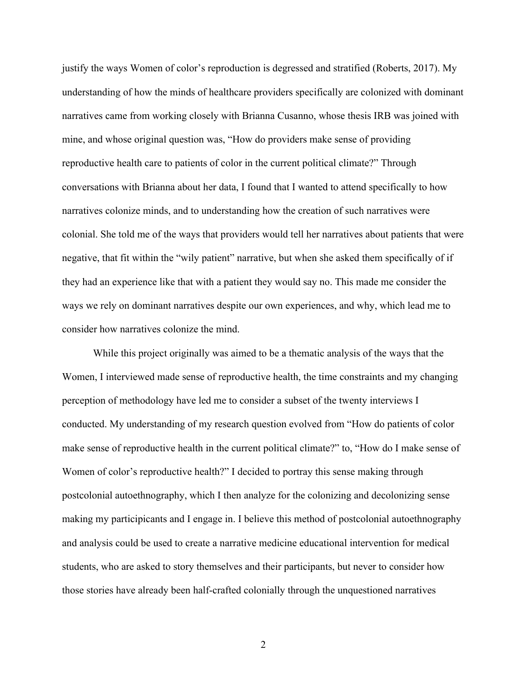justify the ways Women of color's reproduction is degressed and stratified (Roberts, 2017). My understanding of how the minds of healthcare providers specifically are colonized with dominant narratives came from working closely with Brianna Cusanno, whose thesis IRB was joined with mine, and whose original question was, "How do providers make sense of providing reproductive health care to patients of color in the current political climate?" Through conversations with Brianna about her data, I found that I wanted to attend specifically to how narratives colonize minds, and to understanding how the creation of such narratives were colonial. She told me of the ways that providers would tell her narratives about patients that were negative, that fit within the "wily patient" narrative, but when she asked them specifically of if they had an experience like that with a patient they would say no. This made me consider the ways we rely on dominant narratives despite our own experiences, and why, which lead me to consider how narratives colonize the mind.

While this project originally was aimed to be a thematic analysis of the ways that the Women, I interviewed made sense of reproductive health, the time constraints and my changing perception of methodology have led me to consider a subset of the twenty interviews I conducted. My understanding of my research question evolved from "How do patients of color make sense of reproductive health in the current political climate?" to, "How do I make sense of Women of color's reproductive health?" I decided to portray this sense making through postcolonial autoethnography, which I then analyze for the colonizing and decolonizing sense making my participicants and I engage in. I believe this method of postcolonial autoethnography and analysis could be used to create a narrative medicine educational intervention for medical students, who are asked to story themselves and their participants, but never to consider how those stories have already been half-crafted colonially through the unquestioned narratives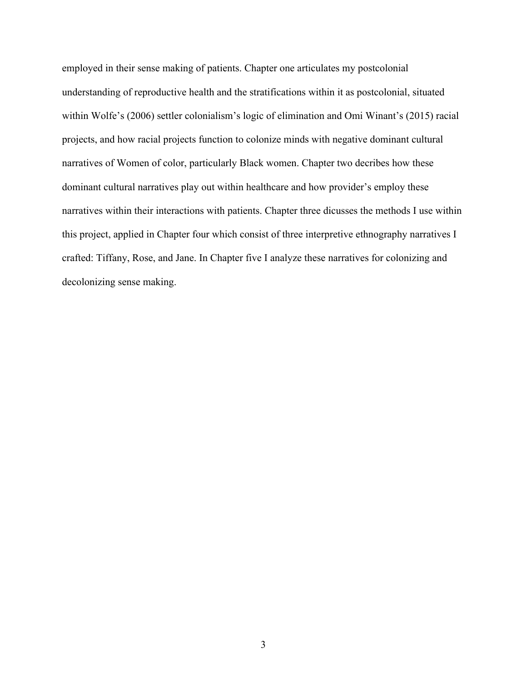employed in their sense making of patients. Chapter one articulates my postcolonial understanding of reproductive health and the stratifications within it as postcolonial, situated within Wolfe's (2006) settler colonialism's logic of elimination and Omi Winant's (2015) racial projects, and how racial projects function to colonize minds with negative dominant cultural narratives of Women of color, particularly Black women. Chapter two decribes how these dominant cultural narratives play out within healthcare and how provider's employ these narratives within their interactions with patients. Chapter three dicusses the methods I use within this project, applied in Chapter four which consist of three interpretive ethnography narratives I crafted: Tiffany, Rose, and Jane. In Chapter five I analyze these narratives for colonizing and decolonizing sense making.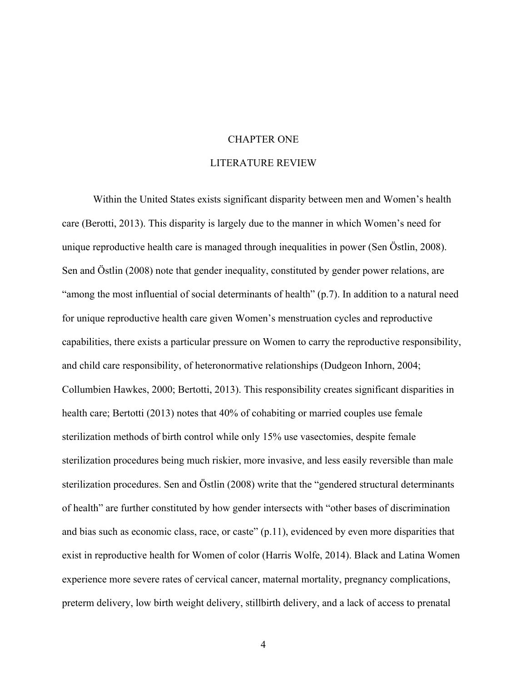## CHAPTER ONE

#### LITERATURE REVIEW

Within the United States exists significant disparity between men and Women's health care (Berotti, 2013). This disparity is largely due to the manner in which Women's need for unique reproductive health care is managed through inequalities in power (Sen Östlin, 2008). Sen and Östlin (2008) note that gender inequality, constituted by gender power relations, are "among the most influential of social determinants of health" (p.7). In addition to a natural need for unique reproductive health care given Women's menstruation cycles and reproductive capabilities, there exists a particular pressure on Women to carry the reproductive responsibility, and child care responsibility, of heteronormative relationships (Dudgeon Inhorn, 2004; Collumbien Hawkes, 2000; Bertotti, 2013). This responsibility creates significant disparities in health care; Bertotti (2013) notes that 40% of cohabiting or married couples use female sterilization methods of birth control while only 15% use vasectomies, despite female sterilization procedures being much riskier, more invasive, and less easily reversible than male sterilization procedures. Sen and Östlin (2008) write that the "gendered structural determinants of health" are further constituted by how gender intersects with "other bases of discrimination and bias such as economic class, race, or caste" (p.11), evidenced by even more disparities that exist in reproductive health for Women of color (Harris Wolfe, 2014). Black and Latina Women experience more severe rates of cervical cancer, maternal mortality, pregnancy complications, preterm delivery, low birth weight delivery, stillbirth delivery, and a lack of access to prenatal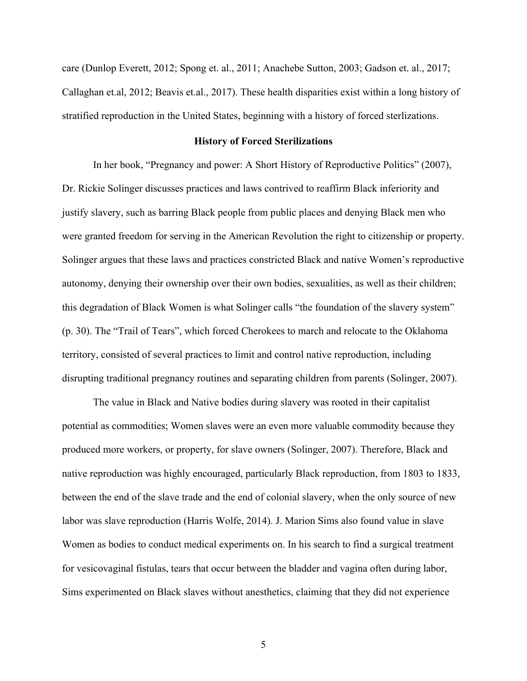care (Dunlop Everett, 2012; Spong et. al., 2011; Anachebe Sutton, 2003; Gadson et. al., 2017; Callaghan et.al, 2012; Beavis et.al., 2017). These health disparities exist within a long history of stratified reproduction in the United States, beginning with a history of forced sterlizations.

#### **History of Forced Sterilizations**

In her book, "Pregnancy and power: A Short History of Reproductive Politics" (2007), Dr. Rickie Solinger discusses practices and laws contrived to reaffirm Black inferiority and justify slavery, such as barring Black people from public places and denying Black men who were granted freedom for serving in the American Revolution the right to citizenship or property. Solinger argues that these laws and practices constricted Black and native Women's reproductive autonomy, denying their ownership over their own bodies, sexualities, as well as their children; this degradation of Black Women is what Solinger calls "the foundation of the slavery system" (p. 30). The "Trail of Tears", which forced Cherokees to march and relocate to the Oklahoma territory, consisted of several practices to limit and control native reproduction, including disrupting traditional pregnancy routines and separating children from parents (Solinger, 2007).

The value in Black and Native bodies during slavery was rooted in their capitalist potential as commodities; Women slaves were an even more valuable commodity because they produced more workers, or property, for slave owners (Solinger, 2007). Therefore, Black and native reproduction was highly encouraged, particularly Black reproduction, from 1803 to 1833, between the end of the slave trade and the end of colonial slavery, when the only source of new labor was slave reproduction (Harris Wolfe, 2014). J. Marion Sims also found value in slave Women as bodies to conduct medical experiments on. In his search to find a surgical treatment for vesicovaginal fistulas, tears that occur between the bladder and vagina often during labor, Sims experimented on Black slaves without anesthetics, claiming that they did not experience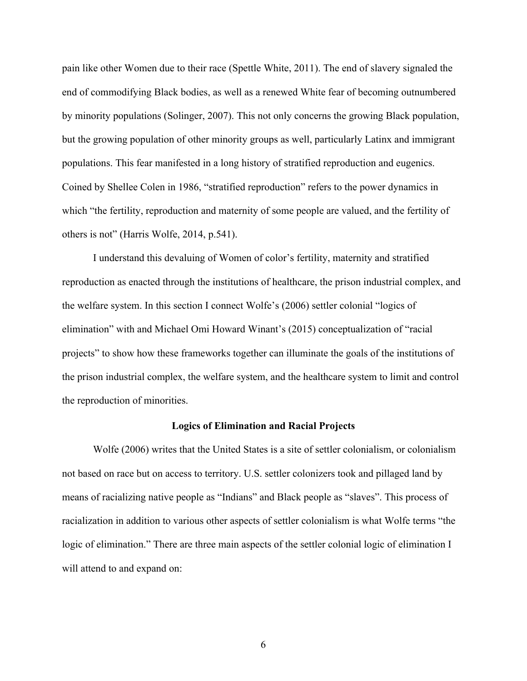pain like other Women due to their race (Spettle White, 2011). The end of slavery signaled the end of commodifying Black bodies, as well as a renewed White fear of becoming outnumbered by minority populations (Solinger, 2007). This not only concerns the growing Black population, but the growing population of other minority groups as well, particularly Latinx and immigrant populations. This fear manifested in a long history of stratified reproduction and eugenics. Coined by Shellee Colen in 1986, "stratified reproduction" refers to the power dynamics in which "the fertility, reproduction and maternity of some people are valued, and the fertility of others is not" (Harris Wolfe, 2014, p.541).

I understand this devaluing of Women of color's fertility, maternity and stratified reproduction as enacted through the institutions of healthcare, the prison industrial complex, and the welfare system. In this section I connect Wolfe's (2006) settler colonial "logics of elimination" with and Michael Omi Howard Winant's (2015) conceptualization of "racial projects" to show how these frameworks together can illuminate the goals of the institutions of the prison industrial complex, the welfare system, and the healthcare system to limit and control the reproduction of minorities.

#### **Logics of Elimination and Racial Projects**

Wolfe (2006) writes that the United States is a site of settler colonialism, or colonialism not based on race but on access to territory. U.S. settler colonizers took and pillaged land by means of racializing native people as "Indians" and Black people as "slaves". This process of racialization in addition to various other aspects of settler colonialism is what Wolfe terms "the logic of elimination." There are three main aspects of the settler colonial logic of elimination I will attend to and expand on: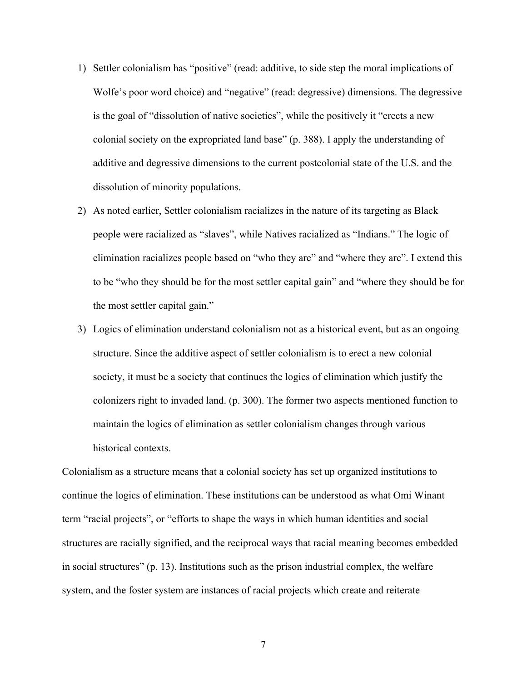- 1) Settler colonialism has "positive" (read: additive, to side step the moral implications of Wolfe's poor word choice) and "negative" (read: degressive) dimensions. The degressive is the goal of "dissolution of native societies", while the positively it "erects a new colonial society on the expropriated land base" (p. 388). I apply the understanding of additive and degressive dimensions to the current postcolonial state of the U.S. and the dissolution of minority populations.
- 2) As noted earlier, Settler colonialism racializes in the nature of its targeting as Black people were racialized as "slaves", while Natives racialized as "Indians." The logic of elimination racializes people based on "who they are" and "where they are". I extend this to be "who they should be for the most settler capital gain" and "where they should be for the most settler capital gain."
- 3) Logics of elimination understand colonialism not as a historical event, but as an ongoing structure. Since the additive aspect of settler colonialism is to erect a new colonial society, it must be a society that continues the logics of elimination which justify the colonizers right to invaded land. (p. 300). The former two aspects mentioned function to maintain the logics of elimination as settler colonialism changes through various historical contexts.

Colonialism as a structure means that a colonial society has set up organized institutions to continue the logics of elimination. These institutions can be understood as what Omi Winant term "racial projects", or "efforts to shape the ways in which human identities and social structures are racially signified, and the reciprocal ways that racial meaning becomes embedded in social structures" (p. 13). Institutions such as the prison industrial complex, the welfare system, and the foster system are instances of racial projects which create and reiterate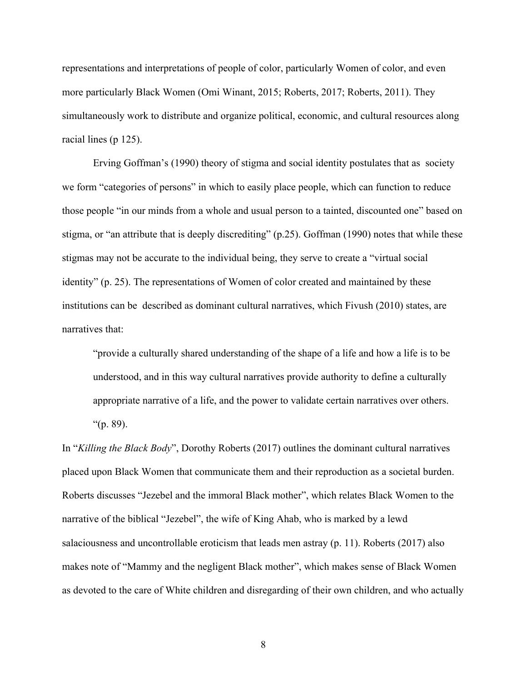representations and interpretations of people of color, particularly Women of color, and even more particularly Black Women (Omi Winant, 2015; Roberts, 2017; Roberts, 2011). They simultaneously work to distribute and organize political, economic, and cultural resources along racial lines (p 125).

Erving Goffman's (1990) theory of stigma and social identity postulates that as society we form "categories of persons" in which to easily place people, which can function to reduce those people "in our minds from a whole and usual person to a tainted, discounted one" based on stigma, or "an attribute that is deeply discrediting" (p.25). Goffman (1990) notes that while these stigmas may not be accurate to the individual being, they serve to create a "virtual social identity" (p. 25). The representations of Women of color created and maintained by these institutions can be described as dominant cultural narratives, which Fivush (2010) states, are narratives that:

"provide a culturally shared understanding of the shape of a life and how a life is to be understood, and in this way cultural narratives provide authority to define a culturally appropriate narrative of a life, and the power to validate certain narratives over others. " $(p. 89)$ .

In "*Killing the Black Body*", Dorothy Roberts (2017) outlines the dominant cultural narratives placed upon Black Women that communicate them and their reproduction as a societal burden. Roberts discusses "Jezebel and the immoral Black mother", which relates Black Women to the narrative of the biblical "Jezebel", the wife of King Ahab, who is marked by a lewd salaciousness and uncontrollable eroticism that leads men astray (p. 11). Roberts (2017) also makes note of "Mammy and the negligent Black mother", which makes sense of Black Women as devoted to the care of White children and disregarding of their own children, and who actually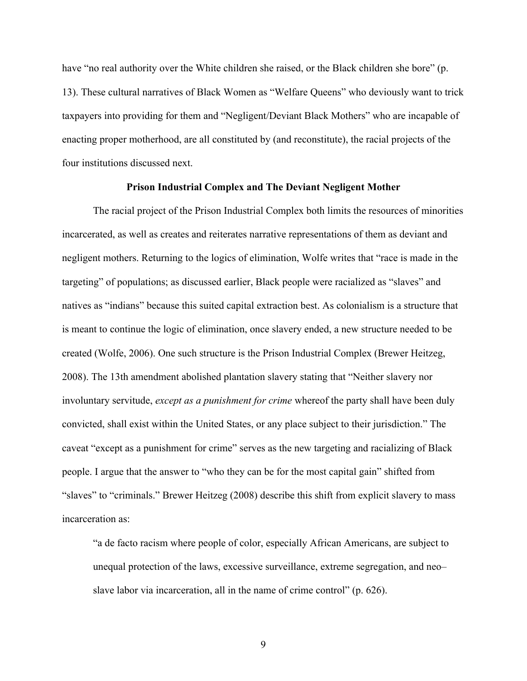have "no real authority over the White children she raised, or the Black children she bore" (p. 13). These cultural narratives of Black Women as "Welfare Queens" who deviously want to trick taxpayers into providing for them and "Negligent/Deviant Black Mothers" who are incapable of enacting proper motherhood, are all constituted by (and reconstitute), the racial projects of the four institutions discussed next.

#### **Prison Industrial Complex and The Deviant Negligent Mother**

The racial project of the Prison Industrial Complex both limits the resources of minorities incarcerated, as well as creates and reiterates narrative representations of them as deviant and negligent mothers. Returning to the logics of elimination, Wolfe writes that "race is made in the targeting" of populations; as discussed earlier, Black people were racialized as "slaves" and natives as "indians" because this suited capital extraction best. As colonialism is a structure that is meant to continue the logic of elimination, once slavery ended, a new structure needed to be created (Wolfe, 2006). One such structure is the Prison Industrial Complex (Brewer Heitzeg, 2008). The 13th amendment abolished plantation slavery stating that "Neither slavery nor involuntary servitude, *except as a punishment for crime* whereof the party shall have been duly convicted, shall exist within the United States, or any place subject to their jurisdiction." The caveat "except as a punishment for crime" serves as the new targeting and racializing of Black people. I argue that the answer to "who they can be for the most capital gain" shifted from "slaves" to "criminals." Brewer Heitzeg (2008) describe this shift from explicit slavery to mass incarceration as:

"a de facto racism where people of color, especially African Americans, are subject to unequal protection of the laws, excessive surveillance, extreme segregation, and neo– slave labor via incarceration, all in the name of crime control" (p. 626).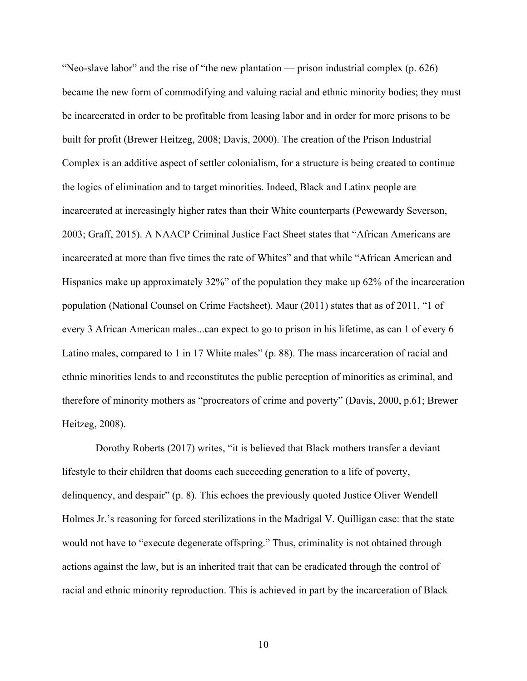"Neo-slave labor" and the rise of "the new plantation — prison industrial complex (p. 626) became the new form of commodifying and valuing racial and ethnic minority bodies; they must be incarcerated in order to be profitable from leasing labor and in order for more prisons to be built for profit (Brewer Heitzeg, 2008; Davis, 2000). The creation of the Prison Industrial Complex is an additive aspect of settler colonialism, for a structure is being created to continue the logics of elimination and to target minorities. Indeed, Black and Latinx people are incarcerated at increasingly higher rates than their White counterparts (Pewewardy Severson, 2003; Graff, 2015). A NAACP Criminal Justice Fact Sheet states that "African Americans are incarcerated at more than five times the rate of Whites" and that while "African American and Hispanics make up approximately 32%" of the population they make up 62% of the incarceration population (National Counsel on Crime Factsheet). Maur (2011) states that as of 2011, "1 of every 3 African American males...can expect to go to prison in his lifetime, as can 1 of every 6 Latino males, compared to 1 in 17 White males" (p. 88). The mass incarceration of racial and ethnic minorities lends to and reconstitutes the public perception of minorities as criminal, and therefore of minority mothers as "procreators of crime and poverty" (Davis, 2000, p.61; Brewer Heitzeg, 2008).

Dorothy Roberts (2017) writes, "it is believed that Black mothers transfer a deviant lifestyle to their children that dooms each succeeding generation to a life of poverty, delinquency, and despair" (p. 8). This echoes the previously quoted Justice Oliver Wendell Holmes Jr.'s reasoning for forced sterilizations in the Madrigal V. Quilligan case: that the state would not have to "execute degenerate offspring." Thus, criminality is not obtained through actions against the law, but is an inherited trait that can be eradicated through the control of racial and ethnic minority reproduction. This is achieved in part by the incarceration of Black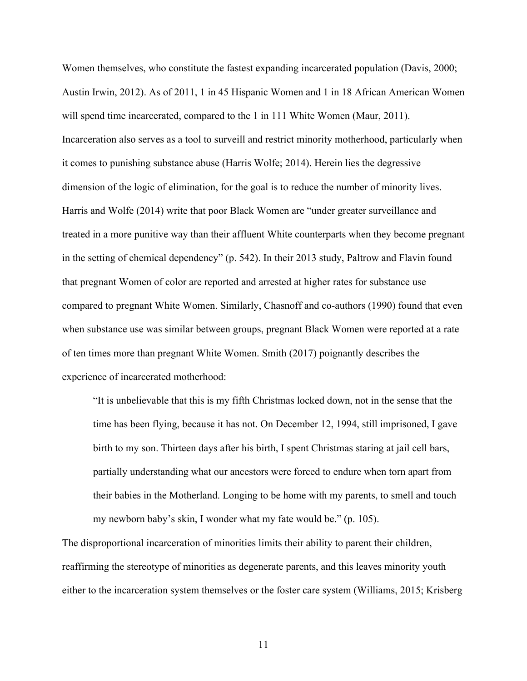Women themselves, who constitute the fastest expanding incarcerated population (Davis, 2000; Austin Irwin, 2012). As of 2011, 1 in 45 Hispanic Women and 1 in 18 African American Women will spend time incarcerated, compared to the 1 in 111 White Women (Maur, 2011). Incarceration also serves as a tool to surveill and restrict minority motherhood, particularly when it comes to punishing substance abuse (Harris Wolfe; 2014). Herein lies the degressive dimension of the logic of elimination, for the goal is to reduce the number of minority lives. Harris and Wolfe (2014) write that poor Black Women are "under greater surveillance and treated in a more punitive way than their affluent White counterparts when they become pregnant in the setting of chemical dependency" (p. 542). In their 2013 study, Paltrow and Flavin found that pregnant Women of color are reported and arrested at higher rates for substance use compared to pregnant White Women. Similarly, Chasnoff and co-authors (1990) found that even when substance use was similar between groups, pregnant Black Women were reported at a rate of ten times more than pregnant White Women. Smith (2017) poignantly describes the experience of incarcerated motherhood:

"It is unbelievable that this is my fifth Christmas locked down, not in the sense that the time has been flying, because it has not. On December 12, 1994, still imprisoned, I gave birth to my son. Thirteen days after his birth, I spent Christmas staring at jail cell bars, partially understanding what our ancestors were forced to endure when torn apart from their babies in the Motherland. Longing to be home with my parents, to smell and touch my newborn baby's skin, I wonder what my fate would be." (p. 105).

The disproportional incarceration of minorities limits their ability to parent their children, reaffirming the stereotype of minorities as degenerate parents, and this leaves minority youth either to the incarceration system themselves or the foster care system (Williams, 2015; Krisberg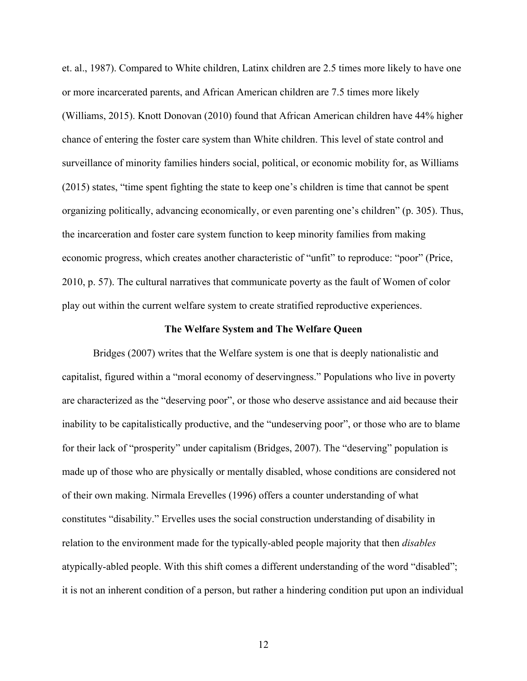et. al., 1987). Compared to White children, Latinx children are 2.5 times more likely to have one or more incarcerated parents, and African American children are 7.5 times more likely (Williams, 2015). Knott Donovan (2010) found that African American children have 44% higher chance of entering the foster care system than White children. This level of state control and surveillance of minority families hinders social, political, or economic mobility for, as Williams (2015) states, "time spent fighting the state to keep one's children is time that cannot be spent organizing politically, advancing economically, or even parenting one's children" (p. 305). Thus, the incarceration and foster care system function to keep minority families from making economic progress, which creates another characteristic of "unfit" to reproduce: "poor" (Price, 2010, p. 57). The cultural narratives that communicate poverty as the fault of Women of color play out within the current welfare system to create stratified reproductive experiences.

#### **The Welfare System and The Welfare Queen**

Bridges (2007) writes that the Welfare system is one that is deeply nationalistic and capitalist, figured within a "moral economy of deservingness." Populations who live in poverty are characterized as the "deserving poor", or those who deserve assistance and aid because their inability to be capitalistically productive, and the "undeserving poor", or those who are to blame for their lack of "prosperity" under capitalism (Bridges, 2007). The "deserving" population is made up of those who are physically or mentally disabled, whose conditions are considered not of their own making. Nirmala Erevelles (1996) offers a counter understanding of what constitutes "disability." Ervelles uses the social construction understanding of disability in relation to the environment made for the typically-abled people majority that then *disables* atypically-abled people. With this shift comes a different understanding of the word "disabled"; it is not an inherent condition of a person, but rather a hindering condition put upon an individual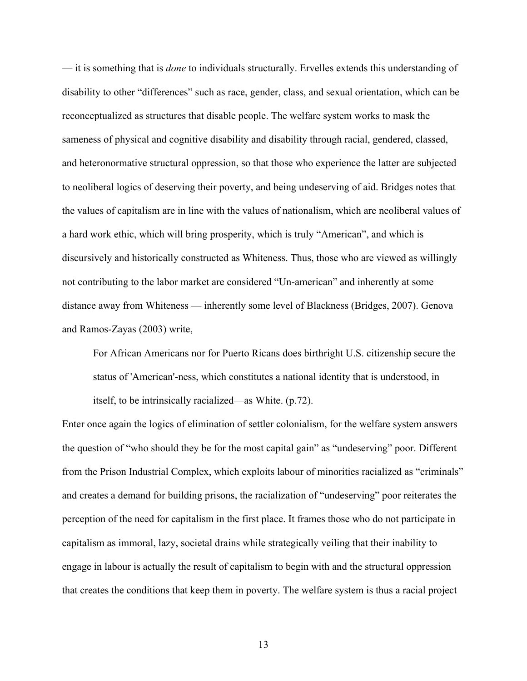— it is something that is *done* to individuals structurally. Ervelles extends this understanding of disability to other "differences" such as race, gender, class, and sexual orientation, which can be reconceptualized as structures that disable people. The welfare system works to mask the sameness of physical and cognitive disability and disability through racial, gendered, classed, and heteronormative structural oppression, so that those who experience the latter are subjected to neoliberal logics of deserving their poverty, and being undeserving of aid. Bridges notes that the values of capitalism are in line with the values of nationalism, which are neoliberal values of a hard work ethic, which will bring prosperity, which is truly "American", and which is discursively and historically constructed as Whiteness. Thus, those who are viewed as willingly not contributing to the labor market are considered "Un-american" and inherently at some distance away from Whiteness — inherently some level of Blackness (Bridges, 2007). Genova and Ramos-Zayas (2003) write,

For African Americans nor for Puerto Ricans does birthright U.S. citizenship secure the status of 'American'-ness, which constitutes a national identity that is understood, in itself, to be intrinsically racialized—as White. (p.72).

Enter once again the logics of elimination of settler colonialism, for the welfare system answers the question of "who should they be for the most capital gain" as "undeserving" poor. Different from the Prison Industrial Complex, which exploits labour of minorities racialized as "criminals" and creates a demand for building prisons, the racialization of "undeserving" poor reiterates the perception of the need for capitalism in the first place. It frames those who do not participate in capitalism as immoral, lazy, societal drains while strategically veiling that their inability to engage in labour is actually the result of capitalism to begin with and the structural oppression that creates the conditions that keep them in poverty. The welfare system is thus a racial project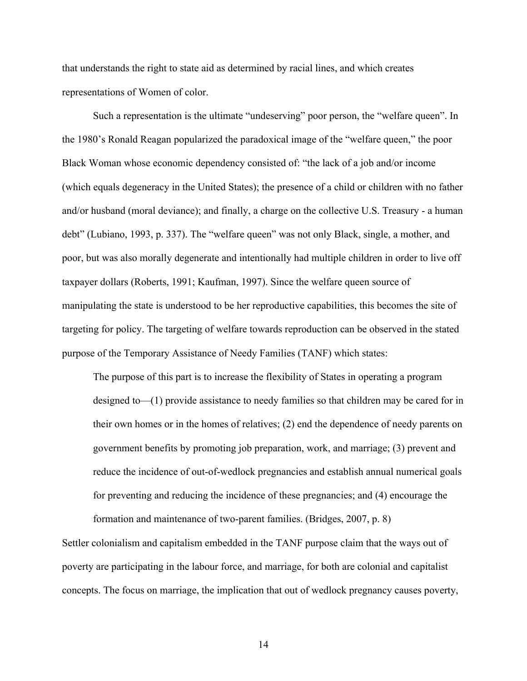that understands the right to state aid as determined by racial lines, and which creates representations of Women of color.

Such a representation is the ultimate "undeserving" poor person, the "welfare queen". In the 1980's Ronald Reagan popularized the paradoxical image of the "welfare queen," the poor Black Woman whose economic dependency consisted of: "the lack of a job and/or income (which equals degeneracy in the United States); the presence of a child or children with no father and/or husband (moral deviance); and finally, a charge on the collective U.S. Treasury - a human debt" (Lubiano, 1993, p. 337). The "welfare queen" was not only Black, single, a mother, and poor, but was also morally degenerate and intentionally had multiple children in order to live off taxpayer dollars (Roberts, 1991; Kaufman, 1997). Since the welfare queen source of manipulating the state is understood to be her reproductive capabilities, this becomes the site of targeting for policy. The targeting of welfare towards reproduction can be observed in the stated purpose of the Temporary Assistance of Needy Families (TANF) which states:

The purpose of this part is to increase the flexibility of States in operating a program designed to—(1) provide assistance to needy families so that children may be cared for in their own homes or in the homes of relatives; (2) end the dependence of needy parents on government benefits by promoting job preparation, work, and marriage; (3) prevent and reduce the incidence of out-of-wedlock pregnancies and establish annual numerical goals for preventing and reducing the incidence of these pregnancies; and (4) encourage the

Settler colonialism and capitalism embedded in the TANF purpose claim that the ways out of poverty are participating in the labour force, and marriage, for both are colonial and capitalist concepts. The focus on marriage, the implication that out of wedlock pregnancy causes poverty,

formation and maintenance of two-parent families. (Bridges, 2007, p. 8)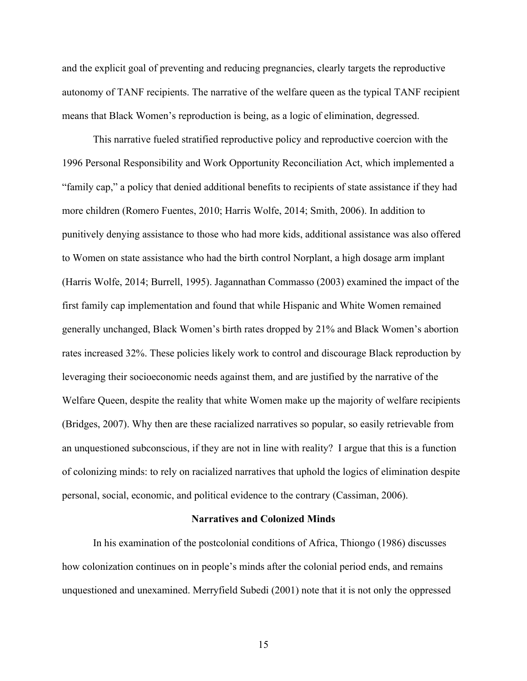and the explicit goal of preventing and reducing pregnancies, clearly targets the reproductive autonomy of TANF recipients. The narrative of the welfare queen as the typical TANF recipient means that Black Women's reproduction is being, as a logic of elimination, degressed.

This narrative fueled stratified reproductive policy and reproductive coercion with the 1996 Personal Responsibility and Work Opportunity Reconciliation Act, which implemented a "family cap," a policy that denied additional benefits to recipients of state assistance if they had more children (Romero Fuentes, 2010; Harris Wolfe, 2014; Smith, 2006). In addition to punitively denying assistance to those who had more kids, additional assistance was also offered to Women on state assistance who had the birth control Norplant, a high dosage arm implant (Harris Wolfe, 2014; Burrell, 1995). Jagannathan Commasso (2003) examined the impact of the first family cap implementation and found that while Hispanic and White Women remained generally unchanged, Black Women's birth rates dropped by 21% and Black Women's abortion rates increased 32%. These policies likely work to control and discourage Black reproduction by leveraging their socioeconomic needs against them, and are justified by the narrative of the Welfare Queen, despite the reality that white Women make up the majority of welfare recipients (Bridges, 2007). Why then are these racialized narratives so popular, so easily retrievable from an unquestioned subconscious, if they are not in line with reality? I argue that this is a function of colonizing minds: to rely on racialized narratives that uphold the logics of elimination despite personal, social, economic, and political evidence to the contrary (Cassiman, 2006).

#### **Narratives and Colonized Minds**

In his examination of the postcolonial conditions of Africa, Thiongo (1986) discusses how colonization continues on in people's minds after the colonial period ends, and remains unquestioned and unexamined. Merryfield Subedi (2001) note that it is not only the oppressed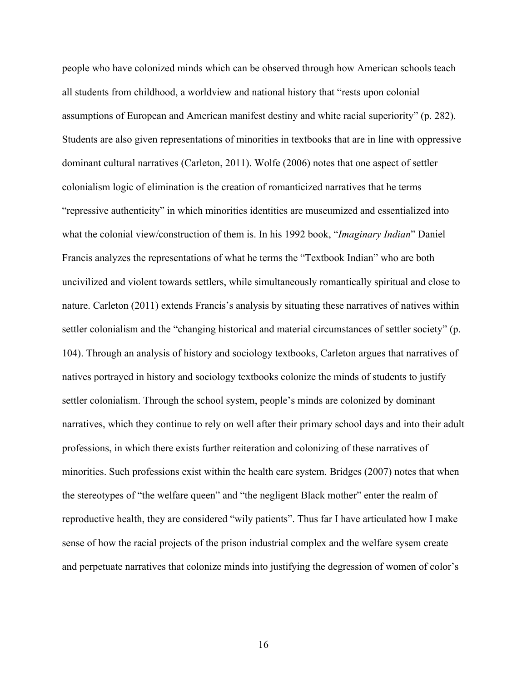people who have colonized minds which can be observed through how American schools teach all students from childhood, a worldview and national history that "rests upon colonial assumptions of European and American manifest destiny and white racial superiority" (p. 282). Students are also given representations of minorities in textbooks that are in line with oppressive dominant cultural narratives (Carleton, 2011). Wolfe (2006) notes that one aspect of settler colonialism logic of elimination is the creation of romanticized narratives that he terms "repressive authenticity" in which minorities identities are museumized and essentialized into what the colonial view/construction of them is. In his 1992 book, "*Imaginary Indian*" Daniel Francis analyzes the representations of what he terms the "Textbook Indian" who are both uncivilized and violent towards settlers, while simultaneously romantically spiritual and close to nature. Carleton (2011) extends Francis's analysis by situating these narratives of natives within settler colonialism and the "changing historical and material circumstances of settler society" (p. 104). Through an analysis of history and sociology textbooks, Carleton argues that narratives of natives portrayed in history and sociology textbooks colonize the minds of students to justify settler colonialism. Through the school system, people's minds are colonized by dominant narratives, which they continue to rely on well after their primary school days and into their adult professions, in which there exists further reiteration and colonizing of these narratives of minorities. Such professions exist within the health care system. Bridges (2007) notes that when the stereotypes of "the welfare queen" and "the negligent Black mother" enter the realm of reproductive health, they are considered "wily patients". Thus far I have articulated how I make sense of how the racial projects of the prison industrial complex and the welfare sysem create and perpetuate narratives that colonize minds into justifying the degression of women of color's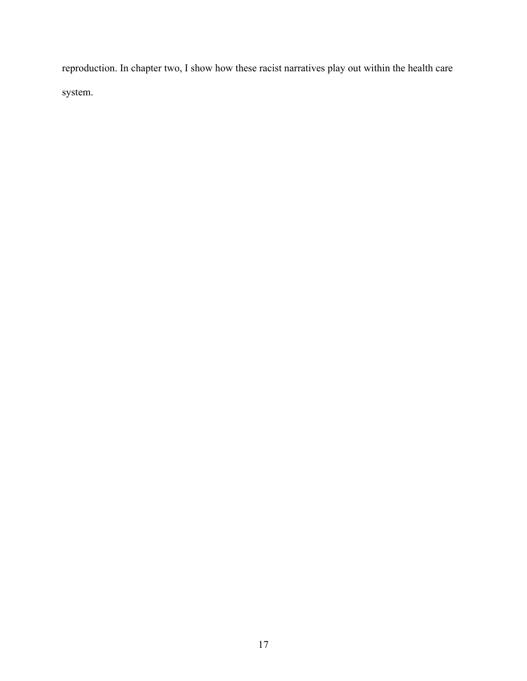reproduction. In chapter two, I show how these racist narratives play out within the health care system.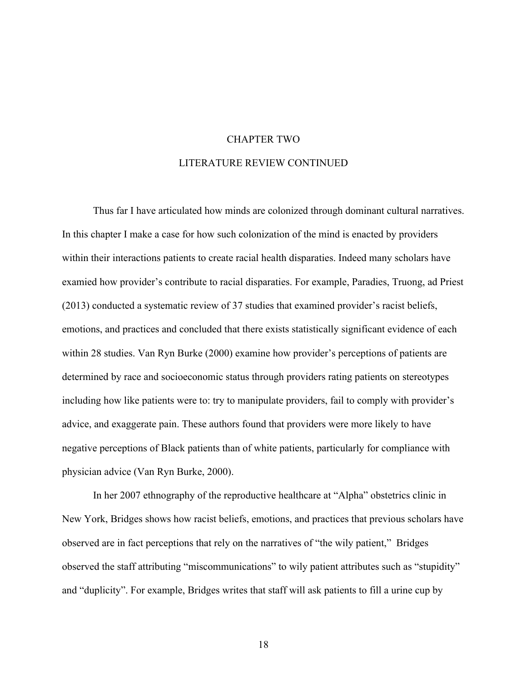# CHAPTER TWO LITERATURE REVIEW CONTINUED

Thus far I have articulated how minds are colonized through dominant cultural narratives. In this chapter I make a case for how such colonization of the mind is enacted by providers within their interactions patients to create racial health disparaties. Indeed many scholars have examied how provider's contribute to racial disparaties. For example, Paradies, Truong, ad Priest (2013) conducted a systematic review of 37 studies that examined provider's racist beliefs, emotions, and practices and concluded that there exists statistically significant evidence of each within 28 studies. Van Ryn Burke (2000) examine how provider's perceptions of patients are determined by race and socioeconomic status through providers rating patients on stereotypes including how like patients were to: try to manipulate providers, fail to comply with provider's advice, and exaggerate pain. These authors found that providers were more likely to have negative perceptions of Black patients than of white patients, particularly for compliance with physician advice (Van Ryn Burke, 2000).

In her 2007 ethnography of the reproductive healthcare at "Alpha" obstetrics clinic in New York, Bridges shows how racist beliefs, emotions, and practices that previous scholars have observed are in fact perceptions that rely on the narratives of "the wily patient," Bridges observed the staff attributing "miscommunications" to wily patient attributes such as "stupidity" and "duplicity". For example, Bridges writes that staff will ask patients to fill a urine cup by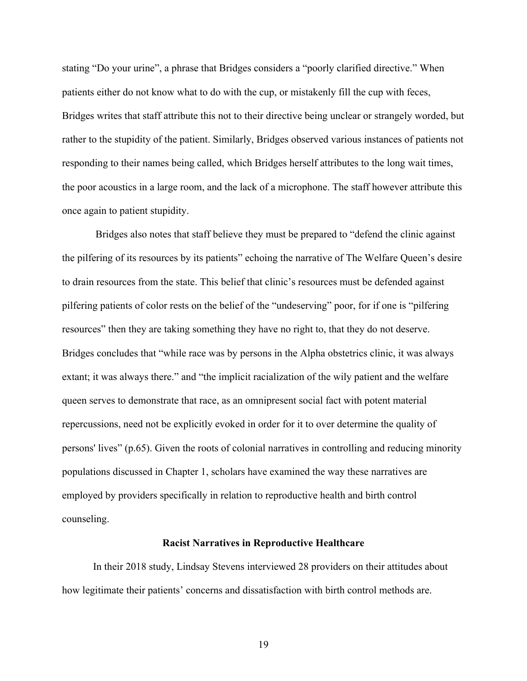stating "Do your urine", a phrase that Bridges considers a "poorly clarified directive." When patients either do not know what to do with the cup, or mistakenly fill the cup with feces, Bridges writes that staff attribute this not to their directive being unclear or strangely worded, but rather to the stupidity of the patient. Similarly, Bridges observed various instances of patients not responding to their names being called, which Bridges herself attributes to the long wait times, the poor acoustics in a large room, and the lack of a microphone. The staff however attribute this once again to patient stupidity.

Bridges also notes that staff believe they must be prepared to "defend the clinic against the pilfering of its resources by its patients" echoing the narrative of The Welfare Queen's desire to drain resources from the state. This belief that clinic's resources must be defended against pilfering patients of color rests on the belief of the "undeserving" poor, for if one is "pilfering resources" then they are taking something they have no right to, that they do not deserve. Bridges concludes that "while race was by persons in the Alpha obstetrics clinic, it was always extant; it was always there." and "the implicit racialization of the wily patient and the welfare queen serves to demonstrate that race, as an omnipresent social fact with potent material repercussions, need not be explicitly evoked in order for it to over determine the quality of persons' lives" (p.65). Given the roots of colonial narratives in controlling and reducing minority populations discussed in Chapter 1, scholars have examined the way these narratives are employed by providers specifically in relation to reproductive health and birth control counseling.

#### **Racist Narratives in Reproductive Healthcare**

In their 2018 study, Lindsay Stevens interviewed 28 providers on their attitudes about how legitimate their patients' concerns and dissatisfaction with birth control methods are.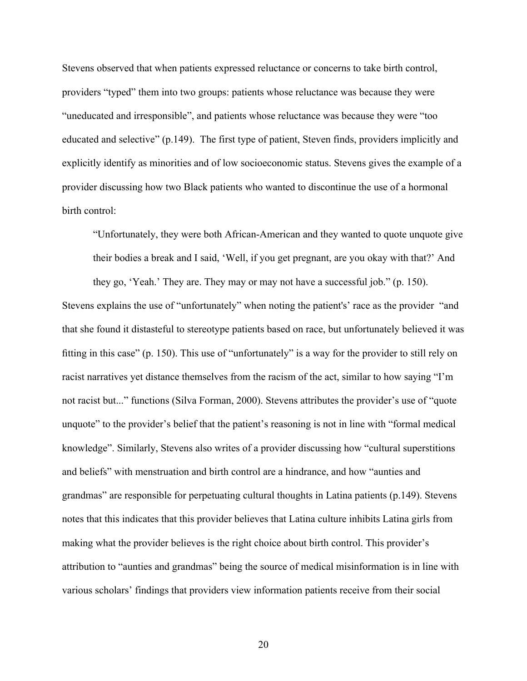Stevens observed that when patients expressed reluctance or concerns to take birth control, providers "typed" them into two groups: patients whose reluctance was because they were "uneducated and irresponsible", and patients whose reluctance was because they were "too educated and selective" (p.149). The first type of patient, Steven finds, providers implicitly and explicitly identify as minorities and of low socioeconomic status. Stevens gives the example of a provider discussing how two Black patients who wanted to discontinue the use of a hormonal birth control:

"Unfortunately, they were both African-American and they wanted to quote unquote give their bodies a break and I said, 'Well, if you get pregnant, are you okay with that?' And they go, 'Yeah.' They are. They may or may not have a successful job." (p. 150).

Stevens explains the use of "unfortunately" when noting the patient's' race as the provider "and that she found it distasteful to stereotype patients based on race, but unfortunately believed it was fitting in this case" (p. 150). This use of "unfortunately" is a way for the provider to still rely on racist narratives yet distance themselves from the racism of the act, similar to how saying "I'm not racist but..." functions (Silva Forman, 2000). Stevens attributes the provider's use of "quote unquote" to the provider's belief that the patient's reasoning is not in line with "formal medical knowledge". Similarly, Stevens also writes of a provider discussing how "cultural superstitions and beliefs" with menstruation and birth control are a hindrance, and how "aunties and grandmas" are responsible for perpetuating cultural thoughts in Latina patients (p.149). Stevens notes that this indicates that this provider believes that Latina culture inhibits Latina girls from making what the provider believes is the right choice about birth control. This provider's attribution to "aunties and grandmas" being the source of medical misinformation is in line with various scholars' findings that providers view information patients receive from their social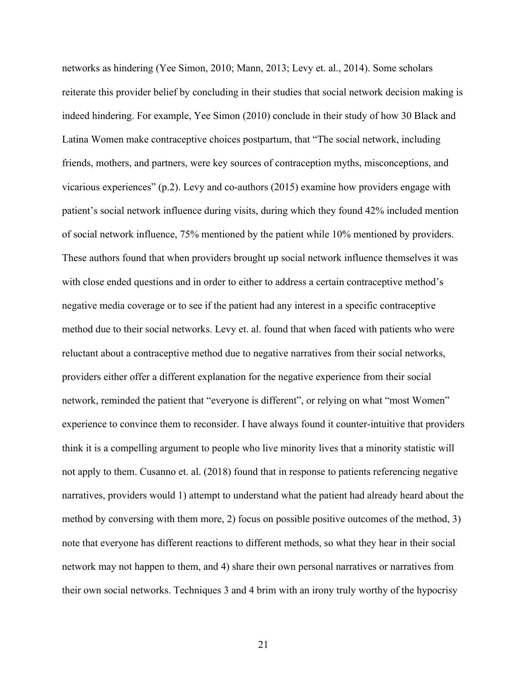networks as hindering (Yee Simon, 2010; Mann, 2013; Levy et. al., 2014). Some scholars reiterate this provider belief by concluding in their studies that social network decision making is indeed hindering. For example, Yee Simon (2010) conclude in their study of how 30 Black and Latina Women make contraceptive choices postpartum, that "The social network, including friends, mothers, and partners, were key sources of contraception myths, misconceptions, and vicarious experiences" (p.2). Levy and co-authors (2015) examine how providers engage with patient's social network influence during visits, during which they found 42% included mention of social network influence, 75% mentioned by the patient while 10% mentioned by providers. These authors found that when providers brought up social network influence themselves it was with close ended questions and in order to either to address a certain contraceptive method's negative media coverage or to see if the patient had any interest in a specific contraceptive method due to their social networks. Levy et. al. found that when faced with patients who were reluctant about a contraceptive method due to negative narratives from their social networks, providers either offer a different explanation for the negative experience from their social network, reminded the patient that "everyone is different", or relying on what "most Women" experience to convince them to reconsider. I have always found it counter-intuitive that providers think it is a compelling argument to people who live minority lives that a minority statistic will not apply to them. Cusanno et. al. (2018) found that in response to patients referencing negative narratives, providers would 1) attempt to understand what the patient had already heard about the method by conversing with them more, 2) focus on possible positive outcomes of the method, 3) note that everyone has different reactions to different methods, so what they hear in their social network may not happen to them, and 4) share their own personal narratives or narratives from their own social networks. Techniques 3 and 4 brim with an irony truly worthy of the hypocrisy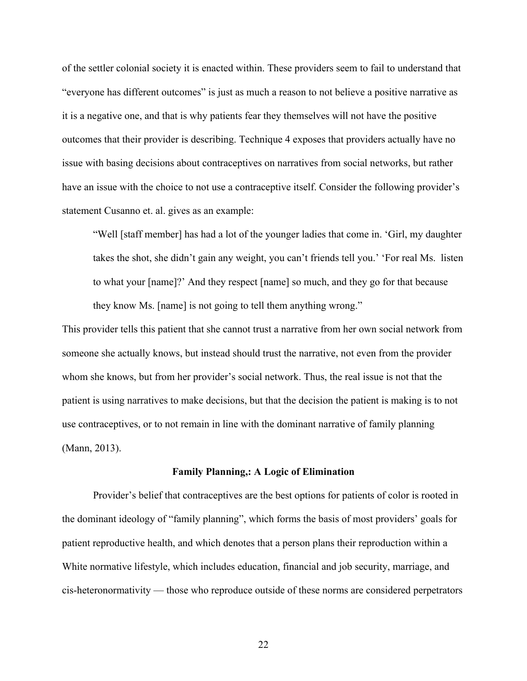of the settler colonial society it is enacted within. These providers seem to fail to understand that "everyone has different outcomes" is just as much a reason to not believe a positive narrative as it is a negative one, and that is why patients fear they themselves will not have the positive outcomes that their provider is describing. Technique 4 exposes that providers actually have no issue with basing decisions about contraceptives on narratives from social networks, but rather have an issue with the choice to not use a contraceptive itself. Consider the following provider's statement Cusanno et. al. gives as an example:

"Well [staff member] has had a lot of the younger ladies that come in. 'Girl, my daughter takes the shot, she didn't gain any weight, you can't friends tell you.' 'For real Ms. listen to what your [name]?' And they respect [name] so much, and they go for that because they know Ms. [name] is not going to tell them anything wrong."

This provider tells this patient that she cannot trust a narrative from her own social network from someone she actually knows, but instead should trust the narrative, not even from the provider whom she knows, but from her provider's social network. Thus, the real issue is not that the patient is using narratives to make decisions, but that the decision the patient is making is to not use contraceptives, or to not remain in line with the dominant narrative of family planning (Mann, 2013).

#### **Family Planning,: A Logic of Elimination**

Provider's belief that contraceptives are the best options for patients of color is rooted in the dominant ideology of "family planning", which forms the basis of most providers' goals for patient reproductive health, and which denotes that a person plans their reproduction within a White normative lifestyle, which includes education, financial and job security, marriage, and cis-heteronormativity — those who reproduce outside of these norms are considered perpetrators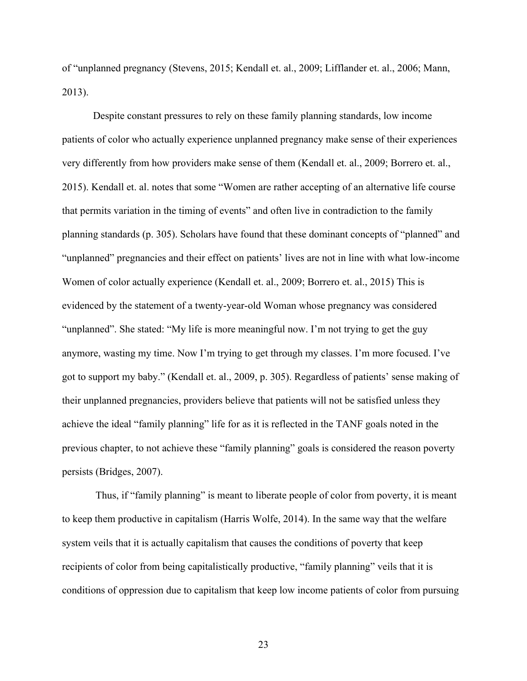of "unplanned pregnancy (Stevens, 2015; Kendall et. al., 2009; Lifflander et. al., 2006; Mann, 2013).

Despite constant pressures to rely on these family planning standards, low income patients of color who actually experience unplanned pregnancy make sense of their experiences very differently from how providers make sense of them (Kendall et. al., 2009; Borrero et. al., 2015). Kendall et. al. notes that some "Women are rather accepting of an alternative life course that permits variation in the timing of events" and often live in contradiction to the family planning standards (p. 305). Scholars have found that these dominant concepts of "planned" and "unplanned" pregnancies and their effect on patients' lives are not in line with what low-income Women of color actually experience (Kendall et. al., 2009; Borrero et. al., 2015) This is evidenced by the statement of a twenty-year-old Woman whose pregnancy was considered "unplanned". She stated: "My life is more meaningful now. I'm not trying to get the guy anymore, wasting my time. Now I'm trying to get through my classes. I'm more focused. I've got to support my baby." (Kendall et. al., 2009, p. 305). Regardless of patients' sense making of their unplanned pregnancies, providers believe that patients will not be satisfied unless they achieve the ideal "family planning" life for as it is reflected in the TANF goals noted in the previous chapter, to not achieve these "family planning" goals is considered the reason poverty persists (Bridges, 2007).

Thus, if "family planning" is meant to liberate people of color from poverty, it is meant to keep them productive in capitalism (Harris Wolfe, 2014). In the same way that the welfare system veils that it is actually capitalism that causes the conditions of poverty that keep recipients of color from being capitalistically productive, "family planning" veils that it is conditions of oppression due to capitalism that keep low income patients of color from pursuing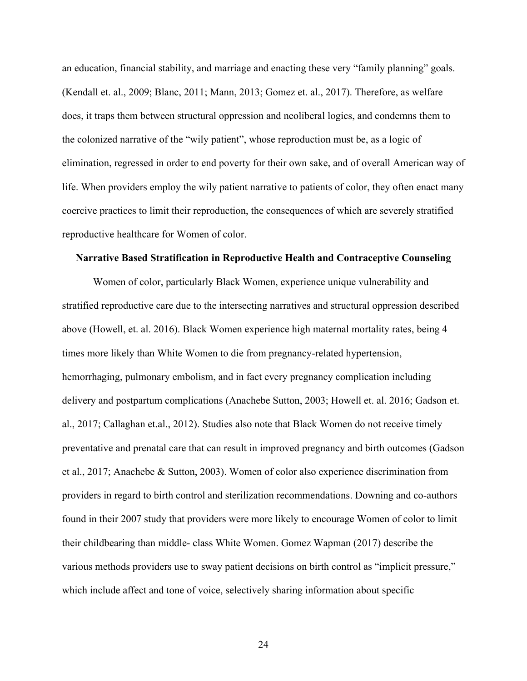an education, financial stability, and marriage and enacting these very "family planning" goals. (Kendall et. al., 2009; Blanc, 2011; Mann, 2013; Gomez et. al., 2017). Therefore, as welfare does, it traps them between structural oppression and neoliberal logics, and condemns them to the colonized narrative of the "wily patient", whose reproduction must be, as a logic of elimination, regressed in order to end poverty for their own sake, and of overall American way of life. When providers employ the wily patient narrative to patients of color, they often enact many coercive practices to limit their reproduction, the consequences of which are severely stratified reproductive healthcare for Women of color.

#### **Narrative Based Stratification in Reproductive Health and Contraceptive Counseling**

Women of color, particularly Black Women, experience unique vulnerability and stratified reproductive care due to the intersecting narratives and structural oppression described above (Howell, et. al. 2016). Black Women experience high maternal mortality rates, being 4 times more likely than White Women to die from pregnancy-related hypertension, hemorrhaging, pulmonary embolism, and in fact every pregnancy complication including delivery and postpartum complications (Anachebe Sutton, 2003; Howell et. al. 2016; Gadson et. al., 2017; Callaghan et.al., 2012). Studies also note that Black Women do not receive timely preventative and prenatal care that can result in improved pregnancy and birth outcomes (Gadson et al., 2017; Anachebe & Sutton, 2003). Women of color also experience discrimination from providers in regard to birth control and sterilization recommendations. Downing and co-authors found in their 2007 study that providers were more likely to encourage Women of color to limit their childbearing than middle- class White Women. Gomez Wapman (2017) describe the various methods providers use to sway patient decisions on birth control as "implicit pressure," which include affect and tone of voice, selectively sharing information about specific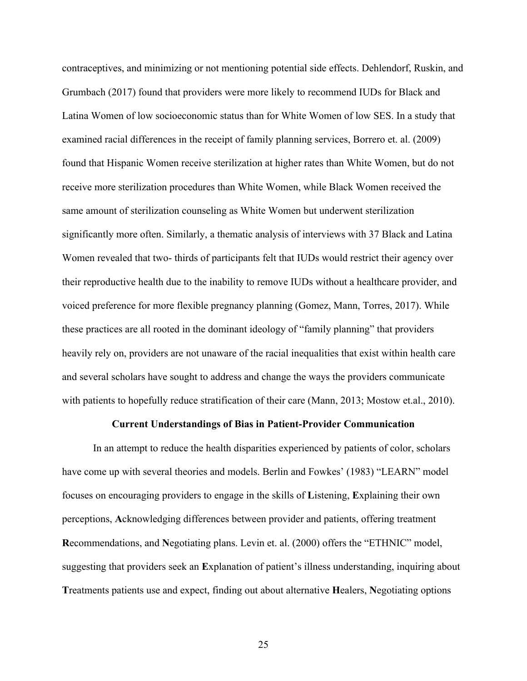contraceptives, and minimizing or not mentioning potential side effects. Dehlendorf, Ruskin, and Grumbach (2017) found that providers were more likely to recommend IUDs for Black and Latina Women of low socioeconomic status than for White Women of low SES. In a study that examined racial differences in the receipt of family planning services, Borrero et. al. (2009) found that Hispanic Women receive sterilization at higher rates than White Women, but do not receive more sterilization procedures than White Women, while Black Women received the same amount of sterilization counseling as White Women but underwent sterilization significantly more often. Similarly, a thematic analysis of interviews with 37 Black and Latina Women revealed that two- thirds of participants felt that IUDs would restrict their agency over their reproductive health due to the inability to remove IUDs without a healthcare provider, and voiced preference for more flexible pregnancy planning (Gomez, Mann, Torres, 2017). While these practices are all rooted in the dominant ideology of "family planning" that providers heavily rely on, providers are not unaware of the racial inequalities that exist within health care and several scholars have sought to address and change the ways the providers communicate with patients to hopefully reduce stratification of their care (Mann, 2013; Mostow et.al., 2010).

#### **Current Understandings of Bias in Patient-Provider Communication**

In an attempt to reduce the health disparities experienced by patients of color, scholars have come up with several theories and models. Berlin and Fowkes' (1983) "LEARN" model focuses on encouraging providers to engage in the skills of **L**istening, **E**xplaining their own perceptions, **A**cknowledging differences between provider and patients, offering treatment **R**ecommendations, and **N**egotiating plans. Levin et. al. (2000) offers the "ETHNIC" model, suggesting that providers seek an **E**xplanation of patient's illness understanding, inquiring about **T**reatments patients use and expect, finding out about alternative **H**ealers, **N**egotiating options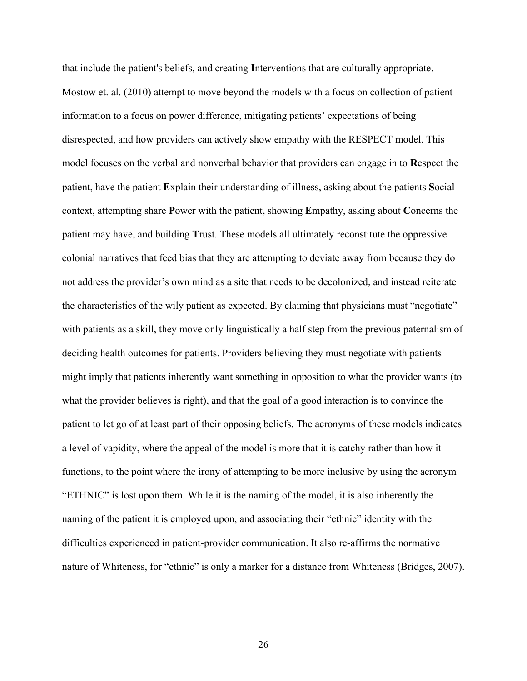that include the patient's beliefs, and creating **I**nterventions that are culturally appropriate. Mostow et. al. (2010) attempt to move beyond the models with a focus on collection of patient information to a focus on power difference, mitigating patients' expectations of being disrespected, and how providers can actively show empathy with the RESPECT model. This model focuses on the verbal and nonverbal behavior that providers can engage in to **R**espect the patient, have the patient **E**xplain their understanding of illness, asking about the patients **S**ocial context, attempting share **P**ower with the patient, showing **E**mpathy, asking about **C**oncerns the patient may have, and building **T**rust. These models all ultimately reconstitute the oppressive colonial narratives that feed bias that they are attempting to deviate away from because they do not address the provider's own mind as a site that needs to be decolonized, and instead reiterate the characteristics of the wily patient as expected. By claiming that physicians must "negotiate" with patients as a skill, they move only linguistically a half step from the previous paternalism of deciding health outcomes for patients. Providers believing they must negotiate with patients might imply that patients inherently want something in opposition to what the provider wants (to what the provider believes is right), and that the goal of a good interaction is to convince the patient to let go of at least part of their opposing beliefs. The acronyms of these models indicates a level of vapidity, where the appeal of the model is more that it is catchy rather than how it functions, to the point where the irony of attempting to be more inclusive by using the acronym "ETHNIC" is lost upon them. While it is the naming of the model, it is also inherently the naming of the patient it is employed upon, and associating their "ethnic" identity with the difficulties experienced in patient-provider communication. It also re-affirms the normative nature of Whiteness, for "ethnic" is only a marker for a distance from Whiteness (Bridges, 2007).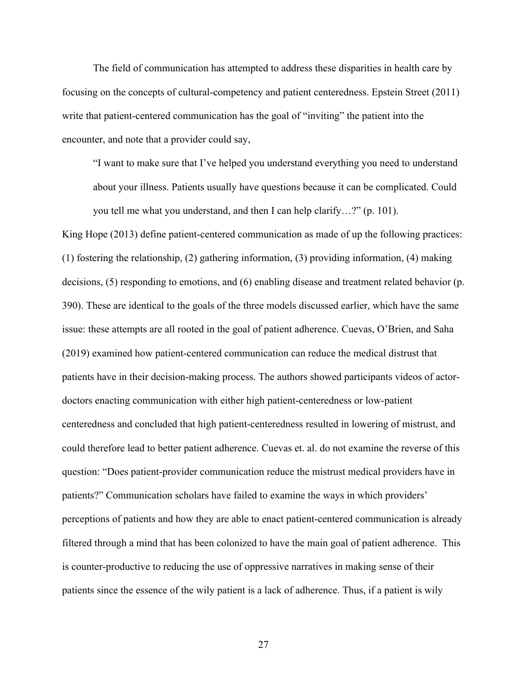The field of communication has attempted to address these disparities in health care by focusing on the concepts of cultural-competency and patient centeredness. Epstein Street (2011) write that patient-centered communication has the goal of "inviting" the patient into the encounter, and note that a provider could say,

"I want to make sure that I've helped you understand everything you need to understand about your illness. Patients usually have questions because it can be complicated. Could you tell me what you understand, and then I can help clarify…?" (p. 101).

King Hope (2013) define patient-centered communication as made of up the following practices: (1) fostering the relationship, (2) gathering information, (3) providing information, (4) making decisions, (5) responding to emotions, and (6) enabling disease and treatment related behavior (p. 390). These are identical to the goals of the three models discussed earlier, which have the same issue: these attempts are all rooted in the goal of patient adherence. Cuevas, O'Brien, and Saha (2019) examined how patient-centered communication can reduce the medical distrust that patients have in their decision-making process. The authors showed participants videos of actordoctors enacting communication with either high patient-centeredness or low-patient centeredness and concluded that high patient-centeredness resulted in lowering of mistrust, and could therefore lead to better patient adherence. Cuevas et. al. do not examine the reverse of this question: "Does patient-provider communication reduce the mistrust medical providers have in patients?" Communication scholars have failed to examine the ways in which providers' perceptions of patients and how they are able to enact patient-centered communication is already filtered through a mind that has been colonized to have the main goal of patient adherence. This is counter-productive to reducing the use of oppressive narratives in making sense of their patients since the essence of the wily patient is a lack of adherence. Thus, if a patient is wily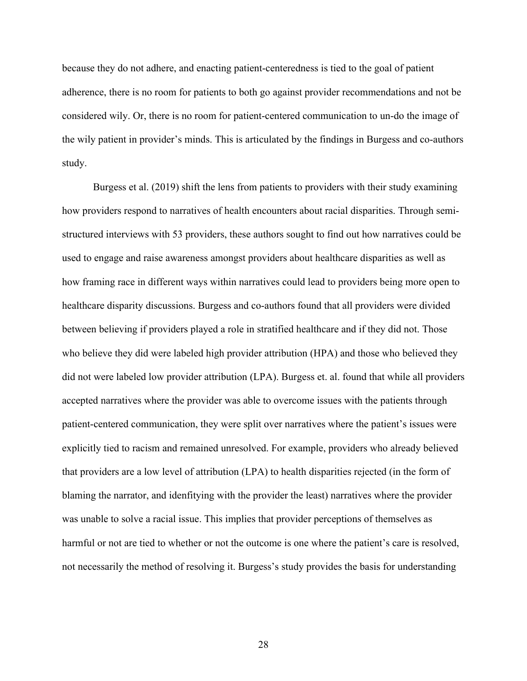because they do not adhere, and enacting patient-centeredness is tied to the goal of patient adherence, there is no room for patients to both go against provider recommendations and not be considered wily. Or, there is no room for patient-centered communication to un-do the image of the wily patient in provider's minds. This is articulated by the findings in Burgess and co-authors study.

Burgess et al. (2019) shift the lens from patients to providers with their study examining how providers respond to narratives of health encounters about racial disparities. Through semistructured interviews with 53 providers, these authors sought to find out how narratives could be used to engage and raise awareness amongst providers about healthcare disparities as well as how framing race in different ways within narratives could lead to providers being more open to healthcare disparity discussions. Burgess and co-authors found that all providers were divided between believing if providers played a role in stratified healthcare and if they did not. Those who believe they did were labeled high provider attribution (HPA) and those who believed they did not were labeled low provider attribution (LPA). Burgess et. al. found that while all providers accepted narratives where the provider was able to overcome issues with the patients through patient-centered communication, they were split over narratives where the patient's issues were explicitly tied to racism and remained unresolved. For example, providers who already believed that providers are a low level of attribution (LPA) to health disparities rejected (in the form of blaming the narrator, and idenfitying with the provider the least) narratives where the provider was unable to solve a racial issue. This implies that provider perceptions of themselves as harmful or not are tied to whether or not the outcome is one where the patient's care is resolved, not necessarily the method of resolving it. Burgess's study provides the basis for understanding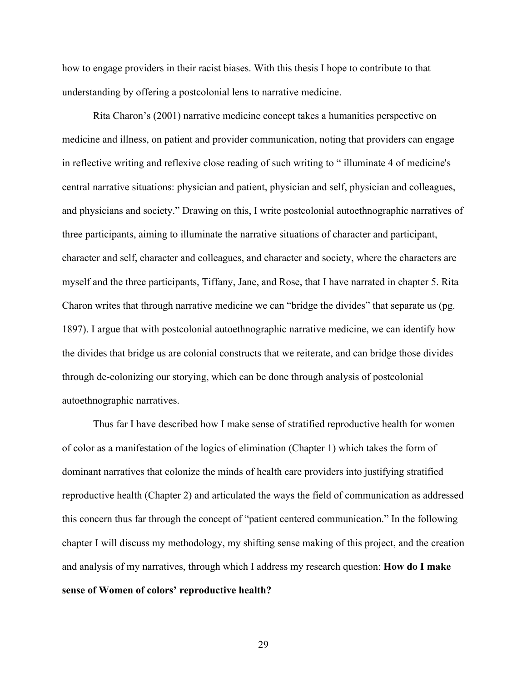how to engage providers in their racist biases. With this thesis I hope to contribute to that understanding by offering a postcolonial lens to narrative medicine.

Rita Charon's (2001) narrative medicine concept takes a humanities perspective on medicine and illness, on patient and provider communication, noting that providers can engage in reflective writing and reflexive close reading of such writing to " illuminate 4 of medicine's central narrative situations: physician and patient, physician and self, physician and colleagues, and physicians and society." Drawing on this, I write postcolonial autoethnographic narratives of three participants, aiming to illuminate the narrative situations of character and participant, character and self, character and colleagues, and character and society, where the characters are myself and the three participants, Tiffany, Jane, and Rose, that I have narrated in chapter 5. Rita Charon writes that through narrative medicine we can "bridge the divides" that separate us (pg. 1897). I argue that with postcolonial autoethnographic narrative medicine, we can identify how the divides that bridge us are colonial constructs that we reiterate, and can bridge those divides through de-colonizing our storying, which can be done through analysis of postcolonial autoethnographic narratives.

Thus far I have described how I make sense of stratified reproductive health for women of color as a manifestation of the logics of elimination (Chapter 1) which takes the form of dominant narratives that colonize the minds of health care providers into justifying stratified reproductive health (Chapter 2) and articulated the ways the field of communication as addressed this concern thus far through the concept of "patient centered communication." In the following chapter I will discuss my methodology, my shifting sense making of this project, and the creation and analysis of my narratives, through which I address my research question: **How do I make sense of Women of colors' reproductive health?**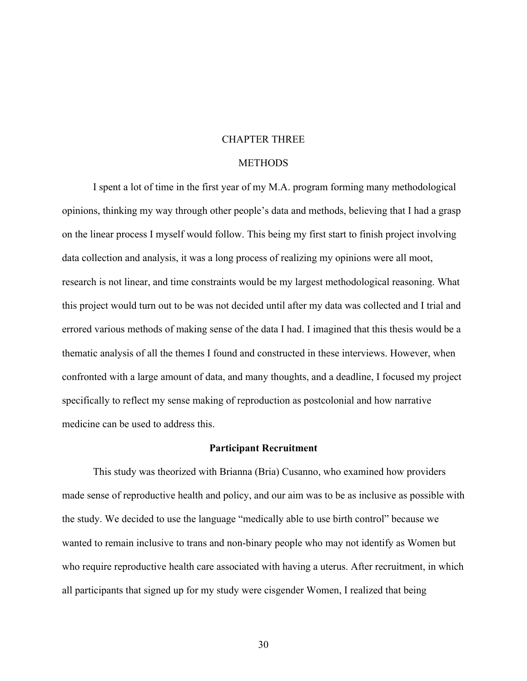# CHAPTER THREE

# **METHODS**

I spent a lot of time in the first year of my M.A. program forming many methodological opinions, thinking my way through other people's data and methods, believing that I had a grasp on the linear process I myself would follow. This being my first start to finish project involving data collection and analysis, it was a long process of realizing my opinions were all moot, research is not linear, and time constraints would be my largest methodological reasoning. What this project would turn out to be was not decided until after my data was collected and I trial and errored various methods of making sense of the data I had. I imagined that this thesis would be a thematic analysis of all the themes I found and constructed in these interviews. However, when confronted with a large amount of data, and many thoughts, and a deadline, I focused my project specifically to reflect my sense making of reproduction as postcolonial and how narrative medicine can be used to address this.

# **Participant Recruitment**

This study was theorized with Brianna (Bria) Cusanno, who examined how providers made sense of reproductive health and policy, and our aim was to be as inclusive as possible with the study. We decided to use the language "medically able to use birth control" because we wanted to remain inclusive to trans and non-binary people who may not identify as Women but who require reproductive health care associated with having a uterus. After recruitment, in which all participants that signed up for my study were cisgender Women, I realized that being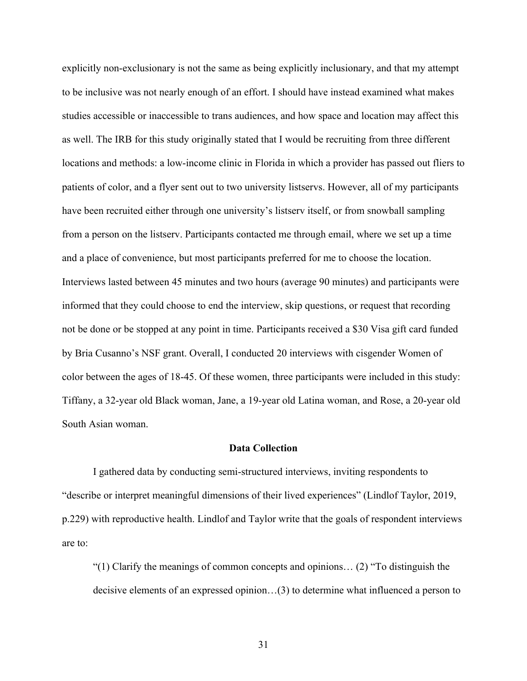explicitly non-exclusionary is not the same as being explicitly inclusionary, and that my attempt to be inclusive was not nearly enough of an effort. I should have instead examined what makes studies accessible or inaccessible to trans audiences, and how space and location may affect this as well. The IRB for this study originally stated that I would be recruiting from three different locations and methods: a low-income clinic in Florida in which a provider has passed out fliers to patients of color, and a flyer sent out to two university listservs. However, all of my participants have been recruited either through one university's listserv itself, or from snowball sampling from a person on the listserv. Participants contacted me through email, where we set up a time and a place of convenience, but most participants preferred for me to choose the location. Interviews lasted between 45 minutes and two hours (average 90 minutes) and participants were informed that they could choose to end the interview, skip questions, or request that recording not be done or be stopped at any point in time. Participants received a \$30 Visa gift card funded by Bria Cusanno's NSF grant. Overall, I conducted 20 interviews with cisgender Women of color between the ages of 18-45. Of these women, three participants were included in this study: Tiffany, a 32-year old Black woman, Jane, a 19-year old Latina woman, and Rose, a 20-year old South Asian woman.

### **Data Collection**

I gathered data by conducting semi-structured interviews, inviting respondents to "describe or interpret meaningful dimensions of their lived experiences" (Lindlof Taylor, 2019, p.229) with reproductive health. Lindlof and Taylor write that the goals of respondent interviews are to:

"(1) Clarify the meanings of common concepts and opinions… (2) "To distinguish the decisive elements of an expressed opinion…(3) to determine what influenced a person to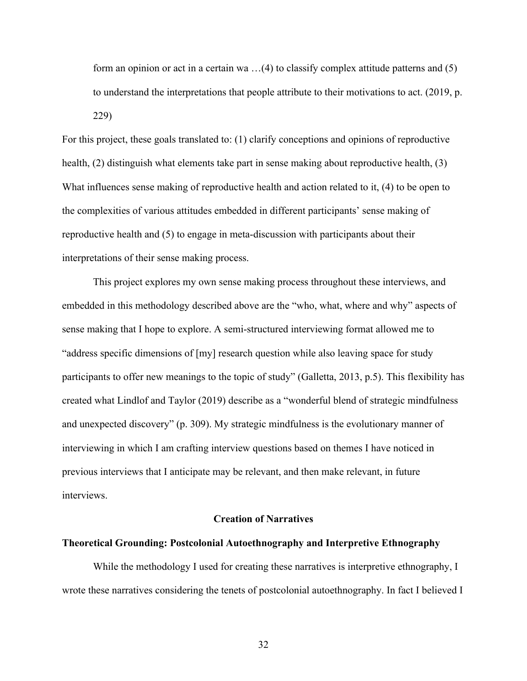form an opinion or act in a certain wa …(4) to classify complex attitude patterns and (5) to understand the interpretations that people attribute to their motivations to act. (2019, p. 229)

For this project, these goals translated to: (1) clarify conceptions and opinions of reproductive health, (2) distinguish what elements take part in sense making about reproductive health, (3) What influences sense making of reproductive health and action related to it, (4) to be open to the complexities of various attitudes embedded in different participants' sense making of reproductive health and (5) to engage in meta-discussion with participants about their interpretations of their sense making process.

This project explores my own sense making process throughout these interviews, and embedded in this methodology described above are the "who, what, where and why" aspects of sense making that I hope to explore. A semi-structured interviewing format allowed me to "address specific dimensions of [my] research question while also leaving space for study participants to offer new meanings to the topic of study" (Galletta, 2013, p.5). This flexibility has created what Lindlof and Taylor (2019) describe as a "wonderful blend of strategic mindfulness and unexpected discovery" (p. 309). My strategic mindfulness is the evolutionary manner of interviewing in which I am crafting interview questions based on themes I have noticed in previous interviews that I anticipate may be relevant, and then make relevant, in future interviews.

## **Creation of Narratives**

#### **Theoretical Grounding: Postcolonial Autoethnography and Interpretive Ethnography**

While the methodology I used for creating these narratives is interpretive ethnography, I wrote these narratives considering the tenets of postcolonial autoethnography. In fact I believed I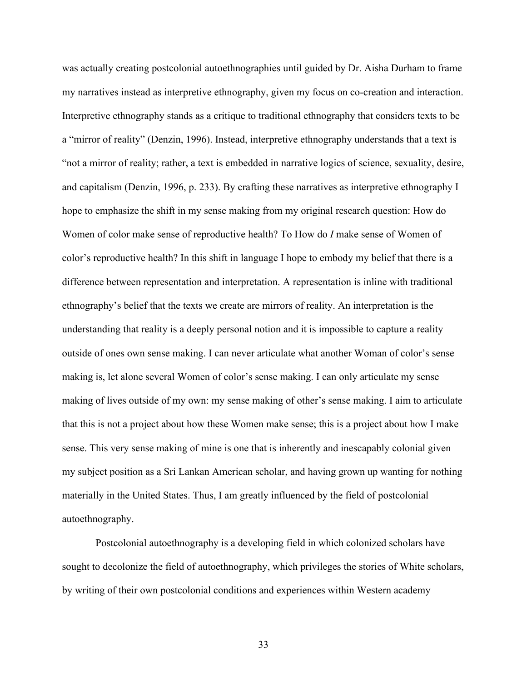was actually creating postcolonial autoethnographies until guided by Dr. Aisha Durham to frame my narratives instead as interpretive ethnography, given my focus on co-creation and interaction. Interpretive ethnography stands as a critique to traditional ethnography that considers texts to be a "mirror of reality" (Denzin, 1996). Instead, interpretive ethnography understands that a text is "not a mirror of reality; rather, a text is embedded in narrative logics of science, sexuality, desire, and capitalism (Denzin, 1996, p. 233). By crafting these narratives as interpretive ethnography I hope to emphasize the shift in my sense making from my original research question: How do Women of color make sense of reproductive health? To How do *I* make sense of Women of color's reproductive health? In this shift in language I hope to embody my belief that there is a difference between representation and interpretation. A representation is inline with traditional ethnography's belief that the texts we create are mirrors of reality. An interpretation is the understanding that reality is a deeply personal notion and it is impossible to capture a reality outside of ones own sense making. I can never articulate what another Woman of color's sense making is, let alone several Women of color's sense making. I can only articulate my sense making of lives outside of my own: my sense making of other's sense making. I aim to articulate that this is not a project about how these Women make sense; this is a project about how I make sense. This very sense making of mine is one that is inherently and inescapably colonial given my subject position as a Sri Lankan American scholar, and having grown up wanting for nothing materially in the United States. Thus, I am greatly influenced by the field of postcolonial autoethnography.

Postcolonial autoethnography is a developing field in which colonized scholars have sought to decolonize the field of autoethnography, which privileges the stories of White scholars, by writing of their own postcolonial conditions and experiences within Western academy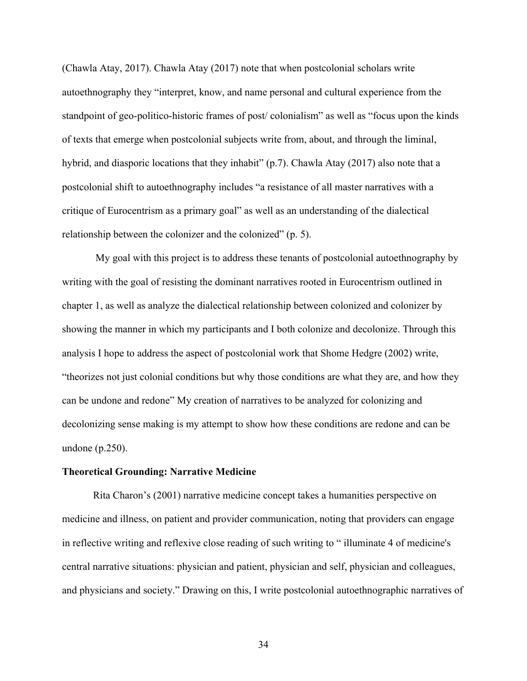(Chawla Atay, 2017). Chawla Atay (2017) note that when postcolonial scholars write autoethnography they "interpret, know, and name personal and cultural experience from the standpoint of geo-politico-historic frames of post/ colonialism" as well as "focus upon the kinds of texts that emerge when postcolonial subjects write from, about, and through the liminal, hybrid, and diasporic locations that they inhabit" (p.7). Chawla Atay (2017) also note that a postcolonial shift to autoethnography includes "a resistance of all master narratives with a critique of Eurocentrism as a primary goal" as well as an understanding of the dialectical relationship between the colonizer and the colonized" (p. 5).

My goal with this project is to address these tenants of postcolonial autoethnography by writing with the goal of resisting the dominant narratives rooted in Eurocentrism outlined in chapter 1, as well as analyze the dialectical relationship between colonized and colonizer by showing the manner in which my participants and I both colonize and decolonize. Through this analysis I hope to address the aspect of postcolonial work that Shome Hedgre (2002) write, "theorizes not just colonial conditions but why those conditions are what they are, and how they can be undone and redone" My creation of narratives to be analyzed for colonizing and decolonizing sense making is my attempt to show how these conditions are redone and can be undone (p.250).

### **Theoretical Grounding: Narrative Medicine**

Rita Charon's (2001) narrative medicine concept takes a humanities perspective on medicine and illness, on patient and provider communication, noting that providers can engage in reflective writing and reflexive close reading of such writing to " illuminate 4 of medicine's central narrative situations: physician and patient, physician and self, physician and colleagues, and physicians and society." Drawing on this, I write postcolonial autoethnographic narratives of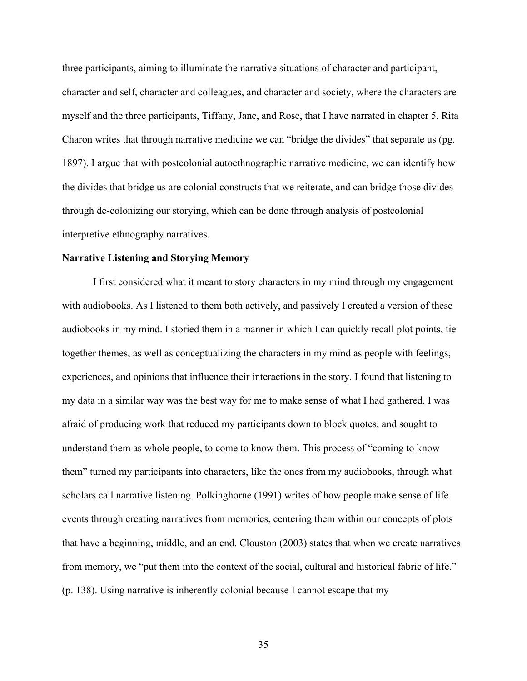three participants, aiming to illuminate the narrative situations of character and participant, character and self, character and colleagues, and character and society, where the characters are myself and the three participants, Tiffany, Jane, and Rose, that I have narrated in chapter 5. Rita Charon writes that through narrative medicine we can "bridge the divides" that separate us (pg. 1897). I argue that with postcolonial autoethnographic narrative medicine, we can identify how the divides that bridge us are colonial constructs that we reiterate, and can bridge those divides through de-colonizing our storying, which can be done through analysis of postcolonial interpretive ethnography narratives.

# **Narrative Listening and Storying Memory**

I first considered what it meant to story characters in my mind through my engagement with audiobooks. As I listened to them both actively, and passively I created a version of these audiobooks in my mind. I storied them in a manner in which I can quickly recall plot points, tie together themes, as well as conceptualizing the characters in my mind as people with feelings, experiences, and opinions that influence their interactions in the story. I found that listening to my data in a similar way was the best way for me to make sense of what I had gathered. I was afraid of producing work that reduced my participants down to block quotes, and sought to understand them as whole people, to come to know them. This process of "coming to know them" turned my participants into characters, like the ones from my audiobooks, through what scholars call narrative listening. Polkinghorne (1991) writes of how people make sense of life events through creating narratives from memories, centering them within our concepts of plots that have a beginning, middle, and an end. Clouston (2003) states that when we create narratives from memory, we "put them into the context of the social, cultural and historical fabric of life." (p. 138). Using narrative is inherently colonial because I cannot escape that my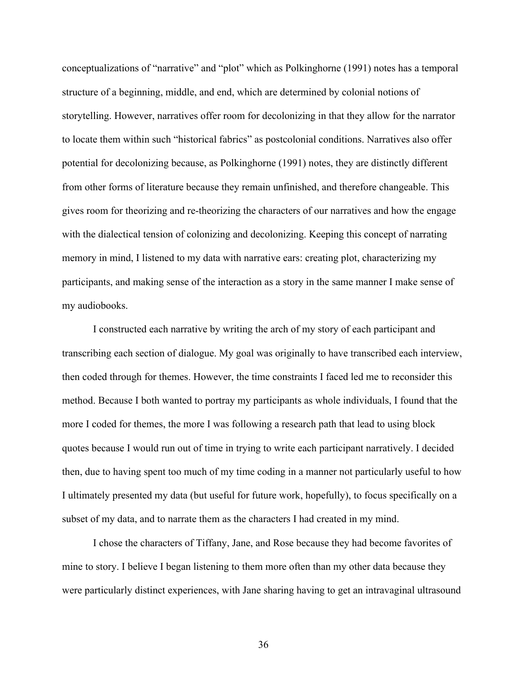conceptualizations of "narrative" and "plot" which as Polkinghorne (1991) notes has a temporal structure of a beginning, middle, and end, which are determined by colonial notions of storytelling. However, narratives offer room for decolonizing in that they allow for the narrator to locate them within such "historical fabrics" as postcolonial conditions. Narratives also offer potential for decolonizing because, as Polkinghorne (1991) notes, they are distinctly different from other forms of literature because they remain unfinished, and therefore changeable. This gives room for theorizing and re-theorizing the characters of our narratives and how the engage with the dialectical tension of colonizing and decolonizing. Keeping this concept of narrating memory in mind, I listened to my data with narrative ears: creating plot, characterizing my participants, and making sense of the interaction as a story in the same manner I make sense of my audiobooks.

I constructed each narrative by writing the arch of my story of each participant and transcribing each section of dialogue. My goal was originally to have transcribed each interview, then coded through for themes. However, the time constraints I faced led me to reconsider this method. Because I both wanted to portray my participants as whole individuals, I found that the more I coded for themes, the more I was following a research path that lead to using block quotes because I would run out of time in trying to write each participant narratively. I decided then, due to having spent too much of my time coding in a manner not particularly useful to how I ultimately presented my data (but useful for future work, hopefully), to focus specifically on a subset of my data, and to narrate them as the characters I had created in my mind.

I chose the characters of Tiffany, Jane, and Rose because they had become favorites of mine to story. I believe I began listening to them more often than my other data because they were particularly distinct experiences, with Jane sharing having to get an intravaginal ultrasound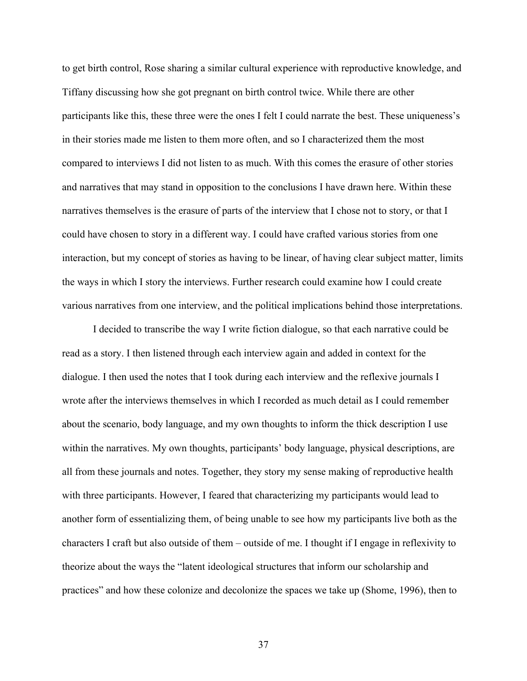to get birth control, Rose sharing a similar cultural experience with reproductive knowledge, and Tiffany discussing how she got pregnant on birth control twice. While there are other participants like this, these three were the ones I felt I could narrate the best. These uniqueness's in their stories made me listen to them more often, and so I characterized them the most compared to interviews I did not listen to as much. With this comes the erasure of other stories and narratives that may stand in opposition to the conclusions I have drawn here. Within these narratives themselves is the erasure of parts of the interview that I chose not to story, or that I could have chosen to story in a different way. I could have crafted various stories from one interaction, but my concept of stories as having to be linear, of having clear subject matter, limits the ways in which I story the interviews. Further research could examine how I could create various narratives from one interview, and the political implications behind those interpretations.

I decided to transcribe the way I write fiction dialogue, so that each narrative could be read as a story. I then listened through each interview again and added in context for the dialogue. I then used the notes that I took during each interview and the reflexive journals I wrote after the interviews themselves in which I recorded as much detail as I could remember about the scenario, body language, and my own thoughts to inform the thick description I use within the narratives. My own thoughts, participants' body language, physical descriptions, are all from these journals and notes. Together, they story my sense making of reproductive health with three participants. However, I feared that characterizing my participants would lead to another form of essentializing them, of being unable to see how my participants live both as the characters I craft but also outside of them – outside of me. I thought if I engage in reflexivity to theorize about the ways the "latent ideological structures that inform our scholarship and practices" and how these colonize and decolonize the spaces we take up (Shome, 1996), then to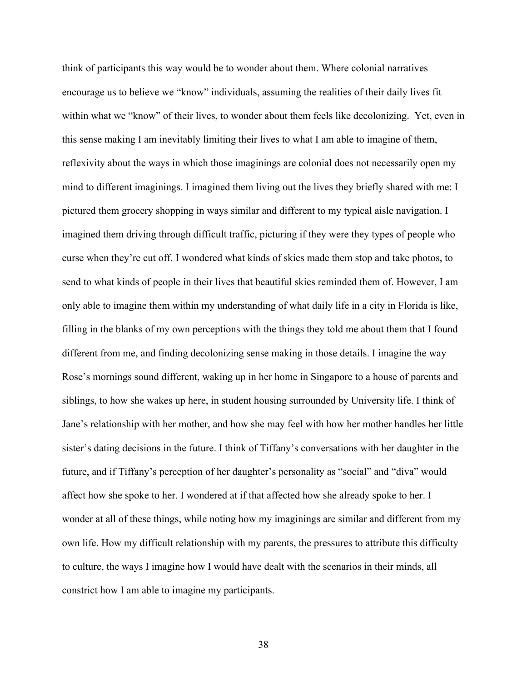think of participants this way would be to wonder about them. Where colonial narratives encourage us to believe we "know" individuals, assuming the realities of their daily lives fit within what we "know" of their lives, to wonder about them feels like decolonizing. Yet, even in this sense making I am inevitably limiting their lives to what I am able to imagine of them, reflexivity about the ways in which those imaginings are colonial does not necessarily open my mind to different imaginings. I imagined them living out the lives they briefly shared with me: I pictured them grocery shopping in ways similar and different to my typical aisle navigation. I imagined them driving through difficult traffic, picturing if they were they types of people who curse when they're cut off. I wondered what kinds of skies made them stop and take photos, to send to what kinds of people in their lives that beautiful skies reminded them of. However, I am only able to imagine them within my understanding of what daily life in a city in Florida is like, filling in the blanks of my own perceptions with the things they told me about them that I found different from me, and finding decolonizing sense making in those details. I imagine the way Rose's mornings sound different, waking up in her home in Singapore to a house of parents and siblings, to how she wakes up here, in student housing surrounded by University life. I think of Jane's relationship with her mother, and how she may feel with how her mother handles her little sister's dating decisions in the future. I think of Tiffany's conversations with her daughter in the future, and if Tiffany's perception of her daughter's personality as "social" and "diva" would affect how she spoke to her. I wondered at if that affected how she already spoke to her. I wonder at all of these things, while noting how my imaginings are similar and different from my own life. How my difficult relationship with my parents, the pressures to attribute this difficulty to culture, the ways I imagine how I would have dealt with the scenarios in their minds, all constrict how I am able to imagine my participants.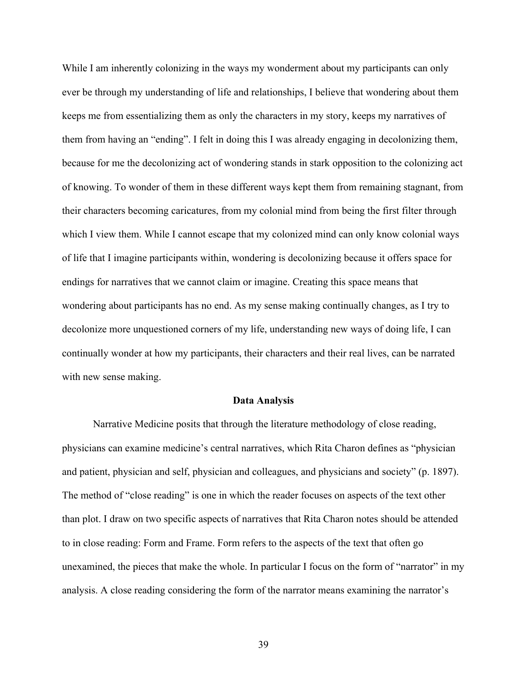While I am inherently colonizing in the ways my wonderment about my participants can only ever be through my understanding of life and relationships, I believe that wondering about them keeps me from essentializing them as only the characters in my story, keeps my narratives of them from having an "ending". I felt in doing this I was already engaging in decolonizing them, because for me the decolonizing act of wondering stands in stark opposition to the colonizing act of knowing. To wonder of them in these different ways kept them from remaining stagnant, from their characters becoming caricatures, from my colonial mind from being the first filter through which I view them. While I cannot escape that my colonized mind can only know colonial ways of life that I imagine participants within, wondering is decolonizing because it offers space for endings for narratives that we cannot claim or imagine. Creating this space means that wondering about participants has no end. As my sense making continually changes, as I try to decolonize more unquestioned corners of my life, understanding new ways of doing life, I can continually wonder at how my participants, their characters and their real lives, can be narrated with new sense making.

#### **Data Analysis**

Narrative Medicine posits that through the literature methodology of close reading, physicians can examine medicine's central narratives, which Rita Charon defines as "physician and patient, physician and self, physician and colleagues, and physicians and society" (p. 1897). The method of "close reading" is one in which the reader focuses on aspects of the text other than plot. I draw on two specific aspects of narratives that Rita Charon notes should be attended to in close reading: Form and Frame. Form refers to the aspects of the text that often go unexamined, the pieces that make the whole. In particular I focus on the form of "narrator" in my analysis. A close reading considering the form of the narrator means examining the narrator's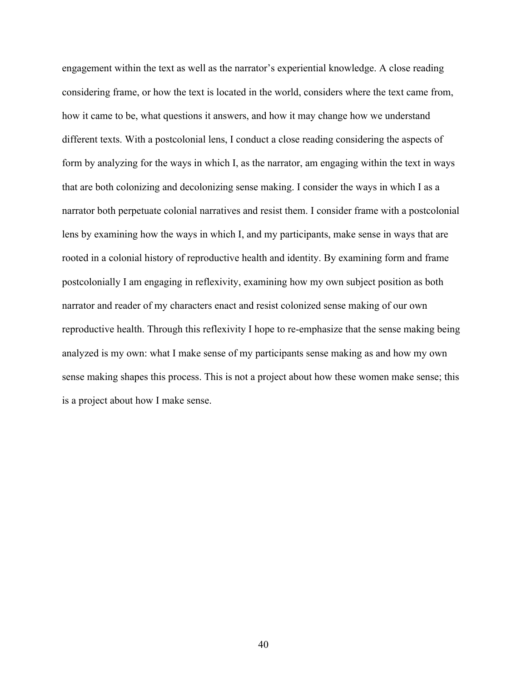engagement within the text as well as the narrator's experiential knowledge. A close reading considering frame, or how the text is located in the world, considers where the text came from, how it came to be, what questions it answers, and how it may change how we understand different texts. With a postcolonial lens, I conduct a close reading considering the aspects of form by analyzing for the ways in which I, as the narrator, am engaging within the text in ways that are both colonizing and decolonizing sense making. I consider the ways in which I as a narrator both perpetuate colonial narratives and resist them. I consider frame with a postcolonial lens by examining how the ways in which I, and my participants, make sense in ways that are rooted in a colonial history of reproductive health and identity. By examining form and frame postcolonially I am engaging in reflexivity, examining how my own subject position as both narrator and reader of my characters enact and resist colonized sense making of our own reproductive health. Through this reflexivity I hope to re-emphasize that the sense making being analyzed is my own: what I make sense of my participants sense making as and how my own sense making shapes this process. This is not a project about how these women make sense; this is a project about how I make sense.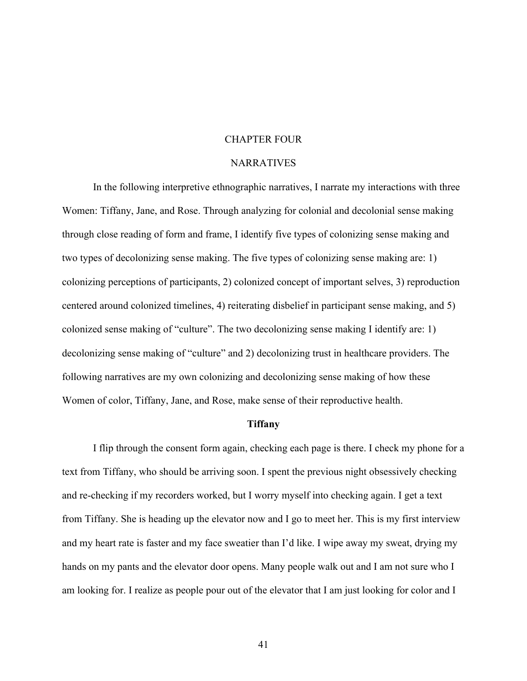# CHAPTER FOUR

### **NARRATIVES**

In the following interpretive ethnographic narratives, I narrate my interactions with three Women: Tiffany, Jane, and Rose. Through analyzing for colonial and decolonial sense making through close reading of form and frame, I identify five types of colonizing sense making and two types of decolonizing sense making. The five types of colonizing sense making are: 1) colonizing perceptions of participants, 2) colonized concept of important selves, 3) reproduction centered around colonized timelines, 4) reiterating disbelief in participant sense making, and 5) colonized sense making of "culture". The two decolonizing sense making I identify are: 1) decolonizing sense making of "culture" and 2) decolonizing trust in healthcare providers. The following narratives are my own colonizing and decolonizing sense making of how these Women of color, Tiffany, Jane, and Rose, make sense of their reproductive health.

# **Tiffany**

I flip through the consent form again, checking each page is there. I check my phone for a text from Tiffany, who should be arriving soon. I spent the previous night obsessively checking and re-checking if my recorders worked, but I worry myself into checking again. I get a text from Tiffany. She is heading up the elevator now and I go to meet her. This is my first interview and my heart rate is faster and my face sweatier than I'd like. I wipe away my sweat, drying my hands on my pants and the elevator door opens. Many people walk out and I am not sure who I am looking for. I realize as people pour out of the elevator that I am just looking for color and I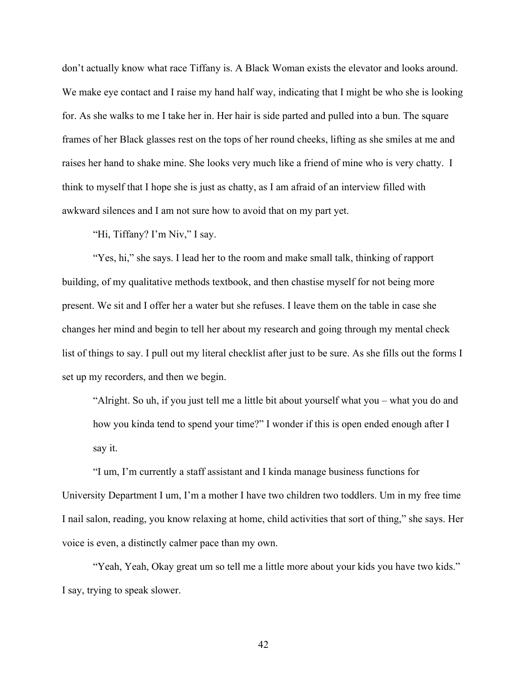don't actually know what race Tiffany is. A Black Woman exists the elevator and looks around. We make eye contact and I raise my hand half way, indicating that I might be who she is looking for. As she walks to me I take her in. Her hair is side parted and pulled into a bun. The square frames of her Black glasses rest on the tops of her round cheeks, lifting as she smiles at me and raises her hand to shake mine. She looks very much like a friend of mine who is very chatty. I think to myself that I hope she is just as chatty, as I am afraid of an interview filled with awkward silences and I am not sure how to avoid that on my part yet.

"Hi, Tiffany? I'm Niv," I say.

"Yes, hi," she says. I lead her to the room and make small talk, thinking of rapport building, of my qualitative methods textbook, and then chastise myself for not being more present. We sit and I offer her a water but she refuses. I leave them on the table in case she changes her mind and begin to tell her about my research and going through my mental check list of things to say. I pull out my literal checklist after just to be sure. As she fills out the forms I set up my recorders, and then we begin.

"Alright. So uh, if you just tell me a little bit about yourself what you – what you do and how you kinda tend to spend your time?" I wonder if this is open ended enough after I say it.

"I um, I'm currently a staff assistant and I kinda manage business functions for University Department I um, I'm a mother I have two children two toddlers. Um in my free time I nail salon, reading, you know relaxing at home, child activities that sort of thing," she says. Her voice is even, a distinctly calmer pace than my own.

"Yeah, Yeah, Okay great um so tell me a little more about your kids you have two kids." I say, trying to speak slower.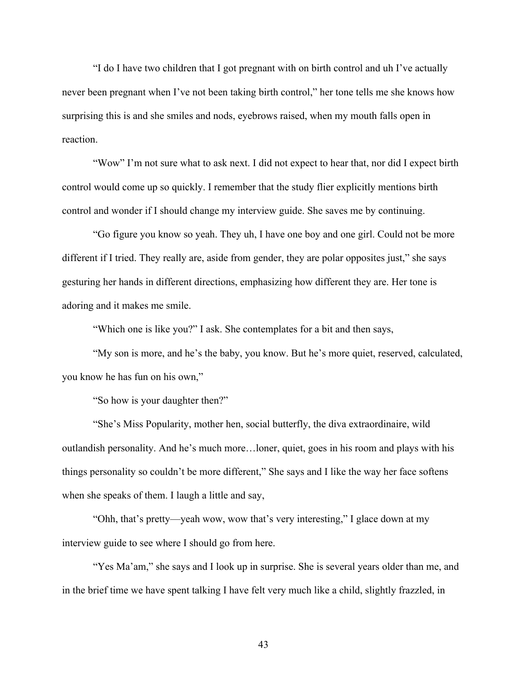"I do I have two children that I got pregnant with on birth control and uh I've actually never been pregnant when I've not been taking birth control," her tone tells me she knows how surprising this is and she smiles and nods, eyebrows raised, when my mouth falls open in reaction.

"Wow" I'm not sure what to ask next. I did not expect to hear that, nor did I expect birth control would come up so quickly. I remember that the study flier explicitly mentions birth control and wonder if I should change my interview guide. She saves me by continuing.

"Go figure you know so yeah. They uh, I have one boy and one girl. Could not be more different if I tried. They really are, aside from gender, they are polar opposites just," she says gesturing her hands in different directions, emphasizing how different they are. Her tone is adoring and it makes me smile.

"Which one is like you?" I ask. She contemplates for a bit and then says,

"My son is more, and he's the baby, you know. But he's more quiet, reserved, calculated, you know he has fun on his own,"

"So how is your daughter then?"

"She's Miss Popularity, mother hen, social butterfly, the diva extraordinaire, wild outlandish personality. And he's much more…loner, quiet, goes in his room and plays with his things personality so couldn't be more different," She says and I like the way her face softens when she speaks of them. I laugh a little and say,

"Ohh, that's pretty—yeah wow, wow that's very interesting," I glace down at my interview guide to see where I should go from here.

"Yes Ma'am," she says and I look up in surprise. She is several years older than me, and in the brief time we have spent talking I have felt very much like a child, slightly frazzled, in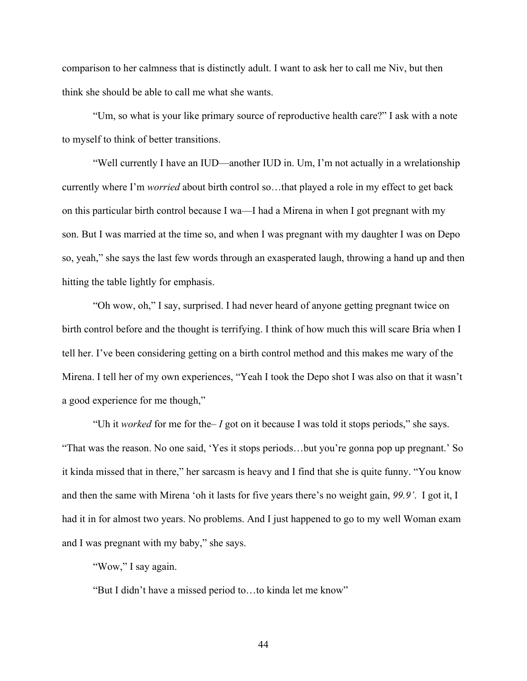comparison to her calmness that is distinctly adult. I want to ask her to call me Niv, but then think she should be able to call me what she wants.

"Um, so what is your like primary source of reproductive health care?" I ask with a note to myself to think of better transitions.

"Well currently I have an IUD—another IUD in. Um, I'm not actually in a wrelationship currently where I'm *worried* about birth control so…that played a role in my effect to get back on this particular birth control because I wa—I had a Mirena in when I got pregnant with my son. But I was married at the time so, and when I was pregnant with my daughter I was on Depo so, yeah," she says the last few words through an exasperated laugh, throwing a hand up and then hitting the table lightly for emphasis.

"Oh wow, oh," I say, surprised. I had never heard of anyone getting pregnant twice on birth control before and the thought is terrifying. I think of how much this will scare Bria when I tell her. I've been considering getting on a birth control method and this makes me wary of the Mirena. I tell her of my own experiences, "Yeah I took the Depo shot I was also on that it wasn't a good experience for me though,"

"Uh it *worked* for me for the– *I* got on it because I was told it stops periods," she says. "That was the reason. No one said, 'Yes it stops periods…but you're gonna pop up pregnant.' So it kinda missed that in there," her sarcasm is heavy and I find that she is quite funny. "You know and then the same with Mirena 'oh it lasts for five years there's no weight gain, *99.9'*. I got it, I had it in for almost two years. No problems. And I just happened to go to my well Woman exam and I was pregnant with my baby," she says.

"Wow," I say again.

"But I didn't have a missed period to…to kinda let me know"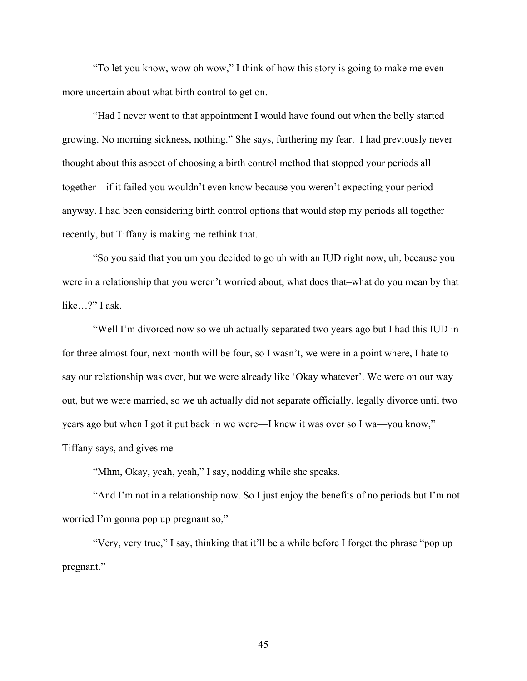"To let you know, wow oh wow," I think of how this story is going to make me even more uncertain about what birth control to get on.

"Had I never went to that appointment I would have found out when the belly started growing. No morning sickness, nothing." She says, furthering my fear. I had previously never thought about this aspect of choosing a birth control method that stopped your periods all together—if it failed you wouldn't even know because you weren't expecting your period anyway. I had been considering birth control options that would stop my periods all together recently, but Tiffany is making me rethink that.

"So you said that you um you decided to go uh with an IUD right now, uh, because you were in a relationship that you weren't worried about, what does that–what do you mean by that like…?" I ask.

"Well I'm divorced now so we uh actually separated two years ago but I had this IUD in for three almost four, next month will be four, so I wasn't, we were in a point where, I hate to say our relationship was over, but we were already like 'Okay whatever'. We were on our way out, but we were married, so we uh actually did not separate officially, legally divorce until two years ago but when I got it put back in we were—I knew it was over so I wa—you know," Tiffany says, and gives me

"Mhm, Okay, yeah, yeah," I say, nodding while she speaks.

"And I'm not in a relationship now. So I just enjoy the benefits of no periods but I'm not worried I'm gonna pop up pregnant so,"

"Very, very true," I say, thinking that it'll be a while before I forget the phrase "pop up pregnant."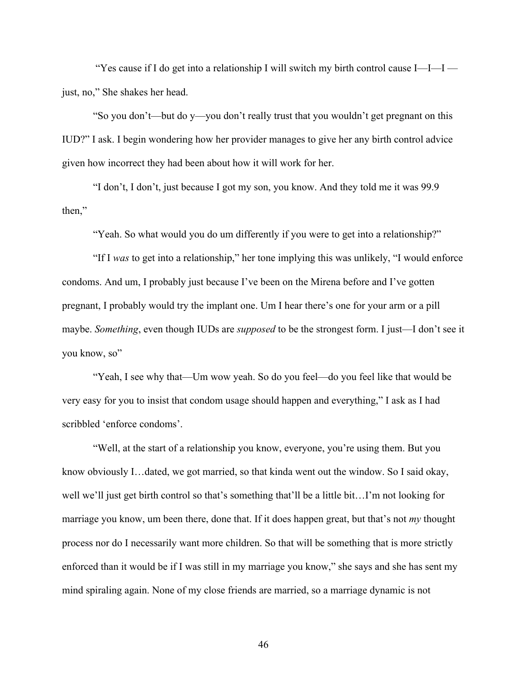"Yes cause if I do get into a relationship I will switch my birth control cause I—I—I just, no," She shakes her head.

"So you don't—but do y—you don't really trust that you wouldn't get pregnant on this IUD?" I ask. I begin wondering how her provider manages to give her any birth control advice given how incorrect they had been about how it will work for her.

"I don't, I don't, just because I got my son, you know. And they told me it was 99.9 then,"

"Yeah. So what would you do um differently if you were to get into a relationship?"

"If I *was* to get into a relationship," her tone implying this was unlikely, "I would enforce condoms. And um, I probably just because I've been on the Mirena before and I've gotten pregnant, I probably would try the implant one. Um I hear there's one for your arm or a pill maybe. *Something*, even though IUDs are *supposed* to be the strongest form. I just—I don't see it you know, so"

"Yeah, I see why that—Um wow yeah. So do you feel—do you feel like that would be very easy for you to insist that condom usage should happen and everything," I ask as I had scribbled 'enforce condoms'.

"Well, at the start of a relationship you know, everyone, you're using them. But you know obviously I…dated, we got married, so that kinda went out the window. So I said okay, well we'll just get birth control so that's something that'll be a little bit…I'm not looking for marriage you know, um been there, done that. If it does happen great, but that's not *my* thought process nor do I necessarily want more children. So that will be something that is more strictly enforced than it would be if I was still in my marriage you know," she says and she has sent my mind spiraling again. None of my close friends are married, so a marriage dynamic is not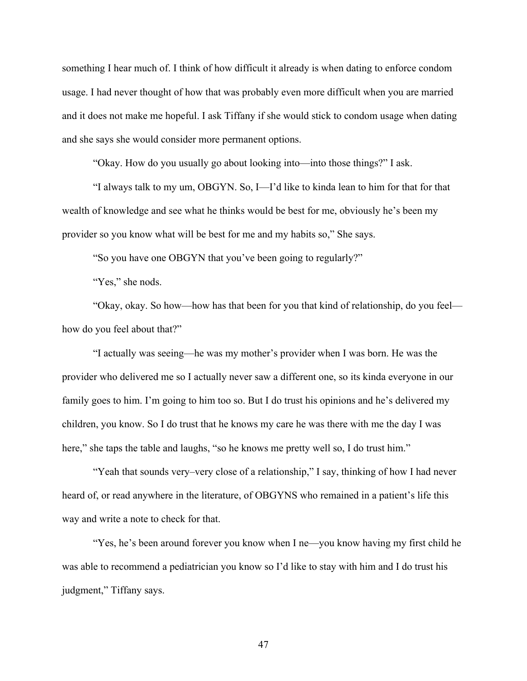something I hear much of. I think of how difficult it already is when dating to enforce condom usage. I had never thought of how that was probably even more difficult when you are married and it does not make me hopeful. I ask Tiffany if she would stick to condom usage when dating and she says she would consider more permanent options.

"Okay. How do you usually go about looking into—into those things?" I ask.

"I always talk to my um, OBGYN. So, I—I'd like to kinda lean to him for that for that wealth of knowledge and see what he thinks would be best for me, obviously he's been my provider so you know what will be best for me and my habits so," She says.

"So you have one OBGYN that you've been going to regularly?"

"Yes," she nods.

"Okay, okay. So how—how has that been for you that kind of relationship, do you feel how do you feel about that?"

"I actually was seeing—he was my mother's provider when I was born. He was the provider who delivered me so I actually never saw a different one, so its kinda everyone in our family goes to him. I'm going to him too so. But I do trust his opinions and he's delivered my children, you know. So I do trust that he knows my care he was there with me the day I was here," she taps the table and laughs, "so he knows me pretty well so, I do trust him."

"Yeah that sounds very–very close of a relationship," I say, thinking of how I had never heard of, or read anywhere in the literature, of OBGYNS who remained in a patient's life this way and write a note to check for that.

"Yes, he's been around forever you know when I ne—you know having my first child he was able to recommend a pediatrician you know so I'd like to stay with him and I do trust his judgment," Tiffany says.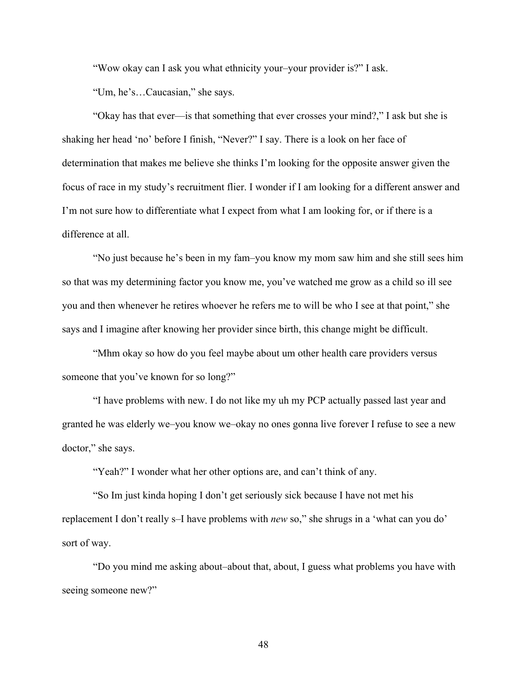"Wow okay can I ask you what ethnicity your–your provider is?" I ask.

"Um, he's…Caucasian," she says.

"Okay has that ever—is that something that ever crosses your mind?," I ask but she is shaking her head 'no' before I finish, "Never?" I say. There is a look on her face of determination that makes me believe she thinks I'm looking for the opposite answer given the focus of race in my study's recruitment flier. I wonder if I am looking for a different answer and I'm not sure how to differentiate what I expect from what I am looking for, or if there is a difference at all.

"No just because he's been in my fam–you know my mom saw him and she still sees him so that was my determining factor you know me, you've watched me grow as a child so ill see you and then whenever he retires whoever he refers me to will be who I see at that point," she says and I imagine after knowing her provider since birth, this change might be difficult.

"Mhm okay so how do you feel maybe about um other health care providers versus someone that you've known for so long?"

"I have problems with new. I do not like my uh my PCP actually passed last year and granted he was elderly we–you know we–okay no ones gonna live forever I refuse to see a new doctor," she says.

"Yeah?" I wonder what her other options are, and can't think of any.

"So Im just kinda hoping I don't get seriously sick because I have not met his replacement I don't really s–I have problems with *new* so," she shrugs in a 'what can you do' sort of way.

"Do you mind me asking about–about that, about, I guess what problems you have with seeing someone new?"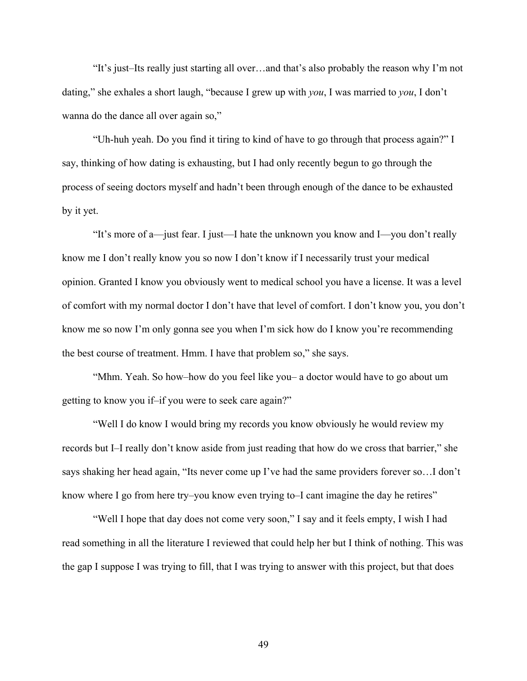"It's just–Its really just starting all over…and that's also probably the reason why I'm not dating," she exhales a short laugh, "because I grew up with *you*, I was married to *you*, I don't wanna do the dance all over again so,"

"Uh-huh yeah. Do you find it tiring to kind of have to go through that process again?" I say, thinking of how dating is exhausting, but I had only recently begun to go through the process of seeing doctors myself and hadn't been through enough of the dance to be exhausted by it yet.

"It's more of a—just fear. I just—I hate the unknown you know and I—you don't really know me I don't really know you so now I don't know if I necessarily trust your medical opinion. Granted I know you obviously went to medical school you have a license. It was a level of comfort with my normal doctor I don't have that level of comfort. I don't know you, you don't know me so now I'm only gonna see you when I'm sick how do I know you're recommending the best course of treatment. Hmm. I have that problem so," she says.

"Mhm. Yeah. So how–how do you feel like you– a doctor would have to go about um getting to know you if–if you were to seek care again?"

"Well I do know I would bring my records you know obviously he would review my records but I–I really don't know aside from just reading that how do we cross that barrier," she says shaking her head again, "Its never come up I've had the same providers forever so…I don't know where I go from here try–you know even trying to–I cant imagine the day he retires"

"Well I hope that day does not come very soon," I say and it feels empty, I wish I had read something in all the literature I reviewed that could help her but I think of nothing. This was the gap I suppose I was trying to fill, that I was trying to answer with this project, but that does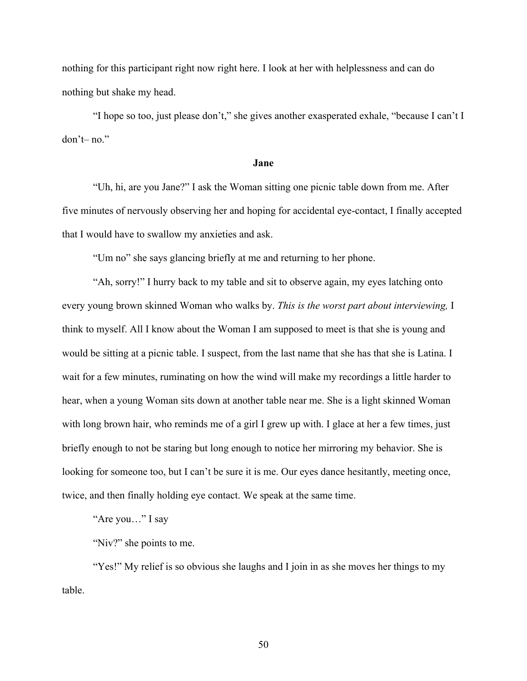nothing for this participant right now right here. I look at her with helplessness and can do nothing but shake my head.

"I hope so too, just please don't," she gives another exasperated exhale, "because I can't I don't– no."

# **Jane**

"Uh, hi, are you Jane?" I ask the Woman sitting one picnic table down from me. After five minutes of nervously observing her and hoping for accidental eye-contact, I finally accepted that I would have to swallow my anxieties and ask.

"Um no" she says glancing briefly at me and returning to her phone.

"Ah, sorry!" I hurry back to my table and sit to observe again, my eyes latching onto every young brown skinned Woman who walks by. *This is the worst part about interviewing,* I think to myself. All I know about the Woman I am supposed to meet is that she is young and would be sitting at a picnic table. I suspect, from the last name that she has that she is Latina. I wait for a few minutes, ruminating on how the wind will make my recordings a little harder to hear, when a young Woman sits down at another table near me. She is a light skinned Woman with long brown hair, who reminds me of a girl I grew up with. I glace at her a few times, just briefly enough to not be staring but long enough to notice her mirroring my behavior. She is looking for someone too, but I can't be sure it is me. Our eyes dance hesitantly, meeting once, twice, and then finally holding eye contact. We speak at the same time.

"Are you…" I say

"Niv?" she points to me.

"Yes!" My relief is so obvious she laughs and I join in as she moves her things to my table.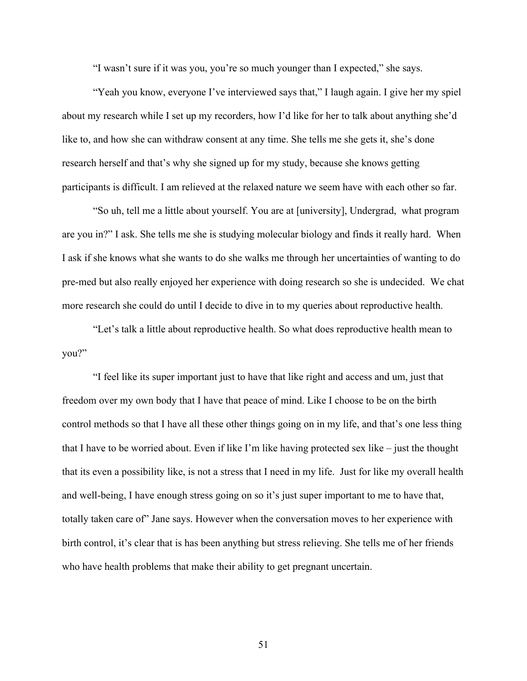"I wasn't sure if it was you, you're so much younger than I expected," she says.

"Yeah you know, everyone I've interviewed says that," I laugh again. I give her my spiel about my research while I set up my recorders, how I'd like for her to talk about anything she'd like to, and how she can withdraw consent at any time. She tells me she gets it, she's done research herself and that's why she signed up for my study, because she knows getting participants is difficult. I am relieved at the relaxed nature we seem have with each other so far.

"So uh, tell me a little about yourself. You are at [university], Undergrad, what program are you in?" I ask. She tells me she is studying molecular biology and finds it really hard. When I ask if she knows what she wants to do she walks me through her uncertainties of wanting to do pre-med but also really enjoyed her experience with doing research so she is undecided. We chat more research she could do until I decide to dive in to my queries about reproductive health.

"Let's talk a little about reproductive health. So what does reproductive health mean to you?"

"I feel like its super important just to have that like right and access and um, just that freedom over my own body that I have that peace of mind. Like I choose to be on the birth control methods so that I have all these other things going on in my life, and that's one less thing that I have to be worried about. Even if like I'm like having protected sex like – just the thought that its even a possibility like, is not a stress that I need in my life. Just for like my overall health and well-being, I have enough stress going on so it's just super important to me to have that, totally taken care of" Jane says. However when the conversation moves to her experience with birth control, it's clear that is has been anything but stress relieving. She tells me of her friends who have health problems that make their ability to get pregnant uncertain.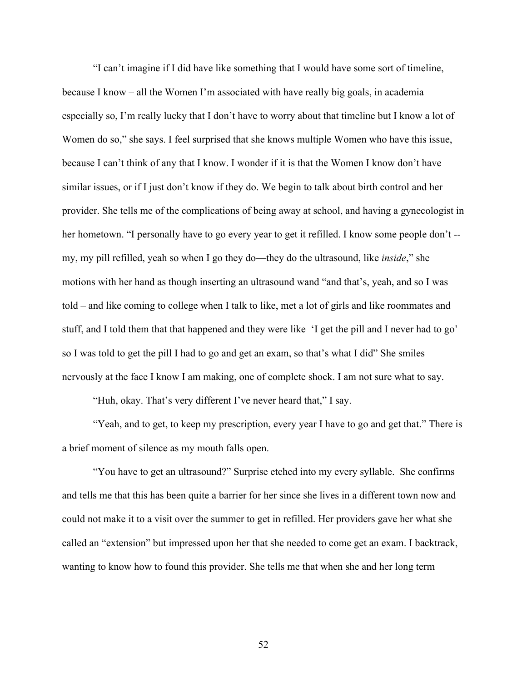"I can't imagine if I did have like something that I would have some sort of timeline, because I know – all the Women I'm associated with have really big goals, in academia especially so, I'm really lucky that I don't have to worry about that timeline but I know a lot of Women do so," she says. I feel surprised that she knows multiple Women who have this issue, because I can't think of any that I know. I wonder if it is that the Women I know don't have similar issues, or if I just don't know if they do. We begin to talk about birth control and her provider. She tells me of the complications of being away at school, and having a gynecologist in her hometown. "I personally have to go every year to get it refilled. I know some people don't - my, my pill refilled, yeah so when I go they do—they do the ultrasound, like *inside*," she motions with her hand as though inserting an ultrasound wand "and that's, yeah, and so I was told – and like coming to college when I talk to like, met a lot of girls and like roommates and stuff, and I told them that that happened and they were like 'I get the pill and I never had to go' so I was told to get the pill I had to go and get an exam, so that's what I did" She smiles nervously at the face I know I am making, one of complete shock. I am not sure what to say.

"Huh, okay. That's very different I've never heard that," I say.

"Yeah, and to get, to keep my prescription, every year I have to go and get that." There is a brief moment of silence as my mouth falls open.

"You have to get an ultrasound?" Surprise etched into my every syllable. She confirms and tells me that this has been quite a barrier for her since she lives in a different town now and could not make it to a visit over the summer to get in refilled. Her providers gave her what she called an "extension" but impressed upon her that she needed to come get an exam. I backtrack, wanting to know how to found this provider. She tells me that when she and her long term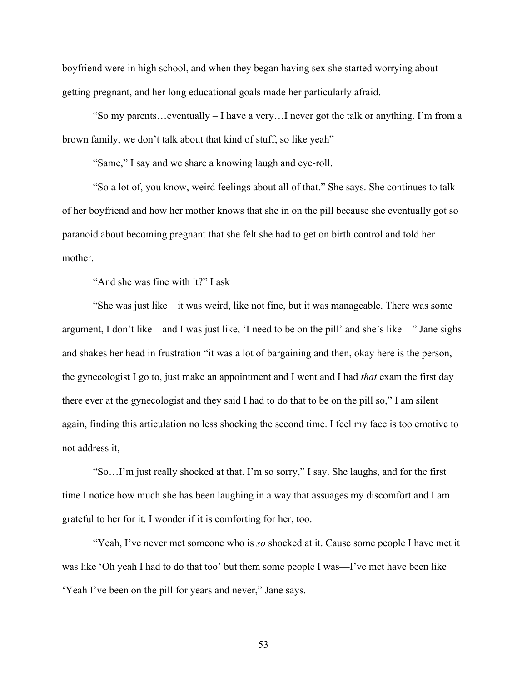boyfriend were in high school, and when they began having sex she started worrying about getting pregnant, and her long educational goals made her particularly afraid.

"So my parents…eventually – I have a very…I never got the talk or anything. I'm from a brown family, we don't talk about that kind of stuff, so like yeah"

"Same," I say and we share a knowing laugh and eye-roll.

"So a lot of, you know, weird feelings about all of that." She says. She continues to talk of her boyfriend and how her mother knows that she in on the pill because she eventually got so paranoid about becoming pregnant that she felt she had to get on birth control and told her mother.

"And she was fine with it?" I ask

"She was just like—it was weird, like not fine, but it was manageable. There was some argument, I don't like—and I was just like, 'I need to be on the pill' and she's like—" Jane sighs and shakes her head in frustration "it was a lot of bargaining and then, okay here is the person, the gynecologist I go to, just make an appointment and I went and I had *that* exam the first day there ever at the gynecologist and they said I had to do that to be on the pill so," I am silent again, finding this articulation no less shocking the second time. I feel my face is too emotive to not address it,

"So…I'm just really shocked at that. I'm so sorry," I say. She laughs, and for the first time I notice how much she has been laughing in a way that assuages my discomfort and I am grateful to her for it. I wonder if it is comforting for her, too.

"Yeah, I've never met someone who is *so* shocked at it. Cause some people I have met it was like 'Oh yeah I had to do that too' but them some people I was—I've met have been like 'Yeah I've been on the pill for years and never," Jane says.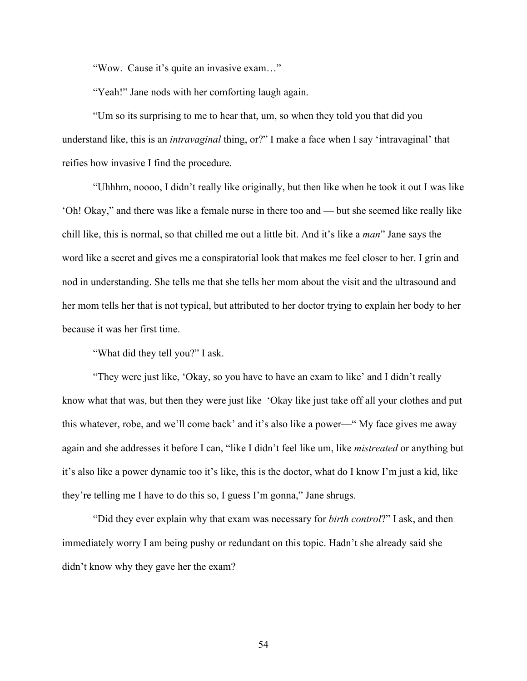"Wow. Cause it's quite an invasive exam…"

"Yeah!" Jane nods with her comforting laugh again.

"Um so its surprising to me to hear that, um, so when they told you that did you understand like, this is an *intravaginal* thing, or?" I make a face when I say 'intravaginal' that reifies how invasive I find the procedure.

"Uhhhm, noooo, I didn't really like originally, but then like when he took it out I was like 'Oh! Okay," and there was like a female nurse in there too and — but she seemed like really like chill like, this is normal, so that chilled me out a little bit. And it's like a *man*" Jane says the word like a secret and gives me a conspiratorial look that makes me feel closer to her. I grin and nod in understanding. She tells me that she tells her mom about the visit and the ultrasound and her mom tells her that is not typical, but attributed to her doctor trying to explain her body to her because it was her first time.

"What did they tell you?" I ask.

"They were just like, 'Okay, so you have to have an exam to like' and I didn't really know what that was, but then they were just like 'Okay like just take off all your clothes and put this whatever, robe, and we'll come back' and it's also like a power—" My face gives me away again and she addresses it before I can, "like I didn't feel like um, like *mistreated* or anything but it's also like a power dynamic too it's like, this is the doctor, what do I know I'm just a kid, like they're telling me I have to do this so, I guess I'm gonna," Jane shrugs.

"Did they ever explain why that exam was necessary for *birth control*?" I ask, and then immediately worry I am being pushy or redundant on this topic. Hadn't she already said she didn't know why they gave her the exam?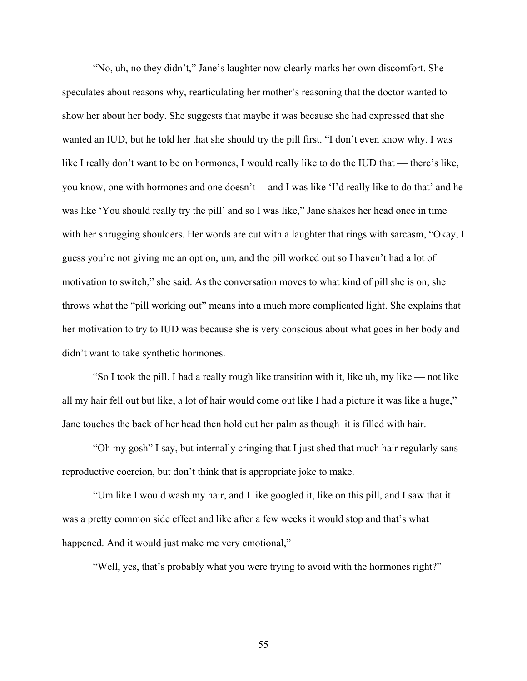"No, uh, no they didn't," Jane's laughter now clearly marks her own discomfort. She speculates about reasons why, rearticulating her mother's reasoning that the doctor wanted to show her about her body. She suggests that maybe it was because she had expressed that she wanted an IUD, but he told her that she should try the pill first. "I don't even know why. I was like I really don't want to be on hormones, I would really like to do the IUD that — there's like, you know, one with hormones and one doesn't— and I was like 'I'd really like to do that' and he was like 'You should really try the pill' and so I was like," Jane shakes her head once in time with her shrugging shoulders. Her words are cut with a laughter that rings with sarcasm, "Okay, I guess you're not giving me an option, um, and the pill worked out so I haven't had a lot of motivation to switch," she said. As the conversation moves to what kind of pill she is on, she throws what the "pill working out" means into a much more complicated light. She explains that her motivation to try to IUD was because she is very conscious about what goes in her body and didn't want to take synthetic hormones.

"So I took the pill. I had a really rough like transition with it, like uh, my like — not like all my hair fell out but like, a lot of hair would come out like I had a picture it was like a huge," Jane touches the back of her head then hold out her palm as though it is filled with hair.

"Oh my gosh" I say, but internally cringing that I just shed that much hair regularly sans reproductive coercion, but don't think that is appropriate joke to make.

"Um like I would wash my hair, and I like googled it, like on this pill, and I saw that it was a pretty common side effect and like after a few weeks it would stop and that's what happened. And it would just make me very emotional,"

"Well, yes, that's probably what you were trying to avoid with the hormones right?"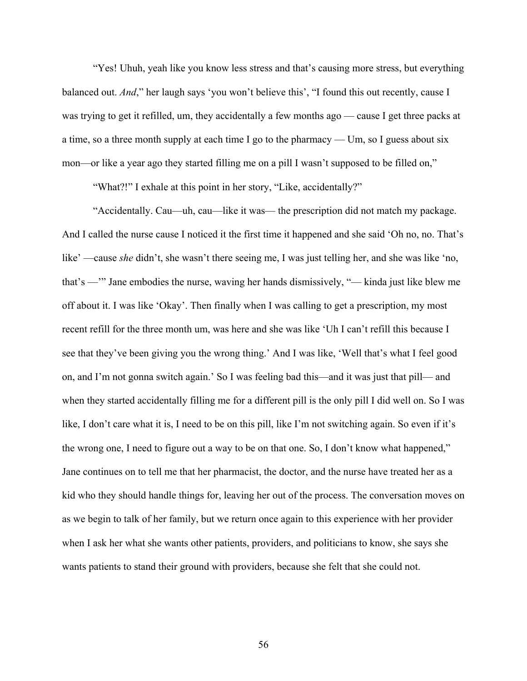"Yes! Uhuh, yeah like you know less stress and that's causing more stress, but everything balanced out. *And*," her laugh says 'you won't believe this', "I found this out recently, cause I was trying to get it refilled, um, they accidentally a few months ago — cause I get three packs at a time, so a three month supply at each time I go to the pharmacy — Um, so I guess about six mon—or like a year ago they started filling me on a pill I wasn't supposed to be filled on,"

"What?!" I exhale at this point in her story, "Like, accidentally?"

"Accidentally. Cau—uh, cau—like it was— the prescription did not match my package. And I called the nurse cause I noticed it the first time it happened and she said 'Oh no, no. That's like' —cause *she* didn't, she wasn't there seeing me, I was just telling her, and she was like 'no, that's —'" Jane embodies the nurse, waving her hands dismissively, "— kinda just like blew me off about it. I was like 'Okay'. Then finally when I was calling to get a prescription, my most recent refill for the three month um, was here and she was like 'Uh I can't refill this because I see that they've been giving you the wrong thing.' And I was like, 'Well that's what I feel good on, and I'm not gonna switch again.' So I was feeling bad this—and it was just that pill— and when they started accidentally filling me for a different pill is the only pill I did well on. So I was like, I don't care what it is, I need to be on this pill, like I'm not switching again. So even if it's the wrong one, I need to figure out a way to be on that one. So, I don't know what happened," Jane continues on to tell me that her pharmacist, the doctor, and the nurse have treated her as a kid who they should handle things for, leaving her out of the process. The conversation moves on as we begin to talk of her family, but we return once again to this experience with her provider when I ask her what she wants other patients, providers, and politicians to know, she says she wants patients to stand their ground with providers, because she felt that she could not.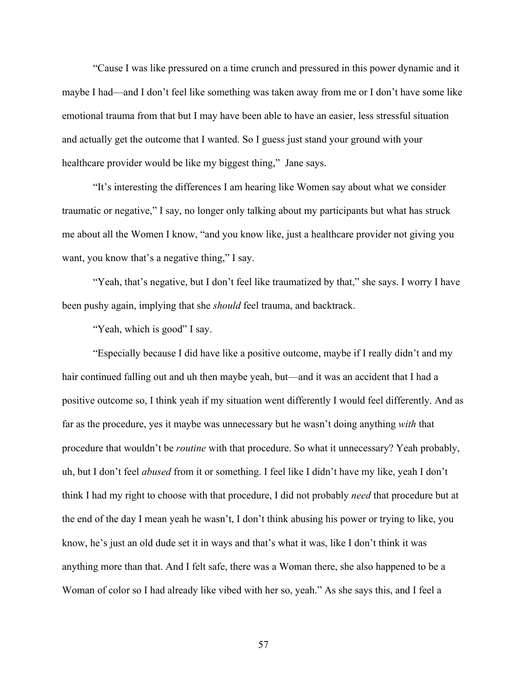"Cause I was like pressured on a time crunch and pressured in this power dynamic and it maybe I had—and I don't feel like something was taken away from me or I don't have some like emotional trauma from that but I may have been able to have an easier, less stressful situation and actually get the outcome that I wanted. So I guess just stand your ground with your healthcare provider would be like my biggest thing," Jane says.

"It's interesting the differences I am hearing like Women say about what we consider traumatic or negative," I say, no longer only talking about my participants but what has struck me about all the Women I know, "and you know like, just a healthcare provider not giving you want, you know that's a negative thing," I say.

"Yeah, that's negative, but I don't feel like traumatized by that," she says. I worry I have been pushy again, implying that she *should* feel trauma, and backtrack.

"Yeah, which is good" I say.

"Especially because I did have like a positive outcome, maybe if I really didn't and my hair continued falling out and uh then maybe yeah, but—and it was an accident that I had a positive outcome so, I think yeah if my situation went differently I would feel differently. And as far as the procedure, yes it maybe was unnecessary but he wasn't doing anything *with* that procedure that wouldn't be *routine* with that procedure. So what it unnecessary? Yeah probably, uh, but I don't feel *abused* from it or something. I feel like I didn't have my like, yeah I don't think I had my right to choose with that procedure, I did not probably *need* that procedure but at the end of the day I mean yeah he wasn't, I don't think abusing his power or trying to like, you know, he's just an old dude set it in ways and that's what it was, like I don't think it was anything more than that. And I felt safe, there was a Woman there, she also happened to be a Woman of color so I had already like vibed with her so, yeah." As she says this, and I feel a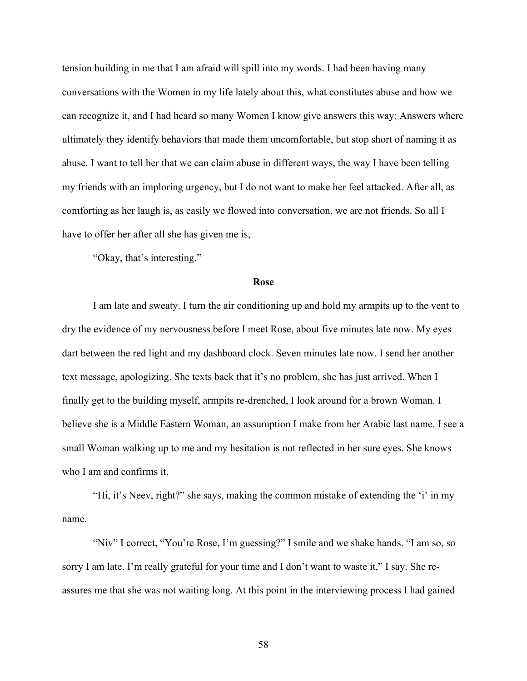tension building in me that I am afraid will spill into my words. I had been having many conversations with the Women in my life lately about this, what constitutes abuse and how we can recognize it, and I had heard so many Women I know give answers this way; Answers where ultimately they identify behaviors that made them uncomfortable, but stop short of naming it as abuse. I want to tell her that we can claim abuse in different ways, the way I have been telling my friends with an imploring urgency, but I do not want to make her feel attacked. After all, as comforting as her laugh is, as easily we flowed into conversation, we are not friends. So all I have to offer her after all she has given me is,

"Okay, that's interesting."

#### **Rose**

I am late and sweaty. I turn the air conditioning up and hold my armpits up to the vent to dry the evidence of my nervousness before I meet Rose, about five minutes late now. My eyes dart between the red light and my dashboard clock. Seven minutes late now. I send her another text message, apologizing. She texts back that it's no problem, she has just arrived. When I finally get to the building myself, armpits re-drenched, I look around for a brown Woman. I believe she is a Middle Eastern Woman, an assumption I make from her Arabic last name. I see a small Woman walking up to me and my hesitation is not reflected in her sure eyes. She knows who I am and confirms it,

"Hi, it's Neev, right?" she says, making the common mistake of extending the 'i' in my name.

"Niv" I correct, "You're Rose, I'm guessing?" I smile and we shake hands. "I am so, so sorry I am late. I'm really grateful for your time and I don't want to waste it," I say. She reassures me that she was not waiting long. At this point in the interviewing process I had gained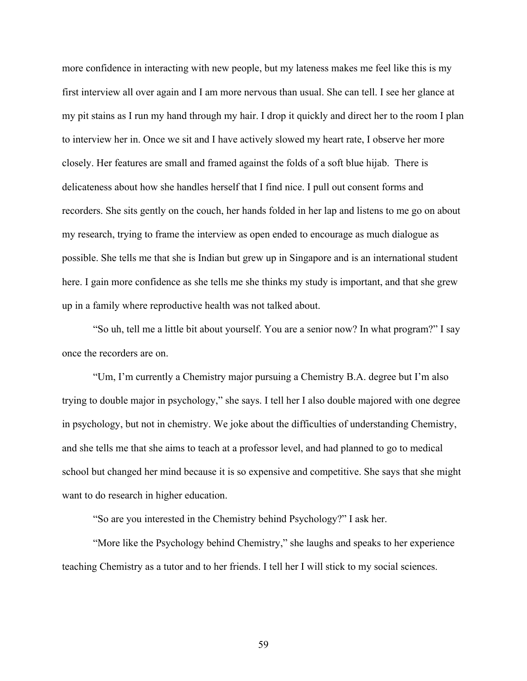more confidence in interacting with new people, but my lateness makes me feel like this is my first interview all over again and I am more nervous than usual. She can tell. I see her glance at my pit stains as I run my hand through my hair. I drop it quickly and direct her to the room I plan to interview her in. Once we sit and I have actively slowed my heart rate, I observe her more closely. Her features are small and framed against the folds of a soft blue hijab. There is delicateness about how she handles herself that I find nice. I pull out consent forms and recorders. She sits gently on the couch, her hands folded in her lap and listens to me go on about my research, trying to frame the interview as open ended to encourage as much dialogue as possible. She tells me that she is Indian but grew up in Singapore and is an international student here. I gain more confidence as she tells me she thinks my study is important, and that she grew up in a family where reproductive health was not talked about.

"So uh, tell me a little bit about yourself. You are a senior now? In what program?" I say once the recorders are on.

"Um, I'm currently a Chemistry major pursuing a Chemistry B.A. degree but I'm also trying to double major in psychology," she says. I tell her I also double majored with one degree in psychology, but not in chemistry. We joke about the difficulties of understanding Chemistry, and she tells me that she aims to teach at a professor level, and had planned to go to medical school but changed her mind because it is so expensive and competitive. She says that she might want to do research in higher education.

"So are you interested in the Chemistry behind Psychology?" I ask her.

"More like the Psychology behind Chemistry," she laughs and speaks to her experience teaching Chemistry as a tutor and to her friends. I tell her I will stick to my social sciences.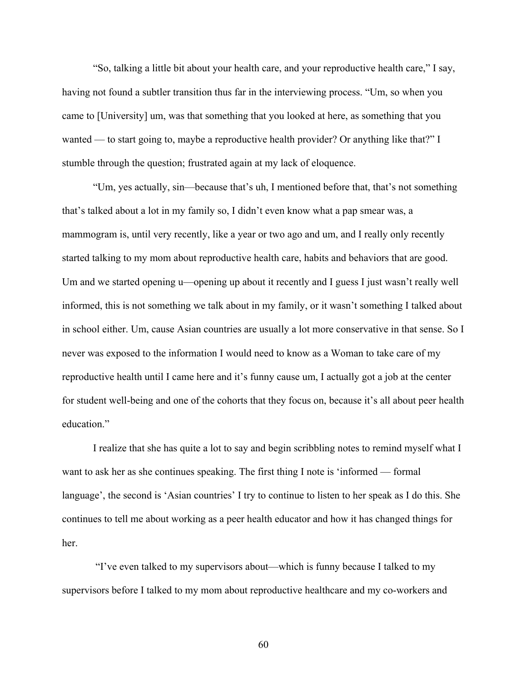"So, talking a little bit about your health care, and your reproductive health care," I say, having not found a subtler transition thus far in the interviewing process. "Um, so when you came to [University] um, was that something that you looked at here, as something that you wanted — to start going to, maybe a reproductive health provider? Or anything like that?" I stumble through the question; frustrated again at my lack of eloquence.

"Um, yes actually, sin—because that's uh, I mentioned before that, that's not something that's talked about a lot in my family so, I didn't even know what a pap smear was, a mammogram is, until very recently, like a year or two ago and um, and I really only recently started talking to my mom about reproductive health care, habits and behaviors that are good. Um and we started opening u—opening up about it recently and I guess I just wasn't really well informed, this is not something we talk about in my family, or it wasn't something I talked about in school either. Um, cause Asian countries are usually a lot more conservative in that sense. So I never was exposed to the information I would need to know as a Woman to take care of my reproductive health until I came here and it's funny cause um, I actually got a job at the center for student well-being and one of the cohorts that they focus on, because it's all about peer health education."

I realize that she has quite a lot to say and begin scribbling notes to remind myself what I want to ask her as she continues speaking. The first thing I note is 'informed — formal language', the second is 'Asian countries' I try to continue to listen to her speak as I do this. She continues to tell me about working as a peer health educator and how it has changed things for her.

"I've even talked to my supervisors about—which is funny because I talked to my supervisors before I talked to my mom about reproductive healthcare and my co-workers and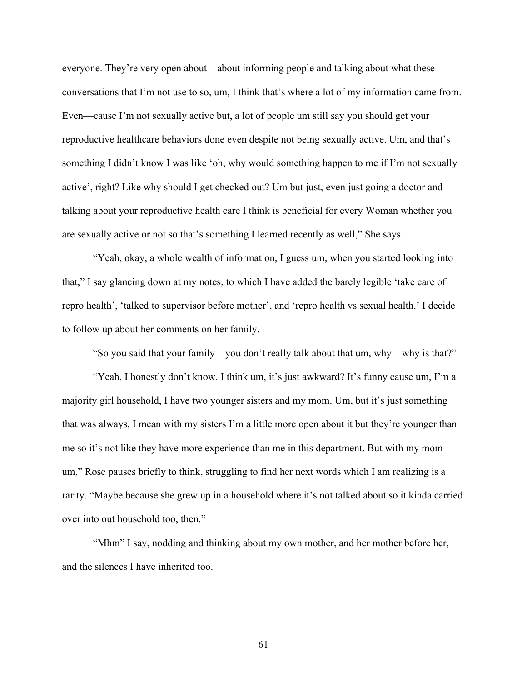everyone. They're very open about—about informing people and talking about what these conversations that I'm not use to so, um, I think that's where a lot of my information came from. Even—cause I'm not sexually active but, a lot of people um still say you should get your reproductive healthcare behaviors done even despite not being sexually active. Um, and that's something I didn't know I was like 'oh, why would something happen to me if I'm not sexually active', right? Like why should I get checked out? Um but just, even just going a doctor and talking about your reproductive health care I think is beneficial for every Woman whether you are sexually active or not so that's something I learned recently as well," She says.

"Yeah, okay, a whole wealth of information, I guess um, when you started looking into that," I say glancing down at my notes, to which I have added the barely legible 'take care of repro health', 'talked to supervisor before mother', and 'repro health vs sexual health.' I decide to follow up about her comments on her family.

"So you said that your family—you don't really talk about that um, why—why is that?"

"Yeah, I honestly don't know. I think um, it's just awkward? It's funny cause um, I'm a majority girl household, I have two younger sisters and my mom. Um, but it's just something that was always, I mean with my sisters I'm a little more open about it but they're younger than me so it's not like they have more experience than me in this department. But with my mom um," Rose pauses briefly to think, struggling to find her next words which I am realizing is a rarity. "Maybe because she grew up in a household where it's not talked about so it kinda carried over into out household too, then."

"Mhm" I say, nodding and thinking about my own mother, and her mother before her, and the silences I have inherited too.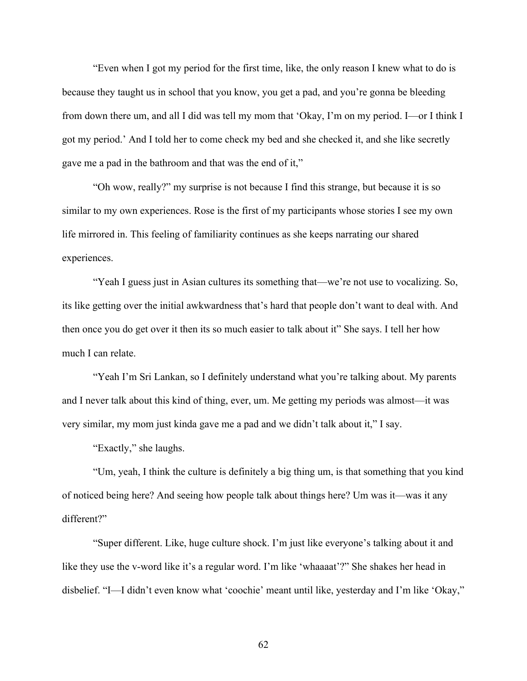"Even when I got my period for the first time, like, the only reason I knew what to do is because they taught us in school that you know, you get a pad, and you're gonna be bleeding from down there um, and all I did was tell my mom that 'Okay, I'm on my period. I—or I think I got my period.' And I told her to come check my bed and she checked it, and she like secretly gave me a pad in the bathroom and that was the end of it,"

"Oh wow, really?" my surprise is not because I find this strange, but because it is so similar to my own experiences. Rose is the first of my participants whose stories I see my own life mirrored in. This feeling of familiarity continues as she keeps narrating our shared experiences.

"Yeah I guess just in Asian cultures its something that—we're not use to vocalizing. So, its like getting over the initial awkwardness that's hard that people don't want to deal with. And then once you do get over it then its so much easier to talk about it" She says. I tell her how much I can relate.

"Yeah I'm Sri Lankan, so I definitely understand what you're talking about. My parents and I never talk about this kind of thing, ever, um. Me getting my periods was almost—it was very similar, my mom just kinda gave me a pad and we didn't talk about it," I say.

"Exactly," she laughs.

"Um, yeah, I think the culture is definitely a big thing um, is that something that you kind of noticed being here? And seeing how people talk about things here? Um was it—was it any different?"

"Super different. Like, huge culture shock. I'm just like everyone's talking about it and like they use the v-word like it's a regular word. I'm like 'whaaaat'?" She shakes her head in disbelief. "I—I didn't even know what 'coochie' meant until like, yesterday and I'm like 'Okay,"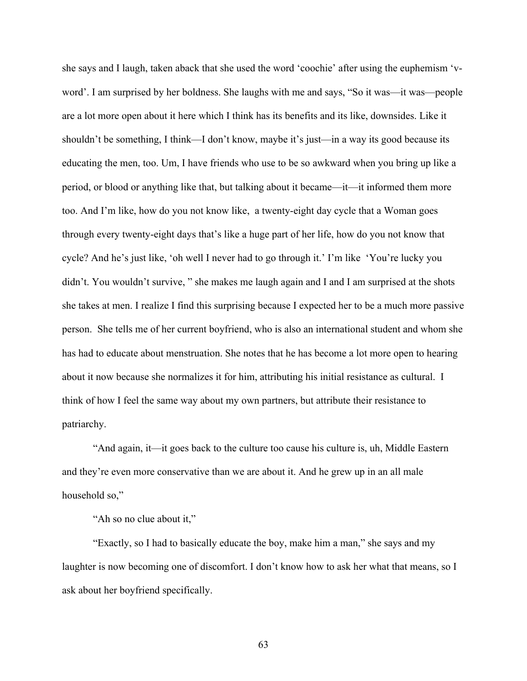she says and I laugh, taken aback that she used the word 'coochie' after using the euphemism 'vword'. I am surprised by her boldness. She laughs with me and says, "So it was—it was—people are a lot more open about it here which I think has its benefits and its like, downsides. Like it shouldn't be something, I think—I don't know, maybe it's just—in a way its good because its educating the men, too. Um, I have friends who use to be so awkward when you bring up like a period, or blood or anything like that, but talking about it became—it—it informed them more too. And I'm like, how do you not know like, a twenty-eight day cycle that a Woman goes through every twenty-eight days that's like a huge part of her life, how do you not know that cycle? And he's just like, 'oh well I never had to go through it.' I'm like 'You're lucky you didn't. You wouldn't survive, " she makes me laugh again and I and I am surprised at the shots she takes at men. I realize I find this surprising because I expected her to be a much more passive person. She tells me of her current boyfriend, who is also an international student and whom she has had to educate about menstruation. She notes that he has become a lot more open to hearing about it now because she normalizes it for him, attributing his initial resistance as cultural. I think of how I feel the same way about my own partners, but attribute their resistance to patriarchy.

"And again, it—it goes back to the culture too cause his culture is, uh, Middle Eastern and they're even more conservative than we are about it. And he grew up in an all male household so,"

"Ah so no clue about it,"

"Exactly, so I had to basically educate the boy, make him a man," she says and my laughter is now becoming one of discomfort. I don't know how to ask her what that means, so I ask about her boyfriend specifically.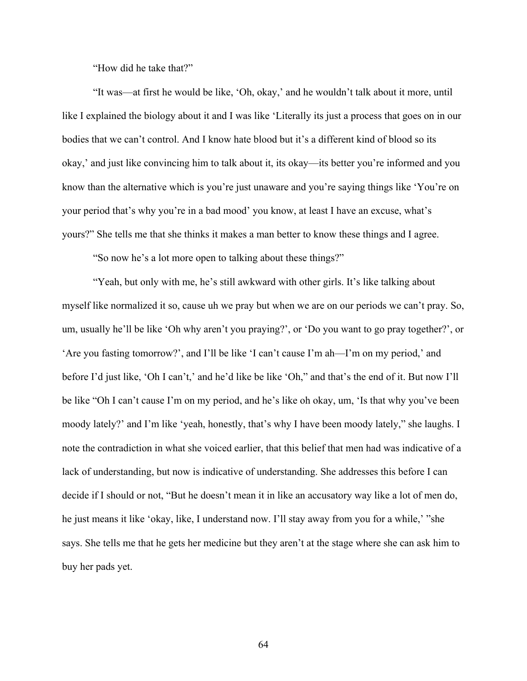"How did he take that?"

"It was—at first he would be like, 'Oh, okay,' and he wouldn't talk about it more, until like I explained the biology about it and I was like 'Literally its just a process that goes on in our bodies that we can't control. And I know hate blood but it's a different kind of blood so its okay,' and just like convincing him to talk about it, its okay—its better you're informed and you know than the alternative which is you're just unaware and you're saying things like 'You're on your period that's why you're in a bad mood' you know, at least I have an excuse, what's yours?" She tells me that she thinks it makes a man better to know these things and I agree.

"So now he's a lot more open to talking about these things?"

"Yeah, but only with me, he's still awkward with other girls. It's like talking about myself like normalized it so, cause uh we pray but when we are on our periods we can't pray. So, um, usually he'll be like 'Oh why aren't you praying?', or 'Do you want to go pray together?', or 'Are you fasting tomorrow?', and I'll be like 'I can't cause I'm ah—I'm on my period,' and before I'd just like, 'Oh I can't,' and he'd like be like 'Oh," and that's the end of it. But now I'll be like "Oh I can't cause I'm on my period, and he's like oh okay, um, 'Is that why you've been moody lately?' and I'm like 'yeah, honestly, that's why I have been moody lately," she laughs. I note the contradiction in what she voiced earlier, that this belief that men had was indicative of a lack of understanding, but now is indicative of understanding. She addresses this before I can decide if I should or not, "But he doesn't mean it in like an accusatory way like a lot of men do, he just means it like 'okay, like, I understand now. I'll stay away from you for a while,' "she says. She tells me that he gets her medicine but they aren't at the stage where she can ask him to buy her pads yet.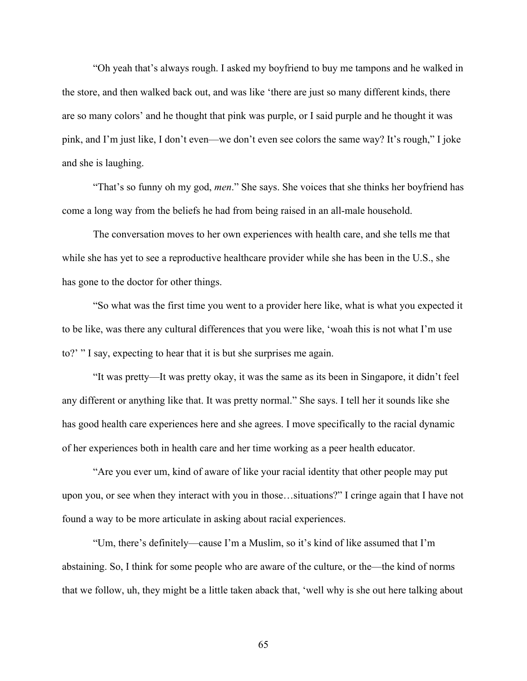"Oh yeah that's always rough. I asked my boyfriend to buy me tampons and he walked in the store, and then walked back out, and was like 'there are just so many different kinds, there are so many colors' and he thought that pink was purple, or I said purple and he thought it was pink, and I'm just like, I don't even—we don't even see colors the same way? It's rough," I joke and she is laughing.

"That's so funny oh my god, *men*." She says. She voices that she thinks her boyfriend has come a long way from the beliefs he had from being raised in an all-male household.

The conversation moves to her own experiences with health care, and she tells me that while she has yet to see a reproductive healthcare provider while she has been in the U.S., she has gone to the doctor for other things.

"So what was the first time you went to a provider here like, what is what you expected it to be like, was there any cultural differences that you were like, 'woah this is not what I'm use to?' " I say, expecting to hear that it is but she surprises me again.

"It was pretty—It was pretty okay, it was the same as its been in Singapore, it didn't feel any different or anything like that. It was pretty normal." She says. I tell her it sounds like she has good health care experiences here and she agrees. I move specifically to the racial dynamic of her experiences both in health care and her time working as a peer health educator.

"Are you ever um, kind of aware of like your racial identity that other people may put upon you, or see when they interact with you in those…situations?" I cringe again that I have not found a way to be more articulate in asking about racial experiences.

"Um, there's definitely—cause I'm a Muslim, so it's kind of like assumed that I'm abstaining. So, I think for some people who are aware of the culture, or the—the kind of norms that we follow, uh, they might be a little taken aback that, 'well why is she out here talking about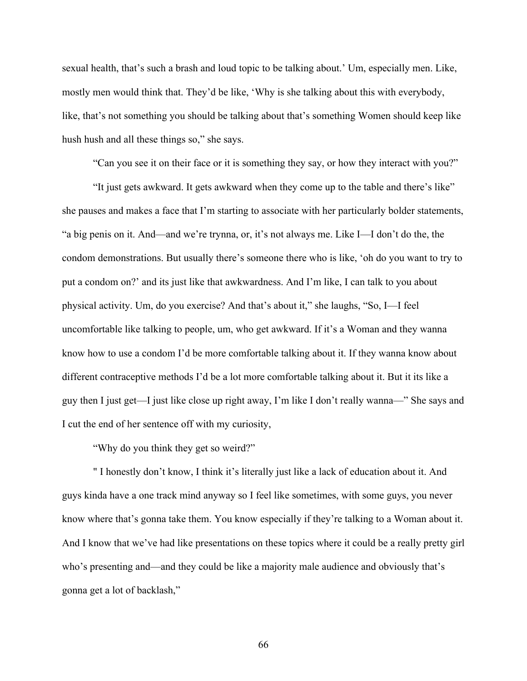sexual health, that's such a brash and loud topic to be talking about.' Um, especially men. Like, mostly men would think that. They'd be like, 'Why is she talking about this with everybody, like, that's not something you should be talking about that's something Women should keep like hush hush and all these things so," she says.

"Can you see it on their face or it is something they say, or how they interact with you?"

"It just gets awkward. It gets awkward when they come up to the table and there's like" she pauses and makes a face that I'm starting to associate with her particularly bolder statements, "a big penis on it. And—and we're trynna, or, it's not always me. Like I—I don't do the, the condom demonstrations. But usually there's someone there who is like, 'oh do you want to try to put a condom on?' and its just like that awkwardness. And I'm like, I can talk to you about physical activity. Um, do you exercise? And that's about it," she laughs, "So, I—I feel uncomfortable like talking to people, um, who get awkward. If it's a Woman and they wanna know how to use a condom I'd be more comfortable talking about it. If they wanna know about different contraceptive methods I'd be a lot more comfortable talking about it. But it its like a guy then I just get—I just like close up right away, I'm like I don't really wanna—" She says and I cut the end of her sentence off with my curiosity,

"Why do you think they get so weird?"

" I honestly don't know, I think it's literally just like a lack of education about it. And guys kinda have a one track mind anyway so I feel like sometimes, with some guys, you never know where that's gonna take them. You know especially if they're talking to a Woman about it. And I know that we've had like presentations on these topics where it could be a really pretty girl who's presenting and—and they could be like a majority male audience and obviously that's gonna get a lot of backlash,"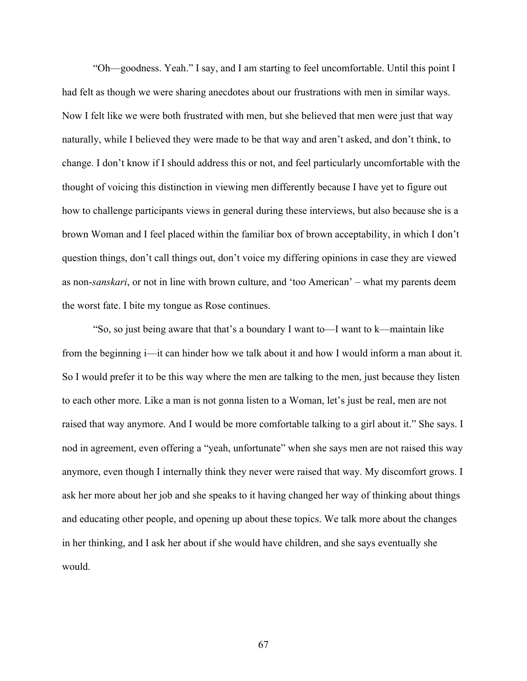"Oh—goodness. Yeah." I say, and I am starting to feel uncomfortable. Until this point I had felt as though we were sharing anecdotes about our frustrations with men in similar ways. Now I felt like we were both frustrated with men, but she believed that men were just that way naturally, while I believed they were made to be that way and aren't asked, and don't think, to change. I don't know if I should address this or not, and feel particularly uncomfortable with the thought of voicing this distinction in viewing men differently because I have yet to figure out how to challenge participants views in general during these interviews, but also because she is a brown Woman and I feel placed within the familiar box of brown acceptability, in which I don't question things, don't call things out, don't voice my differing opinions in case they are viewed as non-*sanskari*, or not in line with brown culture, and 'too American' – what my parents deem the worst fate. I bite my tongue as Rose continues.

"So, so just being aware that that's a boundary I want to—I want to k—maintain like from the beginning i—it can hinder how we talk about it and how I would inform a man about it. So I would prefer it to be this way where the men are talking to the men, just because they listen to each other more. Like a man is not gonna listen to a Woman, let's just be real, men are not raised that way anymore. And I would be more comfortable talking to a girl about it." She says. I nod in agreement, even offering a "yeah, unfortunate" when she says men are not raised this way anymore, even though I internally think they never were raised that way. My discomfort grows. I ask her more about her job and she speaks to it having changed her way of thinking about things and educating other people, and opening up about these topics. We talk more about the changes in her thinking, and I ask her about if she would have children, and she says eventually she would.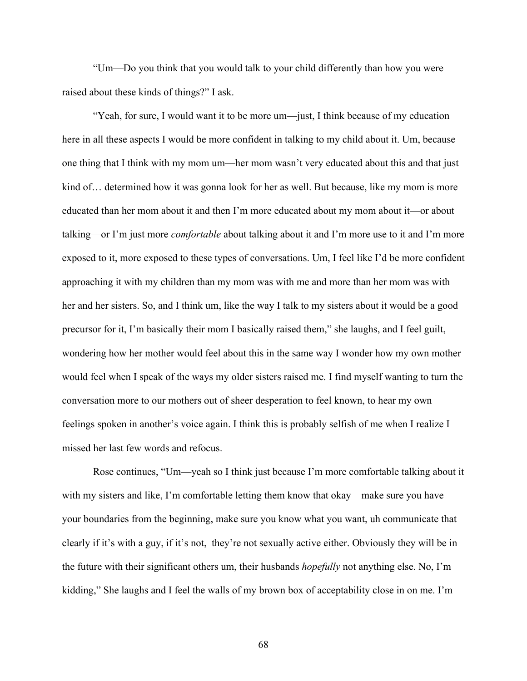"Um—Do you think that you would talk to your child differently than how you were raised about these kinds of things?" I ask.

"Yeah, for sure, I would want it to be more um—just, I think because of my education here in all these aspects I would be more confident in talking to my child about it. Um, because one thing that I think with my mom um—her mom wasn't very educated about this and that just kind of… determined how it was gonna look for her as well. But because, like my mom is more educated than her mom about it and then I'm more educated about my mom about it—or about talking—or I'm just more *comfortable* about talking about it and I'm more use to it and I'm more exposed to it, more exposed to these types of conversations. Um, I feel like I'd be more confident approaching it with my children than my mom was with me and more than her mom was with her and her sisters. So, and I think um, like the way I talk to my sisters about it would be a good precursor for it, I'm basically their mom I basically raised them," she laughs, and I feel guilt, wondering how her mother would feel about this in the same way I wonder how my own mother would feel when I speak of the ways my older sisters raised me. I find myself wanting to turn the conversation more to our mothers out of sheer desperation to feel known, to hear my own feelings spoken in another's voice again. I think this is probably selfish of me when I realize I missed her last few words and refocus.

Rose continues, "Um—yeah so I think just because I'm more comfortable talking about it with my sisters and like, I'm comfortable letting them know that okay—make sure you have your boundaries from the beginning, make sure you know what you want, uh communicate that clearly if it's with a guy, if it's not, they're not sexually active either. Obviously they will be in the future with their significant others um, their husbands *hopefully* not anything else. No, I'm kidding," She laughs and I feel the walls of my brown box of acceptability close in on me. I'm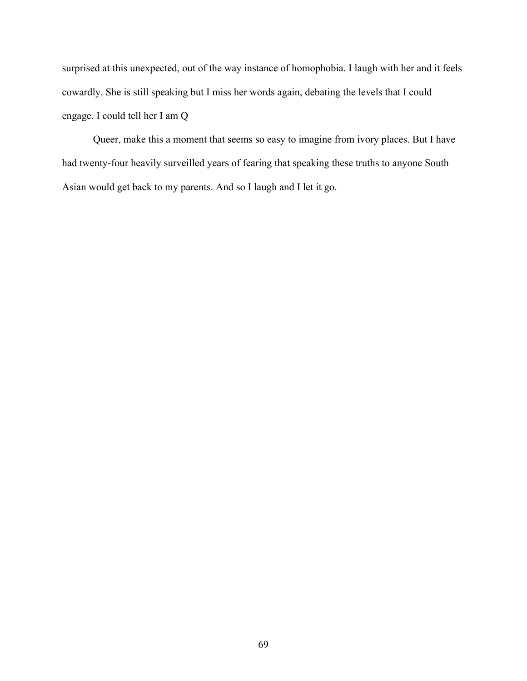surprised at this unexpected, out of the way instance of homophobia. I laugh with her and it feels cowardly. She is still speaking but I miss her words again, debating the levels that I could engage. I could tell her I am Q

Queer, make this a moment that seems so easy to imagine from ivory places. But I have had twenty-four heavily surveilled years of fearing that speaking these truths to anyone South Asian would get back to my parents. And so I laugh and I let it go.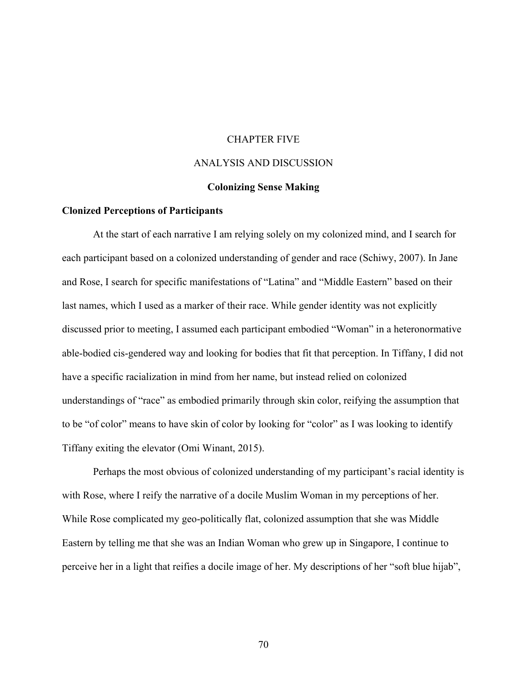### CHAPTER FIVE

# ANALYSIS AND DISCUSSION

# **Colonizing Sense Making**

### **Clonized Perceptions of Participants**

At the start of each narrative I am relying solely on my colonized mind, and I search for each participant based on a colonized understanding of gender and race (Schiwy, 2007). In Jane and Rose, I search for specific manifestations of "Latina" and "Middle Eastern" based on their last names, which I used as a marker of their race. While gender identity was not explicitly discussed prior to meeting, I assumed each participant embodied "Woman" in a heteronormative able-bodied cis-gendered way and looking for bodies that fit that perception. In Tiffany, I did not have a specific racialization in mind from her name, but instead relied on colonized understandings of "race" as embodied primarily through skin color, reifying the assumption that to be "of color" means to have skin of color by looking for "color" as I was looking to identify Tiffany exiting the elevator (Omi Winant, 2015).

Perhaps the most obvious of colonized understanding of my participant's racial identity is with Rose, where I reify the narrative of a docile Muslim Woman in my perceptions of her. While Rose complicated my geo-politically flat, colonized assumption that she was Middle Eastern by telling me that she was an Indian Woman who grew up in Singapore, I continue to perceive her in a light that reifies a docile image of her. My descriptions of her "soft blue hijab",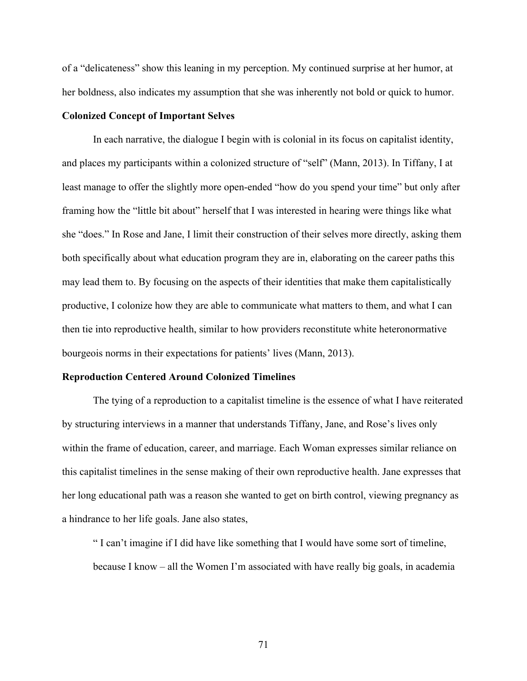of a "delicateness" show this leaning in my perception. My continued surprise at her humor, at her boldness, also indicates my assumption that she was inherently not bold or quick to humor.

### **Colonized Concept of Important Selves**

In each narrative, the dialogue I begin with is colonial in its focus on capitalist identity, and places my participants within a colonized structure of "self" (Mann, 2013). In Tiffany, I at least manage to offer the slightly more open-ended "how do you spend your time" but only after framing how the "little bit about" herself that I was interested in hearing were things like what she "does." In Rose and Jane, I limit their construction of their selves more directly, asking them both specifically about what education program they are in, elaborating on the career paths this may lead them to. By focusing on the aspects of their identities that make them capitalistically productive, I colonize how they are able to communicate what matters to them, and what I can then tie into reproductive health, similar to how providers reconstitute white heteronormative bourgeois norms in their expectations for patients' lives (Mann, 2013).

#### **Reproduction Centered Around Colonized Timelines**

The tying of a reproduction to a capitalist timeline is the essence of what I have reiterated by structuring interviews in a manner that understands Tiffany, Jane, and Rose's lives only within the frame of education, career, and marriage. Each Woman expresses similar reliance on this capitalist timelines in the sense making of their own reproductive health. Jane expresses that her long educational path was a reason she wanted to get on birth control, viewing pregnancy as a hindrance to her life goals. Jane also states,

" I can't imagine if I did have like something that I would have some sort of timeline, because I know – all the Women I'm associated with have really big goals, in academia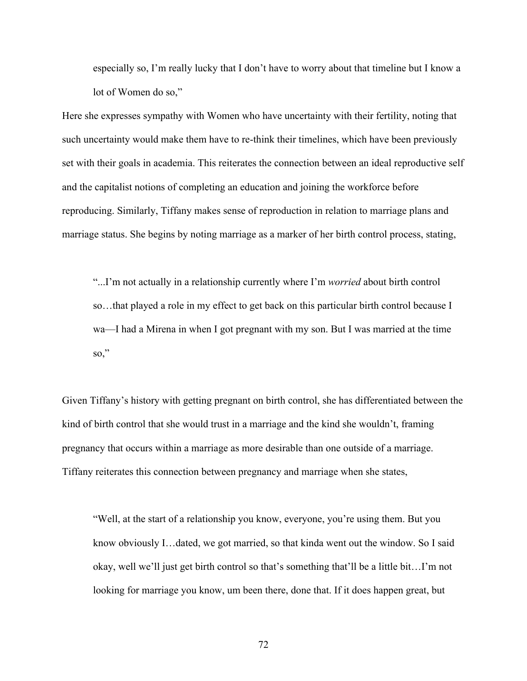especially so, I'm really lucky that I don't have to worry about that timeline but I know a lot of Women do so,"

Here she expresses sympathy with Women who have uncertainty with their fertility, noting that such uncertainty would make them have to re-think their timelines, which have been previously set with their goals in academia. This reiterates the connection between an ideal reproductive self and the capitalist notions of completing an education and joining the workforce before reproducing. Similarly, Tiffany makes sense of reproduction in relation to marriage plans and marriage status. She begins by noting marriage as a marker of her birth control process, stating,

"...I'm not actually in a relationship currently where I'm *worried* about birth control so…that played a role in my effect to get back on this particular birth control because I wa—I had a Mirena in when I got pregnant with my son. But I was married at the time so,"

Given Tiffany's history with getting pregnant on birth control, she has differentiated between the kind of birth control that she would trust in a marriage and the kind she wouldn't, framing pregnancy that occurs within a marriage as more desirable than one outside of a marriage. Tiffany reiterates this connection between pregnancy and marriage when she states,

"Well, at the start of a relationship you know, everyone, you're using them. But you know obviously I…dated, we got married, so that kinda went out the window. So I said okay, well we'll just get birth control so that's something that'll be a little bit…I'm not looking for marriage you know, um been there, done that. If it does happen great, but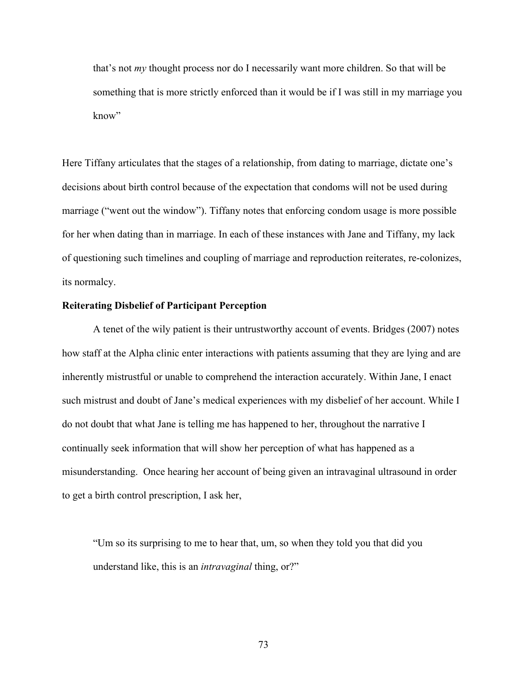that's not *my* thought process nor do I necessarily want more children. So that will be something that is more strictly enforced than it would be if I was still in my marriage you know"

Here Tiffany articulates that the stages of a relationship, from dating to marriage, dictate one's decisions about birth control because of the expectation that condoms will not be used during marriage ("went out the window"). Tiffany notes that enforcing condom usage is more possible for her when dating than in marriage. In each of these instances with Jane and Tiffany, my lack of questioning such timelines and coupling of marriage and reproduction reiterates, re-colonizes, its normalcy.

# **Reiterating Disbelief of Participant Perception**

A tenet of the wily patient is their untrustworthy account of events. Bridges (2007) notes how staff at the Alpha clinic enter interactions with patients assuming that they are lying and are inherently mistrustful or unable to comprehend the interaction accurately. Within Jane, I enact such mistrust and doubt of Jane's medical experiences with my disbelief of her account. While I do not doubt that what Jane is telling me has happened to her, throughout the narrative I continually seek information that will show her perception of what has happened as a misunderstanding. Once hearing her account of being given an intravaginal ultrasound in order to get a birth control prescription, I ask her,

"Um so its surprising to me to hear that, um, so when they told you that did you understand like, this is an *intravaginal* thing, or?"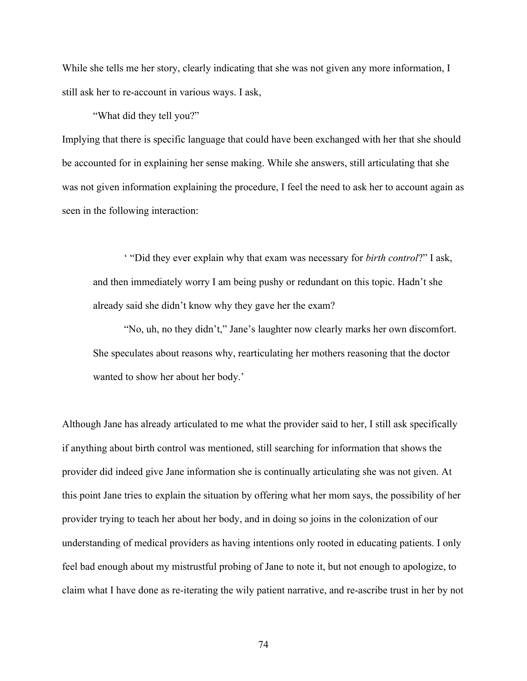While she tells me her story, clearly indicating that she was not given any more information, I still ask her to re-account in various ways. I ask,

"What did they tell you?"

Implying that there is specific language that could have been exchanged with her that she should be accounted for in explaining her sense making. While she answers, still articulating that she was not given information explaining the procedure, I feel the need to ask her to account again as seen in the following interaction:

' "Did they ever explain why that exam was necessary for *birth control*?" I ask, and then immediately worry I am being pushy or redundant on this topic. Hadn't she already said she didn't know why they gave her the exam?

 "No, uh, no they didn't," Jane's laughter now clearly marks her own discomfort. She speculates about reasons why, rearticulating her mothers reasoning that the doctor wanted to show her about her body.'

Although Jane has already articulated to me what the provider said to her, I still ask specifically if anything about birth control was mentioned, still searching for information that shows the provider did indeed give Jane information she is continually articulating she was not given. At this point Jane tries to explain the situation by offering what her mom says, the possibility of her provider trying to teach her about her body, and in doing so joins in the colonization of our understanding of medical providers as having intentions only rooted in educating patients. I only feel bad enough about my mistrustful probing of Jane to note it, but not enough to apologize, to claim what I have done as re-iterating the wily patient narrative, and re-ascribe trust in her by not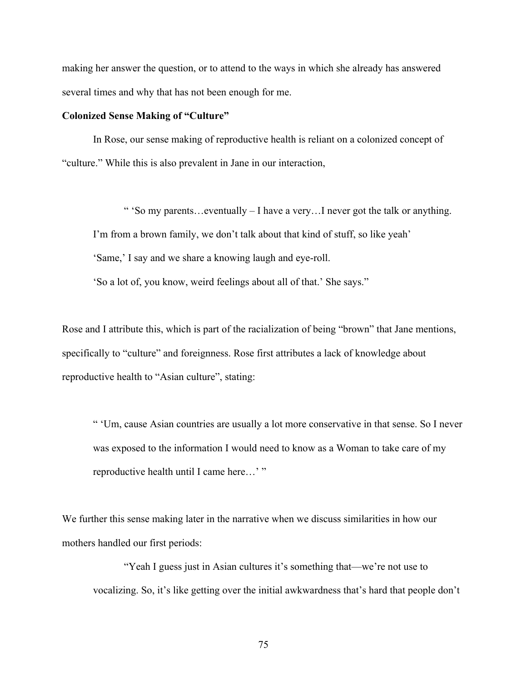making her answer the question, or to attend to the ways in which she already has answered several times and why that has not been enough for me.

#### **Colonized Sense Making of "Culture"**

In Rose, our sense making of reproductive health is reliant on a colonized concept of "culture." While this is also prevalent in Jane in our interaction,

" 'So my parents...eventually  $- I$  have a very... I never got the talk or anything. I'm from a brown family, we don't talk about that kind of stuff, so like yeah' 'Same,' I say and we share a knowing laugh and eye-roll. 'So a lot of, you know, weird feelings about all of that.' She says."

Rose and I attribute this, which is part of the racialization of being "brown" that Jane mentions, specifically to "culture" and foreignness. Rose first attributes a lack of knowledge about reproductive health to "Asian culture", stating:

" 'Um, cause Asian countries are usually a lot more conservative in that sense. So I never was exposed to the information I would need to know as a Woman to take care of my reproductive health until I came here…'"

We further this sense making later in the narrative when we discuss similarities in how our mothers handled our first periods:

"Yeah I guess just in Asian cultures it's something that—we're not use to vocalizing. So, it's like getting over the initial awkwardness that's hard that people don't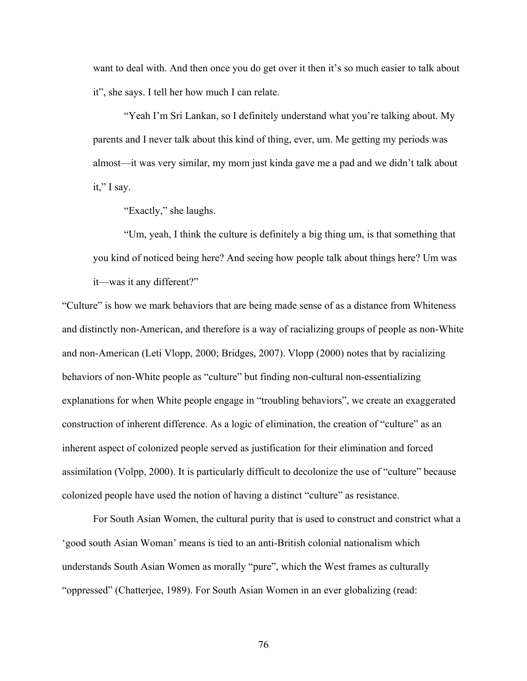want to deal with. And then once you do get over it then it's so much easier to talk about it", she says. I tell her how much I can relate.

"Yeah I'm Sri Lankan, so I definitely understand what you're talking about. My parents and I never talk about this kind of thing, ever, um. Me getting my periods was almost—it was very similar, my mom just kinda gave me a pad and we didn't talk about it," I say.

"Exactly," she laughs.

"Um, yeah, I think the culture is definitely a big thing um, is that something that you kind of noticed being here? And seeing how people talk about things here? Um was it—was it any different?"

"Culture" is how we mark behaviors that are being made sense of as a distance from Whiteness and distinctly non-American, and therefore is a way of racializing groups of people as non-White and non-American (Leti Vlopp, 2000; Bridges, 2007). Vlopp (2000) notes that by racializing behaviors of non-White people as "culture" but finding non-cultural non-essentializing explanations for when White people engage in "troubling behaviors", we create an exaggerated construction of inherent difference. As a logic of elimination, the creation of "culture" as an inherent aspect of colonized people served as justification for their elimination and forced assimilation (Volpp, 2000). It is particularly difficult to decolonize the use of "culture" because colonized people have used the notion of having a distinct "culture" as resistance.

For South Asian Women, the cultural purity that is used to construct and constrict what a 'good south Asian Woman' means is tied to an anti-British colonial nationalism which understands South Asian Women as morally "pure", which the West frames as culturally "oppressed" (Chatterjee, 1989). For South Asian Women in an ever globalizing (read: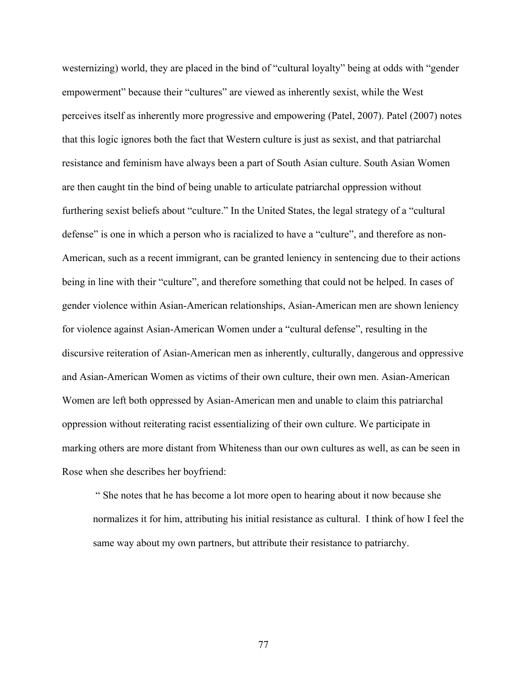westernizing) world, they are placed in the bind of "cultural loyalty" being at odds with "gender empowerment" because their "cultures" are viewed as inherently sexist, while the West perceives itself as inherently more progressive and empowering (Patel, 2007). Patel (2007) notes that this logic ignores both the fact that Western culture is just as sexist, and that patriarchal resistance and feminism have always been a part of South Asian culture. South Asian Women are then caught tin the bind of being unable to articulate patriarchal oppression without furthering sexist beliefs about "culture." In the United States, the legal strategy of a "cultural defense" is one in which a person who is racialized to have a "culture", and therefore as non-American, such as a recent immigrant, can be granted leniency in sentencing due to their actions being in line with their "culture", and therefore something that could not be helped. In cases of gender violence within Asian-American relationships, Asian-American men are shown leniency for violence against Asian-American Women under a "cultural defense", resulting in the discursive reiteration of Asian-American men as inherently, culturally, dangerous and oppressive and Asian-American Women as victims of their own culture, their own men. Asian-American Women are left both oppressed by Asian-American men and unable to claim this patriarchal oppression without reiterating racist essentializing of their own culture. We participate in marking others are more distant from Whiteness than our own cultures as well, as can be seen in Rose when she describes her boyfriend:

" She notes that he has become a lot more open to hearing about it now because she normalizes it for him, attributing his initial resistance as cultural. I think of how I feel the same way about my own partners, but attribute their resistance to patriarchy.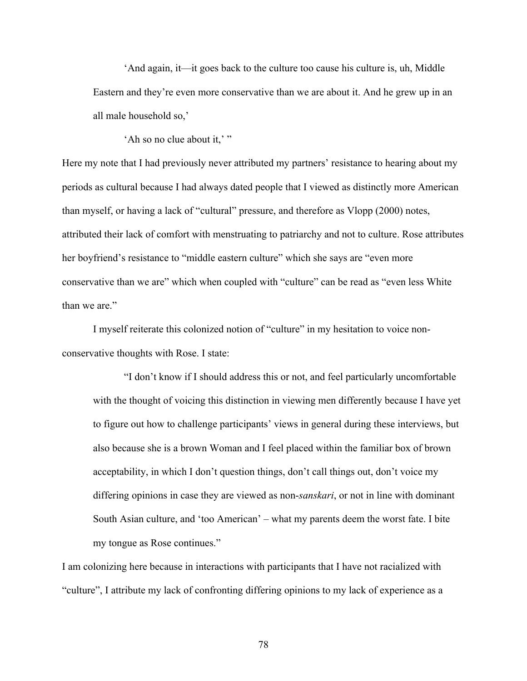'And again, it—it goes back to the culture too cause his culture is, uh, Middle Eastern and they're even more conservative than we are about it. And he grew up in an all male household so,'

'Ah so no clue about it,'"

Here my note that I had previously never attributed my partners' resistance to hearing about my periods as cultural because I had always dated people that I viewed as distinctly more American than myself, or having a lack of "cultural" pressure, and therefore as Vlopp (2000) notes, attributed their lack of comfort with menstruating to patriarchy and not to culture. Rose attributes her boyfriend's resistance to "middle eastern culture" which she says are "even more conservative than we are" which when coupled with "culture" can be read as "even less White than we are."

I myself reiterate this colonized notion of "culture" in my hesitation to voice nonconservative thoughts with Rose. I state:

"I don't know if I should address this or not, and feel particularly uncomfortable with the thought of voicing this distinction in viewing men differently because I have yet to figure out how to challenge participants' views in general during these interviews, but also because she is a brown Woman and I feel placed within the familiar box of brown acceptability, in which I don't question things, don't call things out, don't voice my differing opinions in case they are viewed as non-*sanskari*, or not in line with dominant South Asian culture, and 'too American' – what my parents deem the worst fate. I bite my tongue as Rose continues."

I am colonizing here because in interactions with participants that I have not racialized with "culture", I attribute my lack of confronting differing opinions to my lack of experience as a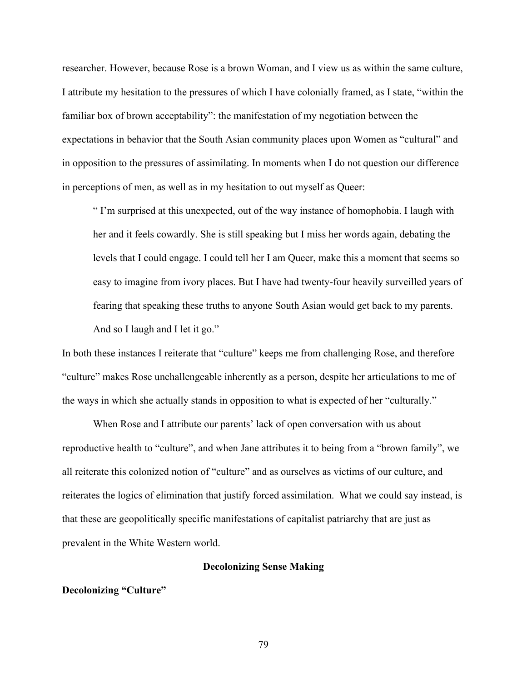researcher. However, because Rose is a brown Woman, and I view us as within the same culture, I attribute my hesitation to the pressures of which I have colonially framed, as I state, "within the familiar box of brown acceptability": the manifestation of my negotiation between the expectations in behavior that the South Asian community places upon Women as "cultural" and in opposition to the pressures of assimilating. In moments when I do not question our difference in perceptions of men, as well as in my hesitation to out myself as Queer:

" I'm surprised at this unexpected, out of the way instance of homophobia. I laugh with her and it feels cowardly. She is still speaking but I miss her words again, debating the levels that I could engage. I could tell her I am Queer, make this a moment that seems so easy to imagine from ivory places. But I have had twenty-four heavily surveilled years of fearing that speaking these truths to anyone South Asian would get back to my parents. And so I laugh and I let it go."

In both these instances I reiterate that "culture" keeps me from challenging Rose, and therefore "culture" makes Rose unchallengeable inherently as a person, despite her articulations to me of the ways in which she actually stands in opposition to what is expected of her "culturally."

When Rose and I attribute our parents' lack of open conversation with us about reproductive health to "culture", and when Jane attributes it to being from a "brown family", we all reiterate this colonized notion of "culture" and as ourselves as victims of our culture, and reiterates the logics of elimination that justify forced assimilation. What we could say instead, is that these are geopolitically specific manifestations of capitalist patriarchy that are just as prevalent in the White Western world.

# **Decolonizing Sense Making**

# **Decolonizing "Culture"**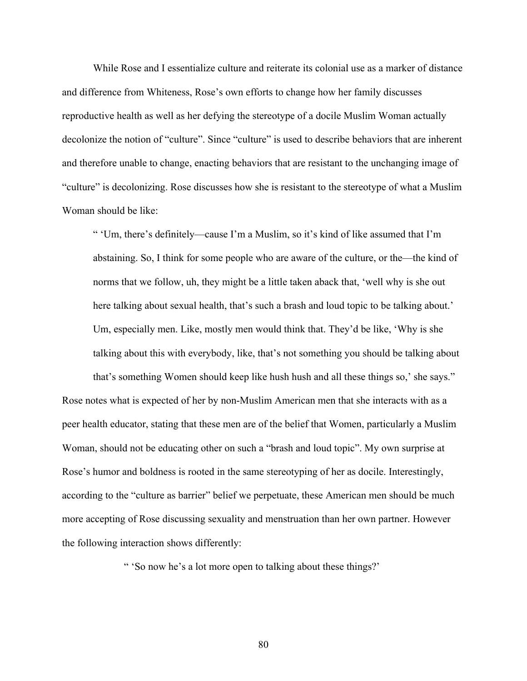While Rose and I essentialize culture and reiterate its colonial use as a marker of distance and difference from Whiteness, Rose's own efforts to change how her family discusses reproductive health as well as her defying the stereotype of a docile Muslim Woman actually decolonize the notion of "culture". Since "culture" is used to describe behaviors that are inherent and therefore unable to change, enacting behaviors that are resistant to the unchanging image of "culture" is decolonizing. Rose discusses how she is resistant to the stereotype of what a Muslim Woman should be like:

" 'Um, there's definitely—cause I'm a Muslim, so it's kind of like assumed that I'm abstaining. So, I think for some people who are aware of the culture, or the—the kind of norms that we follow, uh, they might be a little taken aback that, 'well why is she out here talking about sexual health, that's such a brash and loud topic to be talking about.' Um, especially men. Like, mostly men would think that. They'd be like, 'Why is she talking about this with everybody, like, that's not something you should be talking about

that's something Women should keep like hush hush and all these things so,' she says." Rose notes what is expected of her by non-Muslim American men that she interacts with as a peer health educator, stating that these men are of the belief that Women, particularly a Muslim Woman, should not be educating other on such a "brash and loud topic". My own surprise at Rose's humor and boldness is rooted in the same stereotyping of her as docile. Interestingly, according to the "culture as barrier" belief we perpetuate, these American men should be much more accepting of Rose discussing sexuality and menstruation than her own partner. However the following interaction shows differently:

" 'So now he's a lot more open to talking about these things?'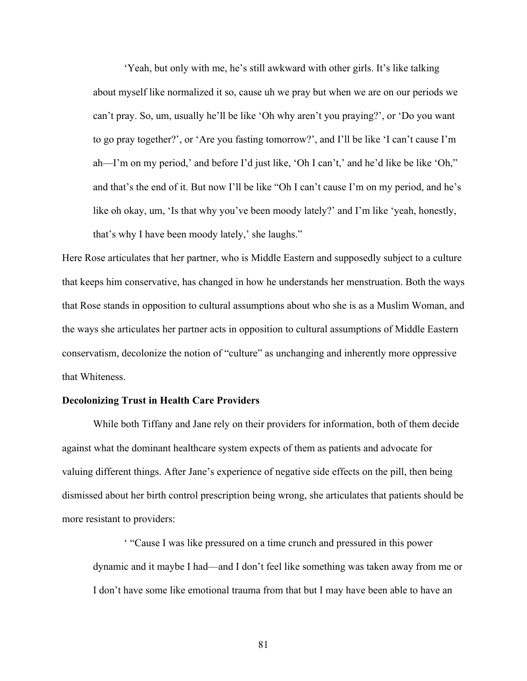'Yeah, but only with me, he's still awkward with other girls. It's like talking about myself like normalized it so, cause uh we pray but when we are on our periods we can't pray. So, um, usually he'll be like 'Oh why aren't you praying?', or 'Do you want to go pray together?', or 'Are you fasting tomorrow?', and I'll be like 'I can't cause I'm ah—I'm on my period,' and before I'd just like, 'Oh I can't,' and he'd like be like 'Oh," and that's the end of it. But now I'll be like "Oh I can't cause I'm on my period, and he's like oh okay, um, 'Is that why you've been moody lately?' and I'm like 'yeah, honestly, that's why I have been moody lately,' she laughs."

Here Rose articulates that her partner, who is Middle Eastern and supposedly subject to a culture that keeps him conservative, has changed in how he understands her menstruation. Both the ways that Rose stands in opposition to cultural assumptions about who she is as a Muslim Woman, and the ways she articulates her partner acts in opposition to cultural assumptions of Middle Eastern conservatism, decolonize the notion of "culture" as unchanging and inherently more oppressive that Whiteness.

### **Decolonizing Trust in Health Care Providers**

While both Tiffany and Jane rely on their providers for information, both of them decide against what the dominant healthcare system expects of them as patients and advocate for valuing different things. After Jane's experience of negative side effects on the pill, then being dismissed about her birth control prescription being wrong, she articulates that patients should be more resistant to providers:

' "Cause I was like pressured on a time crunch and pressured in this power dynamic and it maybe I had—and I don't feel like something was taken away from me or I don't have some like emotional trauma from that but I may have been able to have an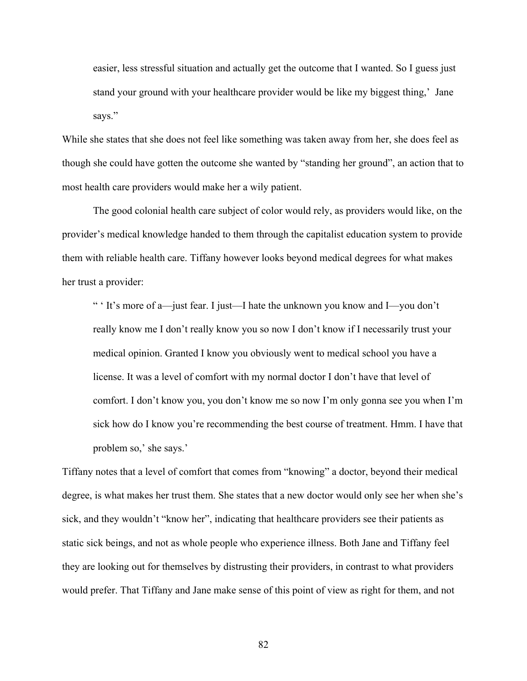easier, less stressful situation and actually get the outcome that I wanted. So I guess just stand your ground with your healthcare provider would be like my biggest thing,' Jane says."

While she states that she does not feel like something was taken away from her, she does feel as though she could have gotten the outcome she wanted by "standing her ground", an action that to most health care providers would make her a wily patient.

The good colonial health care subject of color would rely, as providers would like, on the provider's medical knowledge handed to them through the capitalist education system to provide them with reliable health care. Tiffany however looks beyond medical degrees for what makes her trust a provider:

" ' It's more of a—just fear. I just—I hate the unknown you know and I—you don't really know me I don't really know you so now I don't know if I necessarily trust your medical opinion. Granted I know you obviously went to medical school you have a license. It was a level of comfort with my normal doctor I don't have that level of comfort. I don't know you, you don't know me so now I'm only gonna see you when I'm sick how do I know you're recommending the best course of treatment. Hmm. I have that problem so,' she says.'

Tiffany notes that a level of comfort that comes from "knowing" a doctor, beyond their medical degree, is what makes her trust them. She states that a new doctor would only see her when she's sick, and they wouldn't "know her", indicating that healthcare providers see their patients as static sick beings, and not as whole people who experience illness. Both Jane and Tiffany feel they are looking out for themselves by distrusting their providers, in contrast to what providers would prefer. That Tiffany and Jane make sense of this point of view as right for them, and not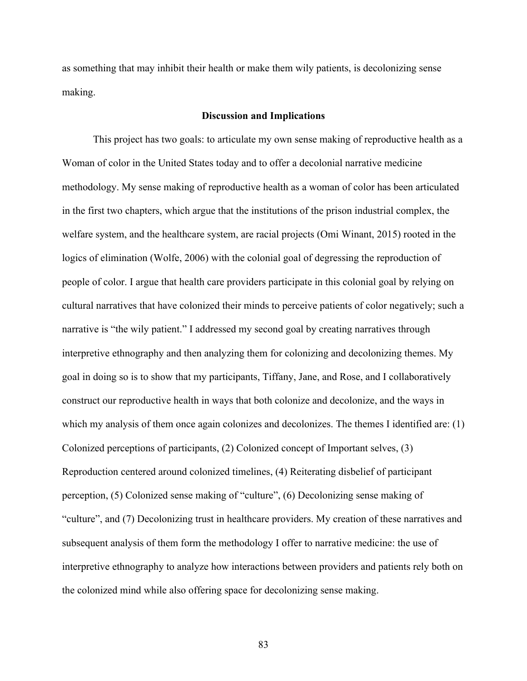as something that may inhibit their health or make them wily patients, is decolonizing sense making.

### **Discussion and Implications**

This project has two goals: to articulate my own sense making of reproductive health as a Woman of color in the United States today and to offer a decolonial narrative medicine methodology. My sense making of reproductive health as a woman of color has been articulated in the first two chapters, which argue that the institutions of the prison industrial complex, the welfare system, and the healthcare system, are racial projects (Omi Winant, 2015) rooted in the logics of elimination (Wolfe, 2006) with the colonial goal of degressing the reproduction of people of color. I argue that health care providers participate in this colonial goal by relying on cultural narratives that have colonized their minds to perceive patients of color negatively; such a narrative is "the wily patient." I addressed my second goal by creating narratives through interpretive ethnography and then analyzing them for colonizing and decolonizing themes. My goal in doing so is to show that my participants, Tiffany, Jane, and Rose, and I collaboratively construct our reproductive health in ways that both colonize and decolonize, and the ways in which my analysis of them once again colonizes and decolonizes. The themes I identified are: (1) Colonized perceptions of participants, (2) Colonized concept of Important selves, (3) Reproduction centered around colonized timelines, (4) Reiterating disbelief of participant perception, (5) Colonized sense making of "culture", (6) Decolonizing sense making of "culture", and (7) Decolonizing trust in healthcare providers. My creation of these narratives and subsequent analysis of them form the methodology I offer to narrative medicine: the use of interpretive ethnography to analyze how interactions between providers and patients rely both on the colonized mind while also offering space for decolonizing sense making.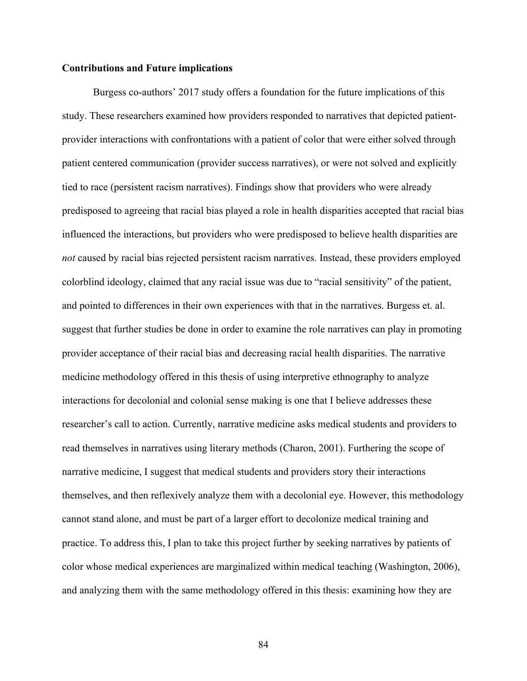# **Contributions and Future implications**

Burgess co-authors' 2017 study offers a foundation for the future implications of this study. These researchers examined how providers responded to narratives that depicted patientprovider interactions with confrontations with a patient of color that were either solved through patient centered communication (provider success narratives), or were not solved and explicitly tied to race (persistent racism narratives). Findings show that providers who were already predisposed to agreeing that racial bias played a role in health disparities accepted that racial bias influenced the interactions, but providers who were predisposed to believe health disparities are *not* caused by racial bias rejected persistent racism narratives. Instead, these providers employed colorblind ideology, claimed that any racial issue was due to "racial sensitivity" of the patient, and pointed to differences in their own experiences with that in the narratives. Burgess et. al. suggest that further studies be done in order to examine the role narratives can play in promoting provider acceptance of their racial bias and decreasing racial health disparities. The narrative medicine methodology offered in this thesis of using interpretive ethnography to analyze interactions for decolonial and colonial sense making is one that I believe addresses these researcher's call to action. Currently, narrative medicine asks medical students and providers to read themselves in narratives using literary methods (Charon, 2001). Furthering the scope of narrative medicine, I suggest that medical students and providers story their interactions themselves, and then reflexively analyze them with a decolonial eye. However, this methodology cannot stand alone, and must be part of a larger effort to decolonize medical training and practice. To address this, I plan to take this project further by seeking narratives by patients of color whose medical experiences are marginalized within medical teaching (Washington, 2006), and analyzing them with the same methodology offered in this thesis: examining how they are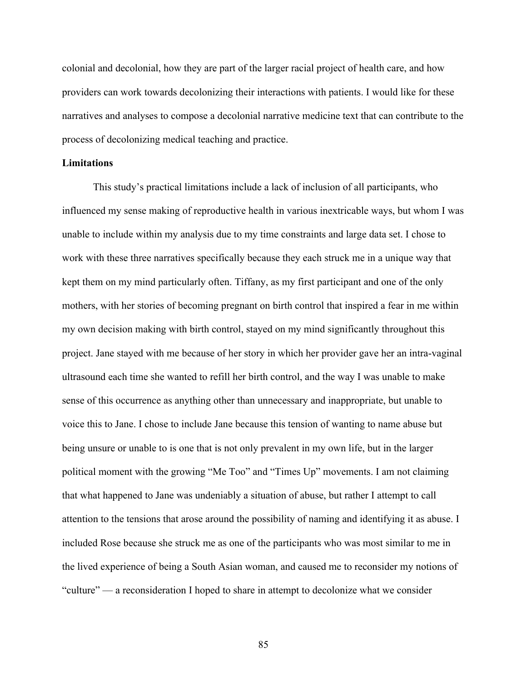colonial and decolonial, how they are part of the larger racial project of health care, and how providers can work towards decolonizing their interactions with patients. I would like for these narratives and analyses to compose a decolonial narrative medicine text that can contribute to the process of decolonizing medical teaching and practice.

## **Limitations**

This study's practical limitations include a lack of inclusion of all participants, who influenced my sense making of reproductive health in various inextricable ways, but whom I was unable to include within my analysis due to my time constraints and large data set. I chose to work with these three narratives specifically because they each struck me in a unique way that kept them on my mind particularly often. Tiffany, as my first participant and one of the only mothers, with her stories of becoming pregnant on birth control that inspired a fear in me within my own decision making with birth control, stayed on my mind significantly throughout this project. Jane stayed with me because of her story in which her provider gave her an intra-vaginal ultrasound each time she wanted to refill her birth control, and the way I was unable to make sense of this occurrence as anything other than unnecessary and inappropriate, but unable to voice this to Jane. I chose to include Jane because this tension of wanting to name abuse but being unsure or unable to is one that is not only prevalent in my own life, but in the larger political moment with the growing "Me Too" and "Times Up" movements. I am not claiming that what happened to Jane was undeniably a situation of abuse, but rather I attempt to call attention to the tensions that arose around the possibility of naming and identifying it as abuse. I included Rose because she struck me as one of the participants who was most similar to me in the lived experience of being a South Asian woman, and caused me to reconsider my notions of "culture" — a reconsideration I hoped to share in attempt to decolonize what we consider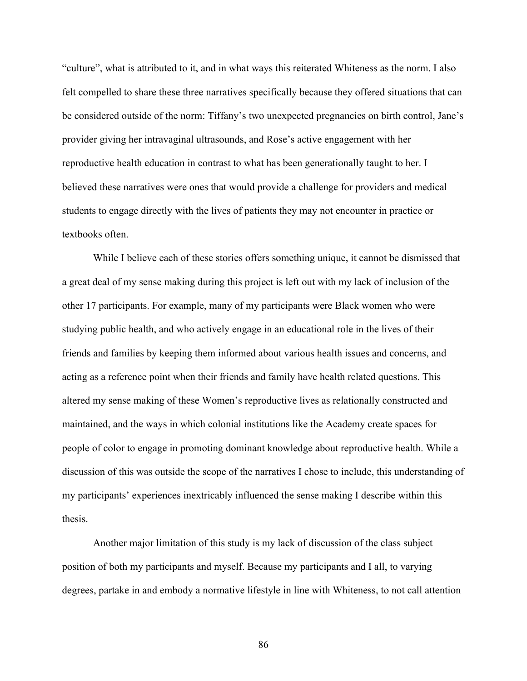"culture", what is attributed to it, and in what ways this reiterated Whiteness as the norm. I also felt compelled to share these three narratives specifically because they offered situations that can be considered outside of the norm: Tiffany's two unexpected pregnancies on birth control, Jane's provider giving her intravaginal ultrasounds, and Rose's active engagement with her reproductive health education in contrast to what has been generationally taught to her. I believed these narratives were ones that would provide a challenge for providers and medical students to engage directly with the lives of patients they may not encounter in practice or textbooks often.

While I believe each of these stories offers something unique, it cannot be dismissed that a great deal of my sense making during this project is left out with my lack of inclusion of the other 17 participants. For example, many of my participants were Black women who were studying public health, and who actively engage in an educational role in the lives of their friends and families by keeping them informed about various health issues and concerns, and acting as a reference point when their friends and family have health related questions. This altered my sense making of these Women's reproductive lives as relationally constructed and maintained, and the ways in which colonial institutions like the Academy create spaces for people of color to engage in promoting dominant knowledge about reproductive health. While a discussion of this was outside the scope of the narratives I chose to include, this understanding of my participants' experiences inextricably influenced the sense making I describe within this thesis.

Another major limitation of this study is my lack of discussion of the class subject position of both my participants and myself. Because my participants and I all, to varying degrees, partake in and embody a normative lifestyle in line with Whiteness, to not call attention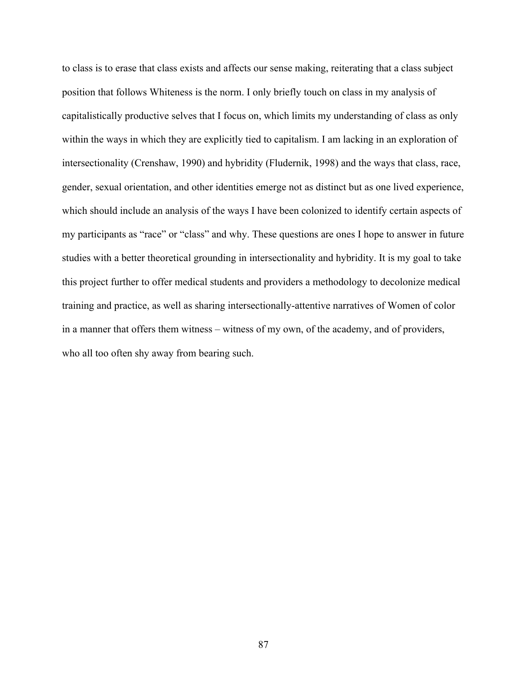to class is to erase that class exists and affects our sense making, reiterating that a class subject position that follows Whiteness is the norm. I only briefly touch on class in my analysis of capitalistically productive selves that I focus on, which limits my understanding of class as only within the ways in which they are explicitly tied to capitalism. I am lacking in an exploration of intersectionality (Crenshaw, 1990) and hybridity (Fludernik, 1998) and the ways that class, race, gender, sexual orientation, and other identities emerge not as distinct but as one lived experience, which should include an analysis of the ways I have been colonized to identify certain aspects of my participants as "race" or "class" and why. These questions are ones I hope to answer in future studies with a better theoretical grounding in intersectionality and hybridity. It is my goal to take this project further to offer medical students and providers a methodology to decolonize medical training and practice, as well as sharing intersectionally-attentive narratives of Women of color in a manner that offers them witness – witness of my own, of the academy, and of providers, who all too often shy away from bearing such.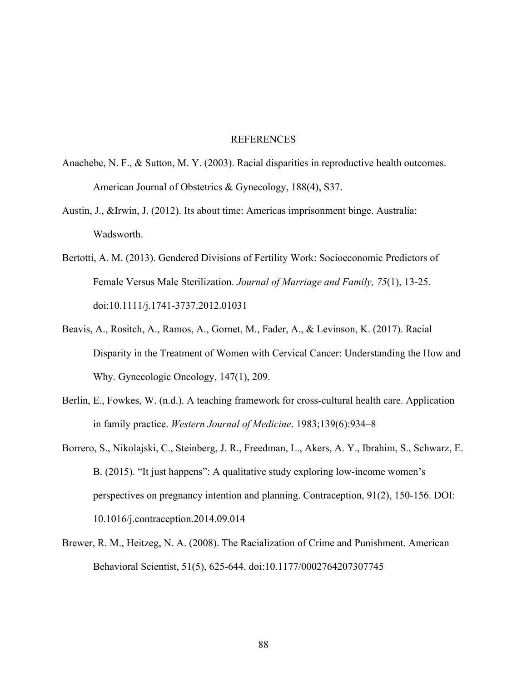### REFERENCES

- Anachebe, N. F., & Sutton, M. Y. (2003). Racial disparities in reproductive health outcomes. American Journal of Obstetrics & Gynecology, 188(4), S37.
- Austin, J., &Irwin, J. (2012). Its about time: Americas imprisonment binge. Australia: Wadsworth.
- Bertotti, A. M. (2013). Gendered Divisions of Fertility Work: Socioeconomic Predictors of Female Versus Male Sterilization. *Journal of Marriage and Family, 75*(1), 13-25. doi:10.1111/j.1741-3737.2012.01031
- Beavis, A., Rositch, A., Ramos, A., Gornet, M., Fader, A., & Levinson, K. (2017). Racial Disparity in the Treatment of Women with Cervical Cancer: Understanding the How and Why. Gynecologic Oncology, 147(1), 209.
- Berlin, E., Fowkes, W. (n.d.). A teaching framework for cross-cultural health care. Application in family practice. *Western Journal of Medicine*. 1983;139(6):934–8
- Borrero, S., Nikolajski, C., Steinberg, J. R., Freedman, L., Akers, A. Y., Ibrahim, S., Schwarz, E. B. (2015). "It just happens": A qualitative study exploring low-income women's perspectives on pregnancy intention and planning. Contraception, 91(2), 150-156. DOI: 10.1016/j.contraception.2014.09.014
- Brewer, R. M., Heitzeg, N. A. (2008). The Racialization of Crime and Punishment. American Behavioral Scientist, 51(5), 625-644. doi:10.1177/0002764207307745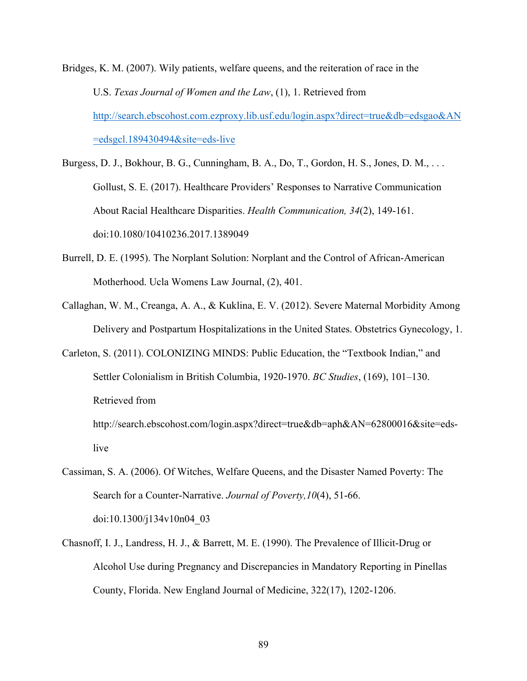Bridges, K. M. (2007). Wily patients, welfare queens, and the reiteration of race in the U.S. *Texas Journal of Women and the Law*, (1), 1. Retrieved from http://search.ebscohost.com.ezproxy.lib.usf.edu/login.aspx?direct=true&db=edsgao&AN =edsgcl.189430494&site=eds-live

Burgess, D. J., Bokhour, B. G., Cunningham, B. A., Do, T., Gordon, H. S., Jones, D. M., . . . Gollust, S. E. (2017). Healthcare Providers' Responses to Narrative Communication About Racial Healthcare Disparities. *Health Communication, 34*(2), 149-161. doi:10.1080/10410236.2017.1389049

- Burrell, D. E. (1995). The Norplant Solution: Norplant and the Control of African-American Motherhood. Ucla Womens Law Journal, (2), 401.
- Callaghan, W. M., Creanga, A. A., & Kuklina, E. V. (2012). Severe Maternal Morbidity Among Delivery and Postpartum Hospitalizations in the United States. Obstetrics Gynecology, 1.
- Carleton, S. (2011). COLONIZING MINDS: Public Education, the "Textbook Indian," and Settler Colonialism in British Columbia, 1920-1970. *BC Studies*, (169), 101–130. Retrieved from

http://search.ebscohost.com/login.aspx?direct=true&db=aph&AN=62800016&site=edslive

- Cassiman, S. A. (2006). Of Witches, Welfare Queens, and the Disaster Named Poverty: The Search for a Counter-Narrative. *Journal of Poverty,10*(4), 51-66. doi:10.1300/j134v10n04\_03
- Chasnoff, I. J., Landress, H. J., & Barrett, M. E. (1990). The Prevalence of Illicit-Drug or Alcohol Use during Pregnancy and Discrepancies in Mandatory Reporting in Pinellas County, Florida. New England Journal of Medicine, 322(17), 1202-1206.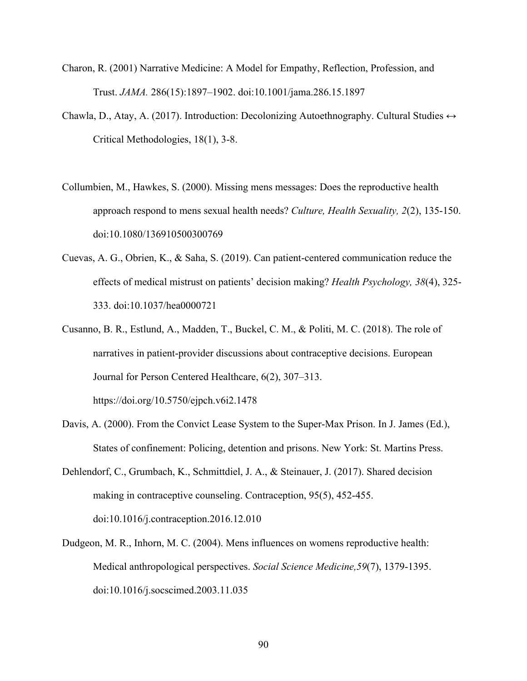- Charon, R. (2001) Narrative Medicine: A Model for Empathy, Reflection, Profession, and Trust. *JAMA.* 286(15):1897–1902. doi:10.1001/jama.286.15.1897
- Chawla, D., Atay, A. (2017). Introduction: Decolonizing Autoethnography. Cultural Studies  $\leftrightarrow$ Critical Methodologies, 18(1), 3-8.
- Collumbien, M., Hawkes, S. (2000). Missing mens messages: Does the reproductive health approach respond to mens sexual health needs? *Culture, Health Sexuality, 2*(2), 135-150. doi:10.1080/136910500300769
- Cuevas, A. G., Obrien, K., & Saha, S. (2019). Can patient-centered communication reduce the effects of medical mistrust on patients' decision making? *Health Psychology, 38*(4), 325- 333. doi:10.1037/hea0000721
- Cusanno, B. R., Estlund, A., Madden, T., Buckel, C. M., & Politi, M. C. (2018). The role of narratives in patient-provider discussions about contraceptive decisions. European Journal for Person Centered Healthcare, 6(2), 307–313.

https://doi.org/10.5750/ejpch.v6i2.1478

- Davis, A. (2000). From the Convict Lease System to the Super-Max Prison. In J. James (Ed.), States of confinement: Policing, detention and prisons. New York: St. Martins Press.
- Dehlendorf, C., Grumbach, K., Schmittdiel, J. A., & Steinauer, J. (2017). Shared decision making in contraceptive counseling. Contraception, 95(5), 452-455. doi:10.1016/j.contraception.2016.12.010
- Dudgeon, M. R., Inhorn, M. C. (2004). Mens influences on womens reproductive health: Medical anthropological perspectives. *Social Science Medicine,59*(7), 1379-1395. doi:10.1016/j.socscimed.2003.11.035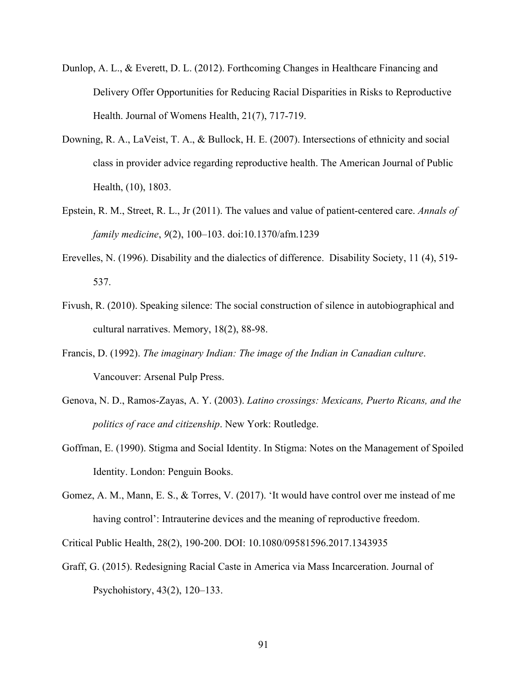- Dunlop, A. L., & Everett, D. L. (2012). Forthcoming Changes in Healthcare Financing and Delivery Offer Opportunities for Reducing Racial Disparities in Risks to Reproductive Health. Journal of Womens Health, 21(7), 717-719.
- Downing, R. A., LaVeist, T. A., & Bullock, H. E. (2007). Intersections of ethnicity and social class in provider advice regarding reproductive health. The American Journal of Public Health, (10), 1803.
- Epstein, R. M., Street, R. L., Jr (2011). The values and value of patient-centered care. *Annals of family medicine*, *9*(2), 100–103. doi:10.1370/afm.1239
- Erevelles, N. (1996). Disability and the dialectics of difference. Disability Society, 11 (4), 519- 537.
- Fivush, R. (2010). Speaking silence: The social construction of silence in autobiographical and cultural narratives. Memory, 18(2), 88-98.
- Francis, D. (1992). *The imaginary Indian: The image of the Indian in Canadian culture*. Vancouver: Arsenal Pulp Press.
- Genova, N. D., Ramos-Zayas, A. Y. (2003). *Latino crossings: Mexicans, Puerto Ricans, and the politics of race and citizenship*. New York: Routledge.
- Goffman, E. (1990). Stigma and Social Identity. In Stigma: Notes on the Management of Spoiled Identity. London: Penguin Books.
- Gomez, A. M., Mann, E. S., & Torres, V. (2017). 'It would have control over me instead of me having control': Intrauterine devices and the meaning of reproductive freedom.
- Critical Public Health, 28(2), 190-200. DOI: 10.1080/09581596.2017.1343935
- Graff, G. (2015). Redesigning Racial Caste in America via Mass Incarceration. Journal of Psychohistory, 43(2), 120–133.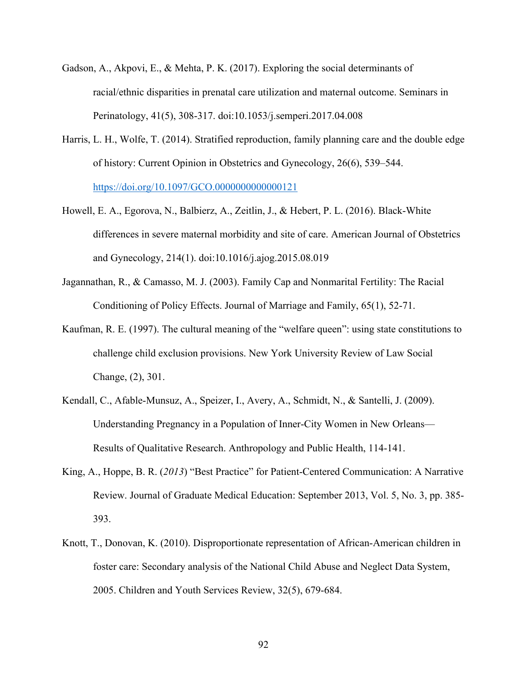- Gadson, A., Akpovi, E., & Mehta, P. K. (2017). Exploring the social determinants of racial/ethnic disparities in prenatal care utilization and maternal outcome. Seminars in Perinatology, 41(5), 308-317. doi:10.1053/j.semperi.2017.04.008
- Harris, L. H., Wolfe, T. (2014). Stratified reproduction, family planning care and the double edge of history: Current Opinion in Obstetrics and Gynecology, 26(6), 539–544. https://doi.org/10.1097/GCO.0000000000000121
- Howell, E. A., Egorova, N., Balbierz, A., Zeitlin, J., & Hebert, P. L. (2016). Black-White differences in severe maternal morbidity and site of care. American Journal of Obstetrics and Gynecology, 214(1). doi:10.1016/j.ajog.2015.08.019
- Jagannathan, R., & Camasso, M. J. (2003). Family Cap and Nonmarital Fertility: The Racial Conditioning of Policy Effects. Journal of Marriage and Family, 65(1), 52-71.
- Kaufman, R. E. (1997). The cultural meaning of the "welfare queen": using state constitutions to challenge child exclusion provisions. New York University Review of Law Social Change, (2), 301.
- Kendall, C., Afable-Munsuz, A., Speizer, I., Avery, A., Schmidt, N., & Santelli, J. (2009). Understanding Pregnancy in a Population of Inner-City Women in New Orleans— Results of Qualitative Research. Anthropology and Public Health, 114-141.
- King, A., Hoppe, B. R. (*2013*) "Best Practice" for Patient-Centered Communication: A Narrative Review. Journal of Graduate Medical Education: September 2013, Vol. 5, No. 3, pp. 385- 393.
- Knott, T., Donovan, K. (2010). Disproportionate representation of African-American children in foster care: Secondary analysis of the National Child Abuse and Neglect Data System, 2005. Children and Youth Services Review, 32(5), 679-684.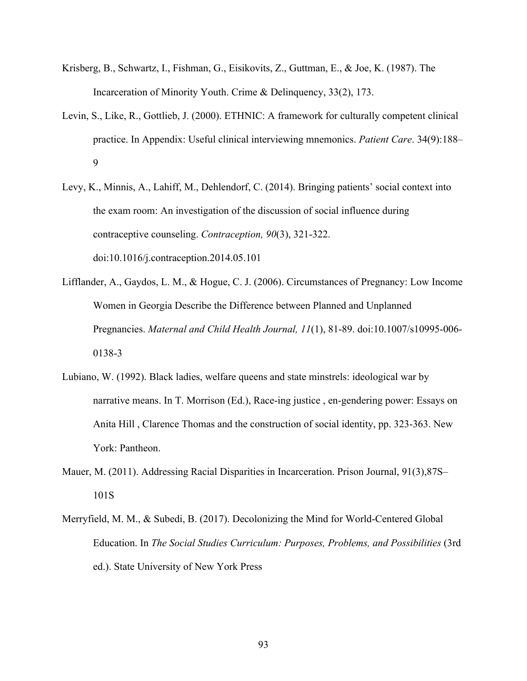- Krisberg, B., Schwartz, I., Fishman, G., Eisikovits, Z., Guttman, E., & Joe, K. (1987). The Incarceration of Minority Youth. Crime & Delinquency, 33(2), 173.
- Levin, S., Like, R., Gottlieb, J. (2000). ETHNIC: A framework for culturally competent clinical practice. In Appendix: Useful clinical interviewing mnemonics. *Patient Care*. 34(9):188– 9
- Levy, K., Minnis, A., Lahiff, M., Dehlendorf, C. (2014). Bringing patients' social context into the exam room: An investigation of the discussion of social influence during contraceptive counseling. *Contraception, 90*(3), 321-322. doi:10.1016/j.contraception.2014.05.101
- Lifflander, A., Gaydos, L. M., & Hogue, C. J. (2006). Circumstances of Pregnancy: Low Income Women in Georgia Describe the Difference between Planned and Unplanned Pregnancies. *Maternal and Child Health Journal, 11*(1), 81-89. doi:10.1007/s10995-006- 0138-3
- Lubiano, W. (1992). Black ladies, welfare queens and state minstrels: ideological war by narrative means. In T. Morrison (Ed.), Race-ing justice , en-gendering power: Essays on Anita Hill , Clarence Thomas and the construction of social identity, pp. 323-363. New York: Pantheon.
- Mauer, M. (2011). Addressing Racial Disparities in Incarceration. Prison Journal, 91(3),87S– 101S
- Merryfield, M. M., & Subedi, B. (2017). Decolonizing the Mind for World-Centered Global Education. In *The Social Studies Curriculum: Purposes, Problems, and Possibilities* (3rd ed.). State University of New York Press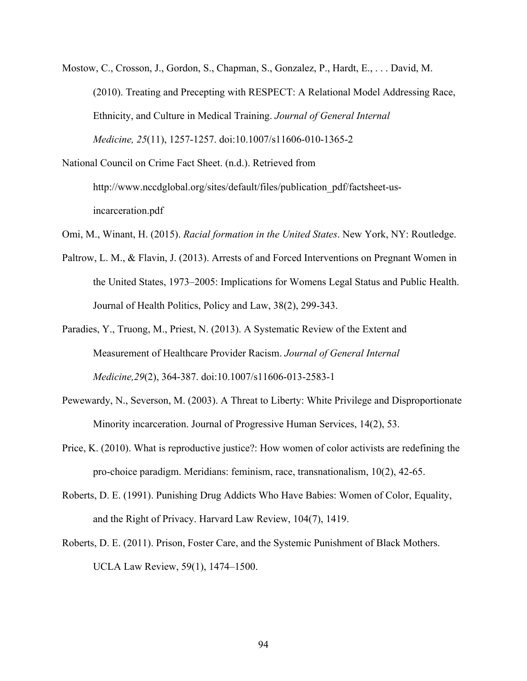Mostow, C., Crosson, J., Gordon, S., Chapman, S., Gonzalez, P., Hardt, E., . . . David, M. (2010). Treating and Precepting with RESPECT: A Relational Model Addressing Race, Ethnicity, and Culture in Medical Training. *Journal of General Internal Medicine, 25*(11), 1257-1257. doi:10.1007/s11606-010-1365-2

National Council on Crime Fact Sheet. (n.d.). Retrieved from http://www.nccdglobal.org/sites/default/files/publication\_pdf/factsheet-usincarceration.pdf

Omi, M., Winant, H. (2015). *Racial formation in the United States*. New York, NY: Routledge.

- Paltrow, L. M., & Flavin, J. (2013). Arrests of and Forced Interventions on Pregnant Women in the United States, 1973–2005: Implications for Womens Legal Status and Public Health. Journal of Health Politics, Policy and Law, 38(2), 299-343.
- Paradies, Y., Truong, M., Priest, N. (2013). A Systematic Review of the Extent and Measurement of Healthcare Provider Racism. *Journal of General Internal Medicine,29*(2), 364-387. doi:10.1007/s11606-013-2583-1
- Pewewardy, N., Severson, M. (2003). A Threat to Liberty: White Privilege and Disproportionate Minority incarceration. Journal of Progressive Human Services, 14(2), 53.
- Price, K. (2010). What is reproductive justice?: How women of color activists are redefining the pro-choice paradigm. Meridians: feminism, race, transnationalism, 10(2), 42-65.
- Roberts, D. E. (1991). Punishing Drug Addicts Who Have Babies: Women of Color, Equality, and the Right of Privacy. Harvard Law Review, 104(7), 1419.
- Roberts, D. E. (2011). Prison, Foster Care, and the Systemic Punishment of Black Mothers. UCLA Law Review, 59(1), 1474–1500.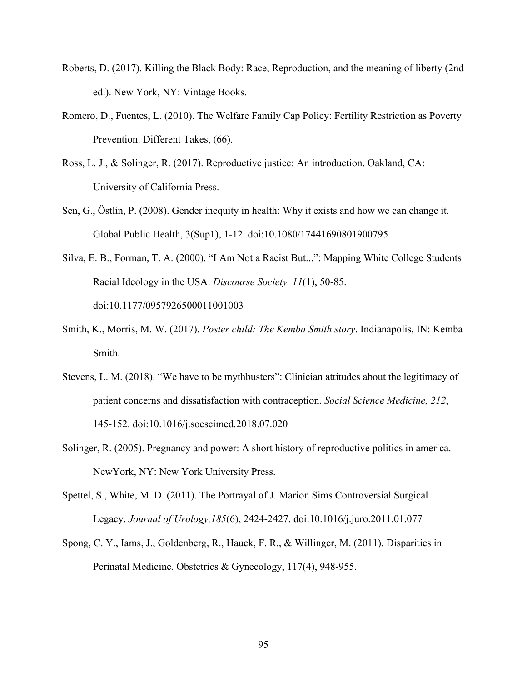- Roberts, D. (2017). Killing the Black Body: Race, Reproduction, and the meaning of liberty (2nd ed.). New York, NY: Vintage Books.
- Romero, D., Fuentes, L. (2010). The Welfare Family Cap Policy: Fertility Restriction as Poverty Prevention. Different Takes, (66).
- Ross, L. J., & Solinger, R. (2017). Reproductive justice: An introduction. Oakland, CA: University of California Press.
- Sen, G., Östlin, P. (2008). Gender inequity in health: Why it exists and how we can change it. Global Public Health, 3(Sup1), 1-12. doi:10.1080/17441690801900795
- Silva, E. B., Forman, T. A. (2000). "I Am Not a Racist But...": Mapping White College Students Racial Ideology in the USA. *Discourse Society, 11*(1), 50-85. doi:10.1177/0957926500011001003
- Smith, K., Morris, M. W. (2017). *Poster child: The Kemba Smith story*. Indianapolis, IN: Kemba Smith.
- Stevens, L. M. (2018). "We have to be mythbusters": Clinician attitudes about the legitimacy of patient concerns and dissatisfaction with contraception. *Social Science Medicine, 212*, 145-152. doi:10.1016/j.socscimed.2018.07.020
- Solinger, R. (2005). Pregnancy and power: A short history of reproductive politics in america. NewYork, NY: New York University Press.
- Spettel, S., White, M. D. (2011). The Portrayal of J. Marion Sims Controversial Surgical Legacy. *Journal of Urology,185*(6), 2424-2427. doi:10.1016/j.juro.2011.01.077
- Spong, C. Y., Iams, J., Goldenberg, R., Hauck, F. R., & Willinger, M. (2011). Disparities in Perinatal Medicine. Obstetrics & Gynecology, 117(4), 948-955.